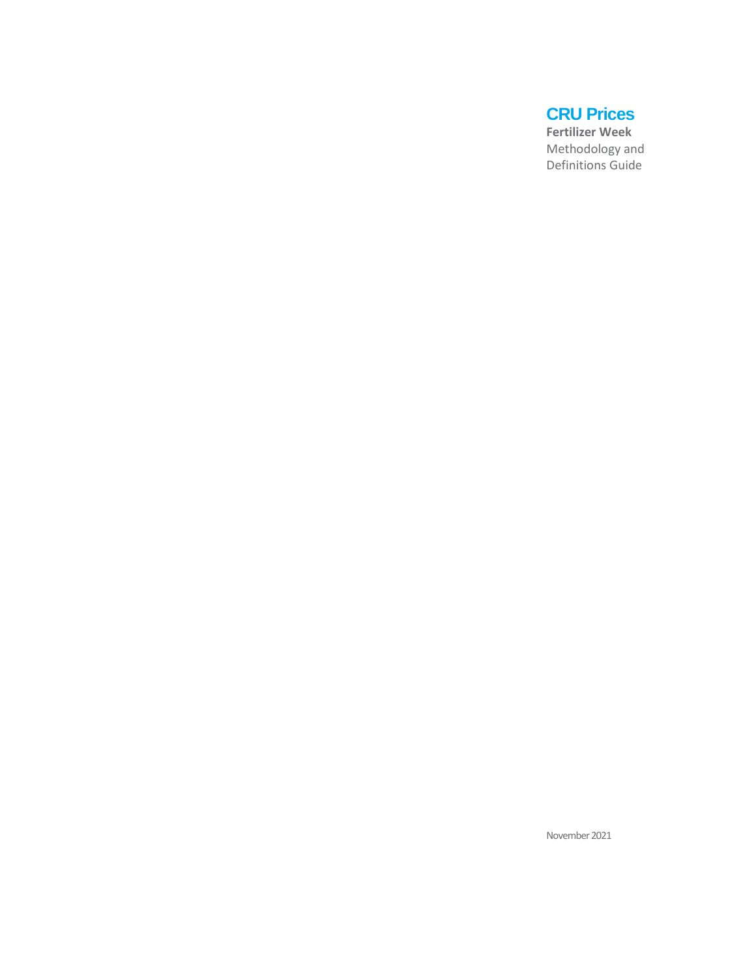# **CRU Prices**

**Fertilizer Week** Methodology and Definitions Guide

November 2021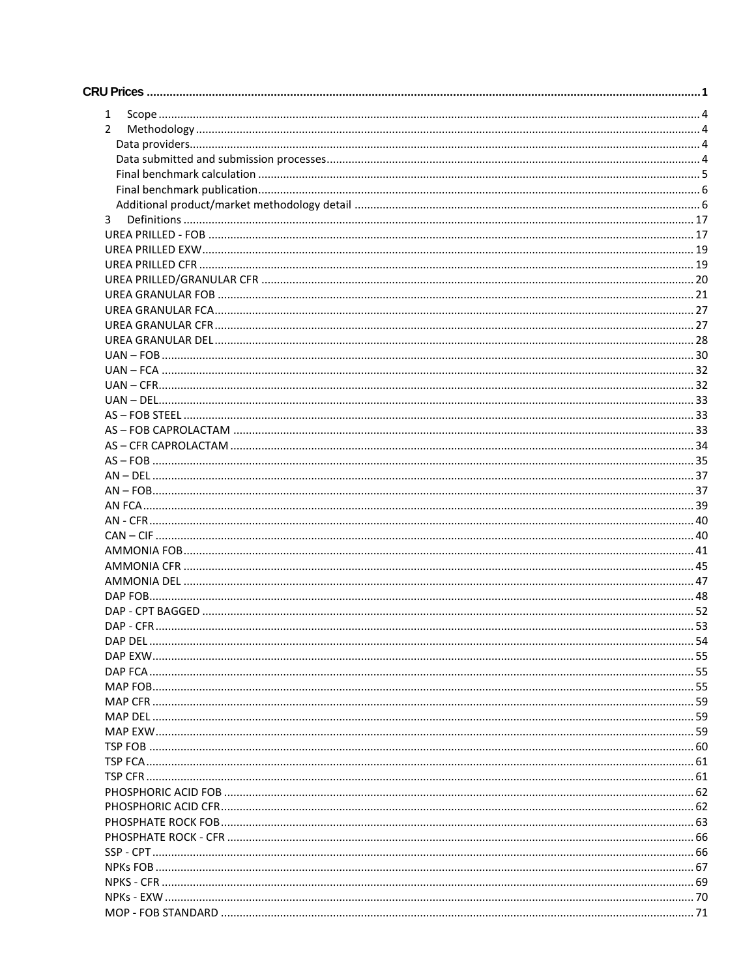| 1             |  |
|---------------|--|
| $\mathcal{P}$ |  |
|               |  |
|               |  |
|               |  |
|               |  |
|               |  |
| 3             |  |
|               |  |
|               |  |
|               |  |
|               |  |
|               |  |
|               |  |
|               |  |
|               |  |
|               |  |
|               |  |
|               |  |
|               |  |
|               |  |
|               |  |
|               |  |
|               |  |
|               |  |
|               |  |
|               |  |
|               |  |
|               |  |
|               |  |
|               |  |
|               |  |
|               |  |
|               |  |
|               |  |
|               |  |
|               |  |
|               |  |
|               |  |
|               |  |
|               |  |
|               |  |
|               |  |
|               |  |
|               |  |
|               |  |
|               |  |
|               |  |
|               |  |
|               |  |
|               |  |
|               |  |
|               |  |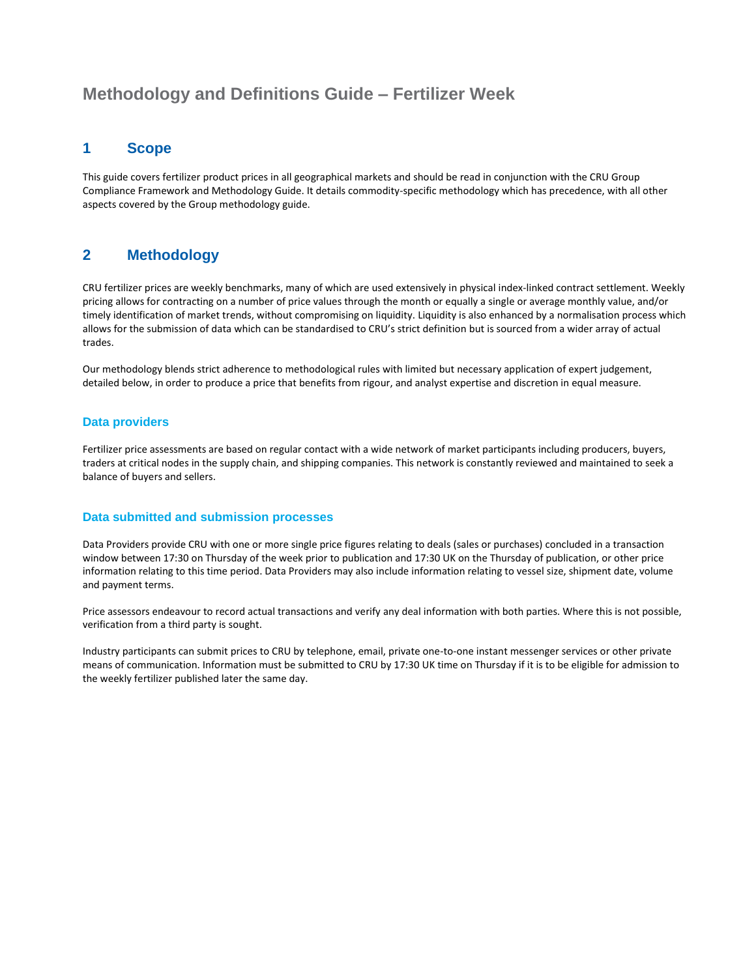## **Methodology and Definitions Guide – Fertilizer Week**

### **1 Scope**

This guide covers fertilizer product prices in all geographical markets and should be read in conjunction with the CRU Group Compliance Framework and Methodology Guide. It details commodity-specific methodology which has precedence, with all other aspects covered by the Group methodology guide.

### **2 Methodology**

CRU fertilizer prices are weekly benchmarks, many of which are used extensively in physical index-linked contract settlement. Weekly pricing allows for contracting on a number of price values through the month or equally a single or average monthly value, and/or timely identification of market trends, without compromising on liquidity. Liquidity is also enhanced by a normalisation process which allows for the submission of data which can be standardised to CRU's strict definition but is sourced from a wider array of actual trades.

Our methodology blends strict adherence to methodological rules with limited but necessary application of expert judgement, detailed below, in order to produce a price that benefits from rigour, and analyst expertise and discretion in equal measure.

#### **Data providers**

Fertilizer price assessments are based on regular contact with a wide network of market participants including producers, buyers, traders at critical nodes in the supply chain, and shipping companies. This network is constantly reviewed and maintained to seek a balance of buyers and sellers.

#### **Data submitted and submission processes**

Data Providers provide CRU with one or more single price figures relating to deals (sales or purchases) concluded in a transaction window between 17:30 on Thursday of the week prior to publication and 17:30 UK on the Thursday of publication, or other price information relating to this time period. Data Providers may also include information relating to vessel size, shipment date, volume and payment terms.

Price assessors endeavour to record actual transactions and verify any deal information with both parties. Where this is not possible, verification from a third party is sought.

Industry participants can submit prices to CRU by telephone, email, private one-to-one instant messenger services or other private means of communication. Information must be submitted to CRU by 17:30 UK time on Thursday if it is to be eligible for admission to the weekly fertilizer published later the same day.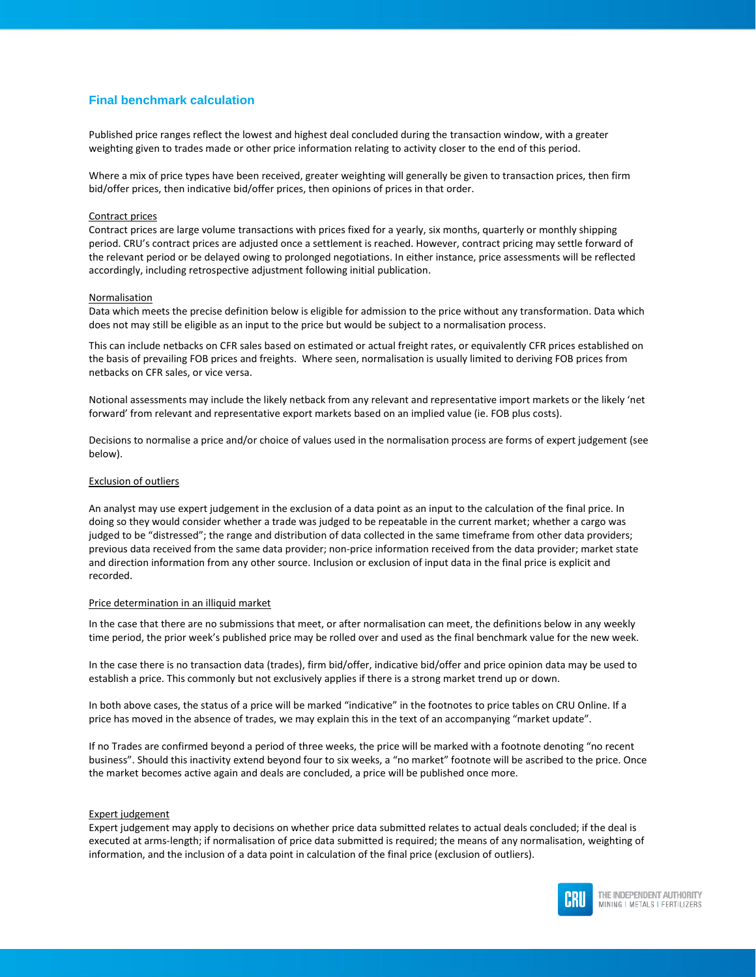#### **Final benchmark calculation**

Published price ranges reflect the lowest and highest deal concluded during the transaction window, with a greater weighting given to trades made or other price information relating to activity closer to the end of this period.

Where a mix of price types have been received, greater weighting will generally be given to transaction prices, then firm bid/offer prices, then indicative bid/offer prices, then opinions of prices in that order.

#### Contract prices

Contract prices are large volume transactions with prices fixed for a yearly, six months, quarterly or monthly shipping period. CRU's contract prices are adjusted once a settlement is reached. However, contract pricing may settle forward of the relevant period or be delayed owing to prolonged negotiations. In either instance, price assessments will be reflected accordingly, including retrospective adjustment following initial publication.

#### **Normalisation**

Data which meets the precise definition below is eligible for admission to the price without any transformation. Data which does not may still be eligible as an input to the price but would be subject to a normalisation process.

This can include netbacks on CFR sales based on estimated or actual freight rates, or equivalently CFR prices established on the basis of prevailing FOB prices and freights. Where seen, normalisation is usually limited to deriving FOB prices from netbacks on CFR sales, or vice versa.

Notional assessments may include the likely netback from any relevant and representative import markets or the likely 'net forward' from relevant and representative export markets based on an implied value (ie. FOB plus costs).

Decisions to normalise a price and/or choice of values used in the normalisation process are forms of expert judgement (see below).

#### Exclusion of outliers

An analyst may use expert judgement in the exclusion of a data point as an input to the calculation of the final price. In doing so they would consider whether a trade was judged to be repeatable in the current market; whether a cargo was judged to be "distressed"; the range and distribution of data collected in the same timeframe from other data providers; previous data received from the same data provider; non-price information received from the data provider; market state and direction information from any other source. Inclusion or exclusion of input data in the final price is explicit and recorded.

#### Price determination in an illiquid market

In the case that there are no submissions that meet, or after normalisation can meet, the definitions below in any weekly time period, the prior week's published price may be rolled over and used as the final benchmark value for the new week.

In the case there is no transaction data (trades), firm bid/offer, indicative bid/offer and price opinion data may be used to establish a price. This commonly but not exclusively applies if there is a strong market trend up or down.

In both above cases, the status of a price will be marked "indicative" in the footnotes to price tables on CRU Online. If a price has moved in the absence of trades, we may explain this in the text of an accompanying "market update".

If no Trades are confirmed beyond a period of three weeks, the price will be marked with a footnote denoting "no recent business". Should this inactivity extend beyond four to six weeks, a "no market" footnote will be ascribed to the price. Once the market becomes active again and deals are concluded, a price will be published once more.

#### Expert judgement

Expert judgement may apply to decisions on whether price data submitted relates to actual deals concluded; if the deal is executed at arms-length; if normalisation of price data submitted is required; the means of any normalisation, weighting of information, and the inclusion of a data point in calculation of the final price (exclusion of outliers).

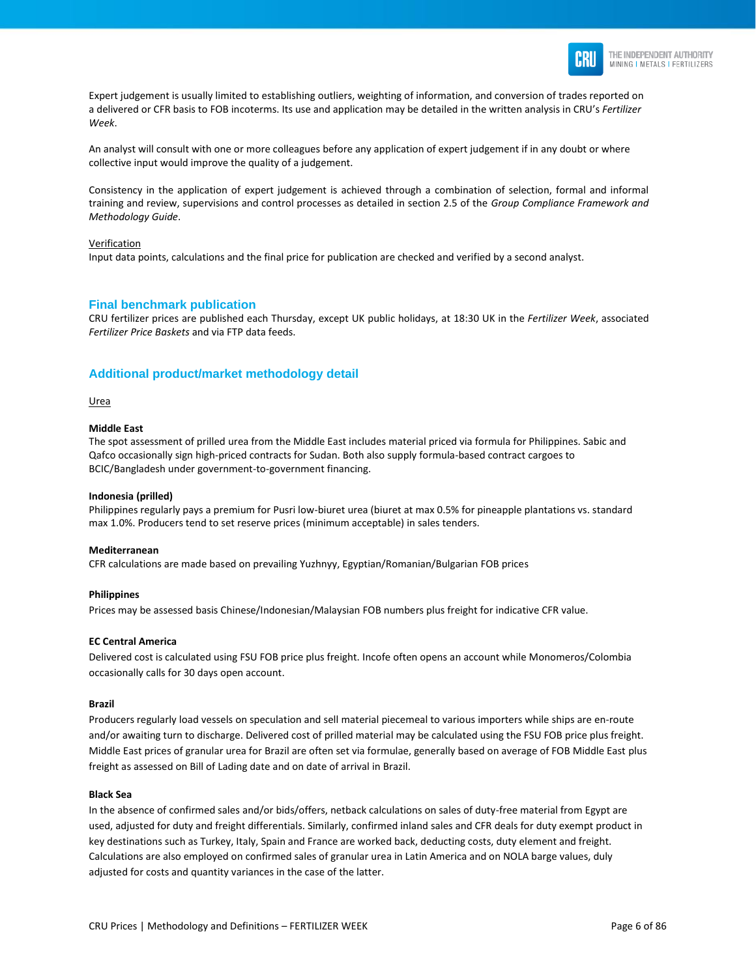

Expert judgement is usually limited to establishing outliers, weighting of information, and conversion of trades reported on a delivered or CFR basis to FOB incoterms. Its use and application may be detailed in the written analysis in CRU's *Fertilizer Week*.

An analyst will consult with one or more colleagues before any application of expert judgement if in any doubt or where collective input would improve the quality of a judgement.

Consistency in the application of expert judgement is achieved through a combination of selection, formal and informal training and review, supervisions and control processes as detailed in section 2.5 of the *Group Compliance Framework and Methodology Guide*.

#### Verification

Input data points, calculations and the final price for publication are checked and verified by a second analyst.

#### **Final benchmark publication**

CRU fertilizer prices are published each Thursday, except UK public holidays, at 18:30 UK in the *Fertilizer Week*, associated *Fertilizer Price Baskets* and via FTP data feeds.

#### **Additional product/market methodology detail**

Urea

#### **Middle East**

The spot assessment of prilled urea from the Middle East includes material priced via formula for Philippines. Sabic and Qafco occasionally sign high-priced contracts for Sudan. Both also supply formula-based contract cargoes to BCIC/Bangladesh under government-to-government financing.

#### **Indonesia (prilled)**

Philippines regularly pays a premium for Pusri low-biuret urea (biuret at max 0.5% for pineapple plantations vs. standard max 1.0%. Producers tend to set reserve prices (minimum acceptable) in sales tenders.

#### **Mediterranean**

CFR calculations are made based on prevailing Yuzhnyy, Egyptian/Romanian/Bulgarian FOB prices

#### **Philippines**

Prices may be assessed basis Chinese/Indonesian/Malaysian FOB numbers plus freight for indicative CFR value.

#### **EC Central America**

Delivered cost is calculated using FSU FOB price plus freight. Incofe often opens an account while Monomeros/Colombia occasionally calls for 30 days open account.

#### **Brazil**

Producers regularly load vessels on speculation and sell material piecemeal to various importers while ships are en-route and/or awaiting turn to discharge. Delivered cost of prilled material may be calculated using the FSU FOB price plus freight. Middle East prices of granular urea for Brazil are often set via formulae, generally based on average of FOB Middle East plus freight as assessed on Bill of Lading date and on date of arrival in Brazil.

#### **Black Sea**

In the absence of confirmed sales and/or bids/offers, netback calculations on sales of duty-free material from Egypt are used, adjusted for duty and freight differentials. Similarly, confirmed inland sales and CFR deals for duty exempt product in key destinations such as Turkey, Italy, Spain and France are worked back, deducting costs, duty element and freight. Calculations are also employed on confirmed sales of granular urea in Latin America and on NOLA barge values, duly adjusted for costs and quantity variances in the case of the latter.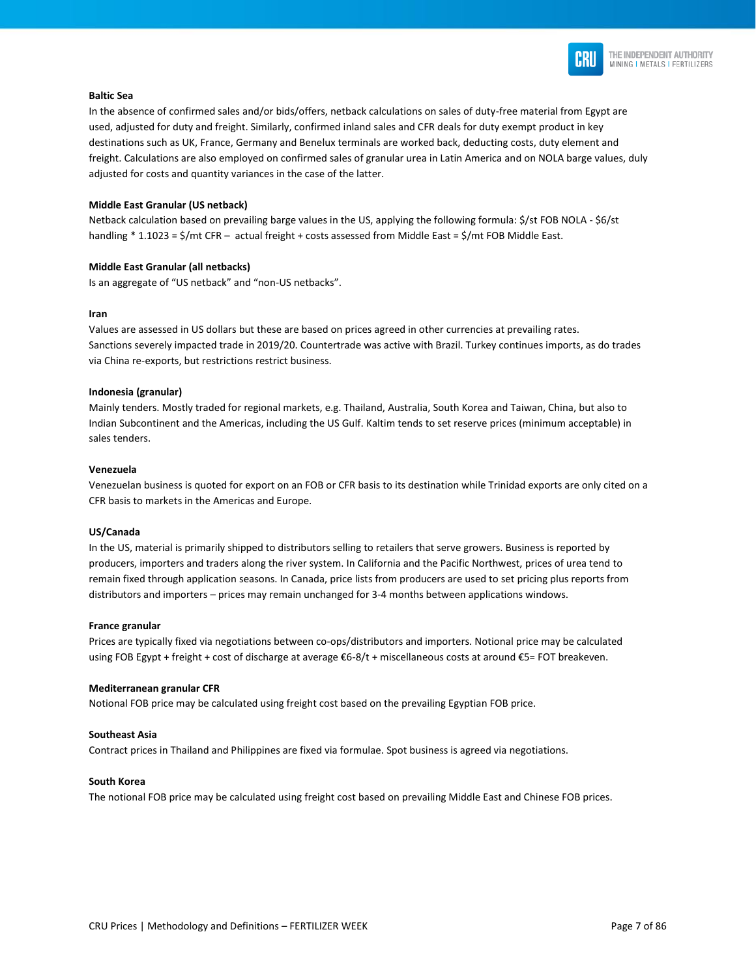

#### **Baltic Sea**

In the absence of confirmed sales and/or bids/offers, netback calculations on sales of duty-free material from Egypt are used, adjusted for duty and freight. Similarly, confirmed inland sales and CFR deals for duty exempt product in key destinations such as UK, France, Germany and Benelux terminals are worked back, deducting costs, duty element and freight. Calculations are also employed on confirmed sales of granular urea in Latin America and on NOLA barge values, duly adjusted for costs and quantity variances in the case of the latter.

#### **Middle East Granular (US netback)**

Netback calculation based on prevailing barge values in the US, applying the following formula: \$/st FOB NOLA - \$6/st handling \* 1.1023 = \$/mt CFR - actual freight + costs assessed from Middle East = \$/mt FOB Middle East.

#### **Middle East Granular (all netbacks)**

Is an aggregate of "US netback" and "non-US netbacks".

#### **Iran**

Values are assessed in US dollars but these are based on prices agreed in other currencies at prevailing rates. Sanctions severely impacted trade in 2019/20. Countertrade was active with Brazil. Turkey continues imports, as do trades via China re-exports, but restrictions restrict business.

#### **Indonesia (granular)**

Mainly tenders. Mostly traded for regional markets, e.g. Thailand, Australia, South Korea and Taiwan, China, but also to Indian Subcontinent and the Americas, including the US Gulf. Kaltim tends to set reserve prices (minimum acceptable) in sales tenders.

#### **Venezuela**

Venezuelan business is quoted for export on an FOB or CFR basis to its destination while Trinidad exports are only cited on a CFR basis to markets in the Americas and Europe.

#### **US/Canada**

In the US, material is primarily shipped to distributors selling to retailers that serve growers. Business is reported by producers, importers and traders along the river system. In California and the Pacific Northwest, prices of urea tend to remain fixed through application seasons. In Canada, price lists from producers are used to set pricing plus reports from distributors and importers – prices may remain unchanged for 3-4 months between applications windows.

#### **France granular**

Prices are typically fixed via negotiations between co-ops/distributors and importers. Notional price may be calculated using FOB Egypt + freight + cost of discharge at average €6-8/t + miscellaneous costs at around €5= FOT breakeven.

#### **Mediterranean granular CFR**

Notional FOB price may be calculated using freight cost based on the prevailing Egyptian FOB price.

#### **Southeast Asia**

Contract prices in Thailand and Philippines are fixed via formulae. Spot business is agreed via negotiations.

#### **South Korea**

The notional FOB price may be calculated using freight cost based on prevailing Middle East and Chinese FOB prices.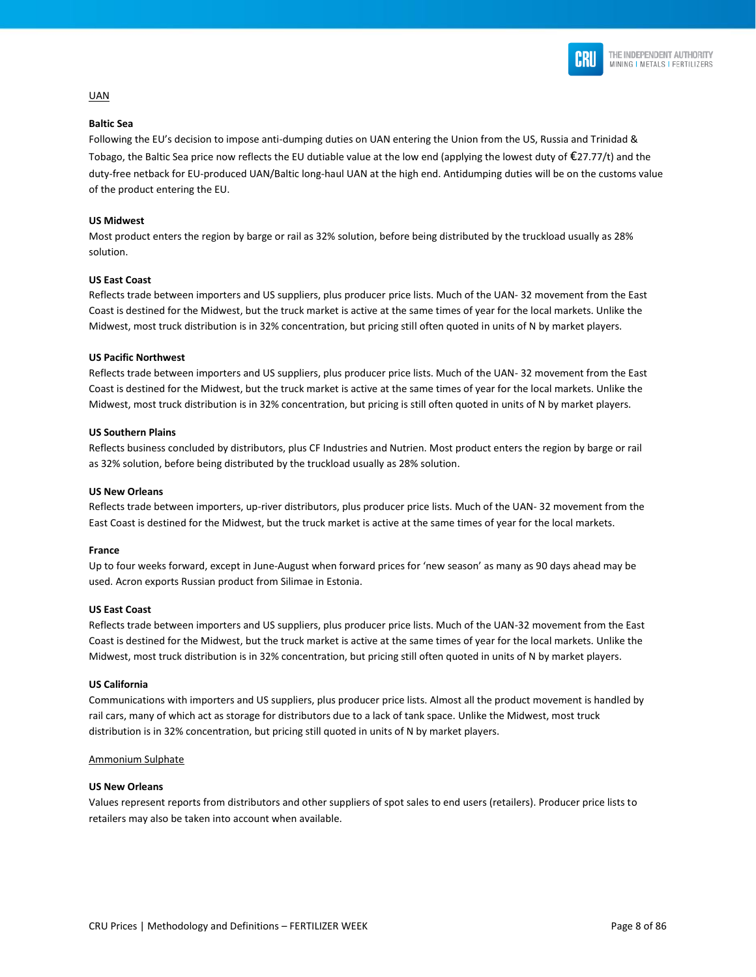

# UAN

#### **Baltic Sea**

Following the EU's decision to impose anti-dumping duties on UAN entering the Union from the US, Russia and Trinidad & Tobago, the Baltic Sea price now reflects the EU dutiable value at the low end (applying the lowest duty of  $E$ 27.77/t) and the duty-free netback for EU-produced UAN/Baltic long-haul UAN at the high end. Antidumping duties will be on the customs value of the product entering the EU.

#### **US Midwest**

Most product enters the region by barge or rail as 32% solution, before being distributed by the truckload usually as 28% solution.

#### **US East Coast**

Reflects trade between importers and US suppliers, plus producer price lists. Much of the UAN- 32 movement from the East Coast is destined for the Midwest, but the truck market is active at the same times of year for the local markets. Unlike the Midwest, most truck distribution is in 32% concentration, but pricing still often quoted in units of N by market players.

#### **US Pacific Northwest**

Reflects trade between importers and US suppliers, plus producer price lists. Much of the UAN- 32 movement from the East Coast is destined for the Midwest, but the truck market is active at the same times of year for the local markets. Unlike the Midwest, most truck distribution is in 32% concentration, but pricing is still often quoted in units of N by market players.

#### **US Southern Plains**

Reflects business concluded by distributors, plus CF Industries and Nutrien. Most product enters the region by barge or rail as 32% solution, before being distributed by the truckload usually as 28% solution.

#### **US New Orleans**

Reflects trade between importers, up-river distributors, plus producer price lists. Much of the UAN- 32 movement from the East Coast is destined for the Midwest, but the truck market is active at the same times of year for the local markets.

#### **France**

Up to four weeks forward, except in June-August when forward prices for 'new season' as many as 90 days ahead may be used. Acron exports Russian product from Silimae in Estonia.

#### **US East Coast**

Reflects trade between importers and US suppliers, plus producer price lists. Much of the UAN-32 movement from the East Coast is destined for the Midwest, but the truck market is active at the same times of year for the local markets. Unlike the Midwest, most truck distribution is in 32% concentration, but pricing still often quoted in units of N by market players.

#### **US California**

Communications with importers and US suppliers, plus producer price lists. Almost all the product movement is handled by rail cars, many of which act as storage for distributors due to a lack of tank space. Unlike the Midwest, most truck distribution is in 32% concentration, but pricing still quoted in units of N by market players.

#### Ammonium Sulphate

#### **US New Orleans**

Values represent reports from distributors and other suppliers of spot sales to end users (retailers). Producer price lists to retailers may also be taken into account when available.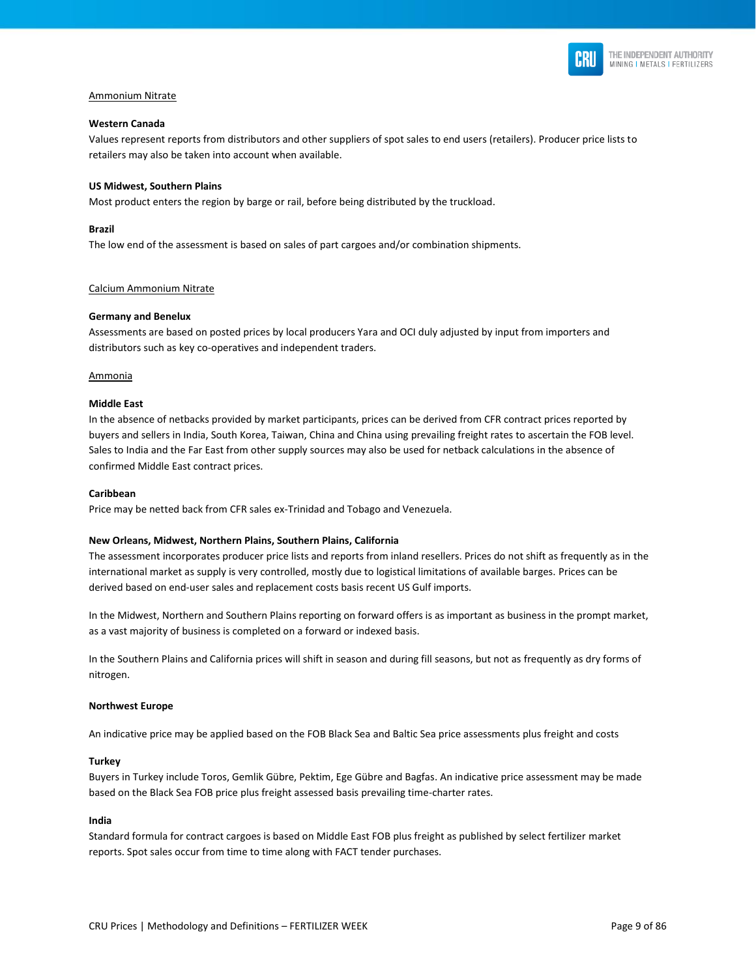

#### Ammonium Nitrate

#### **Western Canada**

Values represent reports from distributors and other suppliers of spot sales to end users (retailers). Producer price lists to retailers may also be taken into account when available.

#### **US Midwest, Southern Plains**

Most product enters the region by barge or rail, before being distributed by the truckload.

#### **Brazil**

The low end of the assessment is based on sales of part cargoes and/or combination shipments.

#### Calcium Ammonium Nitrate

#### **Germany and Benelux**

Assessments are based on posted prices by local producers Yara and OCI duly adjusted by input from importers and distributors such as key co-operatives and independent traders.

#### Ammonia

#### **Middle East**

In the absence of netbacks provided by market participants, prices can be derived from CFR contract prices reported by buyers and sellers in India, South Korea, Taiwan, China and China using prevailing freight rates to ascertain the FOB level. Sales to India and the Far East from other supply sources may also be used for netback calculations in the absence of confirmed Middle East contract prices.

#### **Caribbean**

Price may be netted back from CFR sales ex-Trinidad and Tobago and Venezuela.

#### **New Orleans, Midwest, Northern Plains, Southern Plains, California**

The assessment incorporates producer price lists and reports from inland resellers. Prices do not shift as frequently as in the international market as supply is very controlled, mostly due to logistical limitations of available barges. Prices can be derived based on end-user sales and replacement costs basis recent US Gulf imports.

In the Midwest, Northern and Southern Plains reporting on forward offers is as important as business in the prompt market, as a vast majority of business is completed on a forward or indexed basis.

In the Southern Plains and California prices will shift in season and during fill seasons, but not as frequently as dry forms of nitrogen.

#### **Northwest Europe**

An indicative price may be applied based on the FOB Black Sea and Baltic Sea price assessments plus freight and costs

#### **Turkey**

Buyers in Turkey include Toros, Gemlik Gübre, Pektim, Ege Gübre and Bagfas. An indicative price assessment may be made based on the Black Sea FOB price plus freight assessed basis prevailing time-charter rates.

#### **India**

Standard formula for contract cargoes is based on Middle East FOB plus freight as published by select fertilizer market reports. Spot sales occur from time to time along with FACT tender purchases.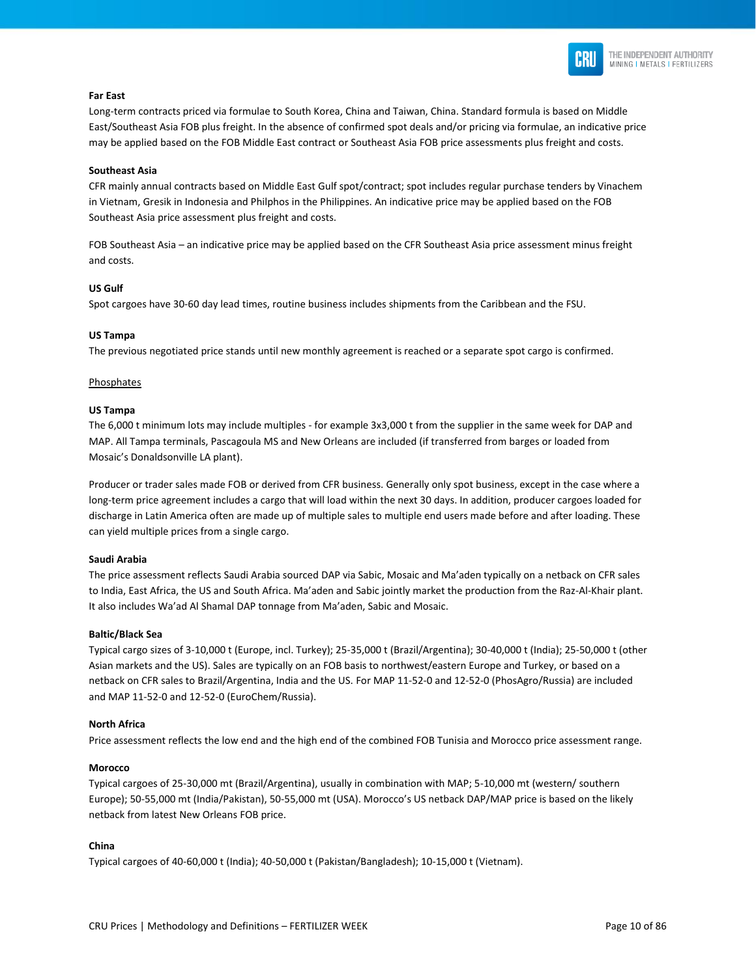

#### THE INDEPENDENT AUTHORITY MINING I METALS I FERTILIZERS

#### **Far East**

Long-term contracts priced via formulae to South Korea, China and Taiwan, China. Standard formula is based on Middle East/Southeast Asia FOB plus freight. In the absence of confirmed spot deals and/or pricing via formulae, an indicative price may be applied based on the FOB Middle East contract or Southeast Asia FOB price assessments plus freight and costs.

#### **Southeast Asia**

CFR mainly annual contracts based on Middle East Gulf spot/contract; spot includes regular purchase tenders by Vinachem in Vietnam, Gresik in Indonesia and Philphos in the Philippines. An indicative price may be applied based on the FOB Southeast Asia price assessment plus freight and costs.

FOB Southeast Asia – an indicative price may be applied based on the CFR Southeast Asia price assessment minus freight and costs.

#### **US Gulf**

Spot cargoes have 30-60 day lead times, routine business includes shipments from the Caribbean and the FSU.

#### **US Tampa**

The previous negotiated price stands until new monthly agreement is reached or a separate spot cargo is confirmed.

#### Phosphates

#### **US Tampa**

The 6,000 t minimum lots may include multiples - for example 3x3,000 t from the supplier in the same week for DAP and MAP. All Tampa terminals, Pascagoula MS and New Orleans are included (if transferred from barges or loaded from Mosaic's Donaldsonville LA plant).

Producer or trader sales made FOB or derived from CFR business. Generally only spot business, except in the case where a long-term price agreement includes a cargo that will load within the next 30 days. In addition, producer cargoes loaded for discharge in Latin America often are made up of multiple sales to multiple end users made before and after loading. These can yield multiple prices from a single cargo.

#### **Saudi Arabia**

The price assessment reflects Saudi Arabia sourced DAP via Sabic, Mosaic and Ma'aden typically on a netback on CFR sales to India, East Africa, the US and South Africa. Ma'aden and Sabic jointly market the production from the Raz-Al-Khair plant. It also includes Wa'ad Al Shamal DAP tonnage from Ma'aden, Sabic and Mosaic.

#### **Baltic/Black Sea**

Typical cargo sizes of 3-10,000 t (Europe, incl. Turkey); 25-35,000 t (Brazil/Argentina); 30-40,000 t (India); 25-50,000 t (other Asian markets and the US). Sales are typically on an FOB basis to northwest/eastern Europe and Turkey, or based on a netback on CFR sales to Brazil/Argentina, India and the US. For MAP 11-52-0 and 12-52-0 (PhosAgro/Russia) are included and MAP 11-52-0 and 12-52-0 (EuroChem/Russia).

#### **North Africa**

Price assessment reflects the low end and the high end of the combined FOB Tunisia and Morocco price assessment range.

#### **Morocco**

Typical cargoes of 25-30,000 mt (Brazil/Argentina), usually in combination with MAP; 5-10,000 mt (western/ southern Europe); 50-55,000 mt (India/Pakistan), 50-55,000 mt (USA). Morocco's US netback DAP/MAP price is based on the likely netback from latest New Orleans FOB price.

#### **China**

Typical cargoes of 40-60,000 t (India); 40-50,000 t (Pakistan/Bangladesh); 10-15,000 t (Vietnam).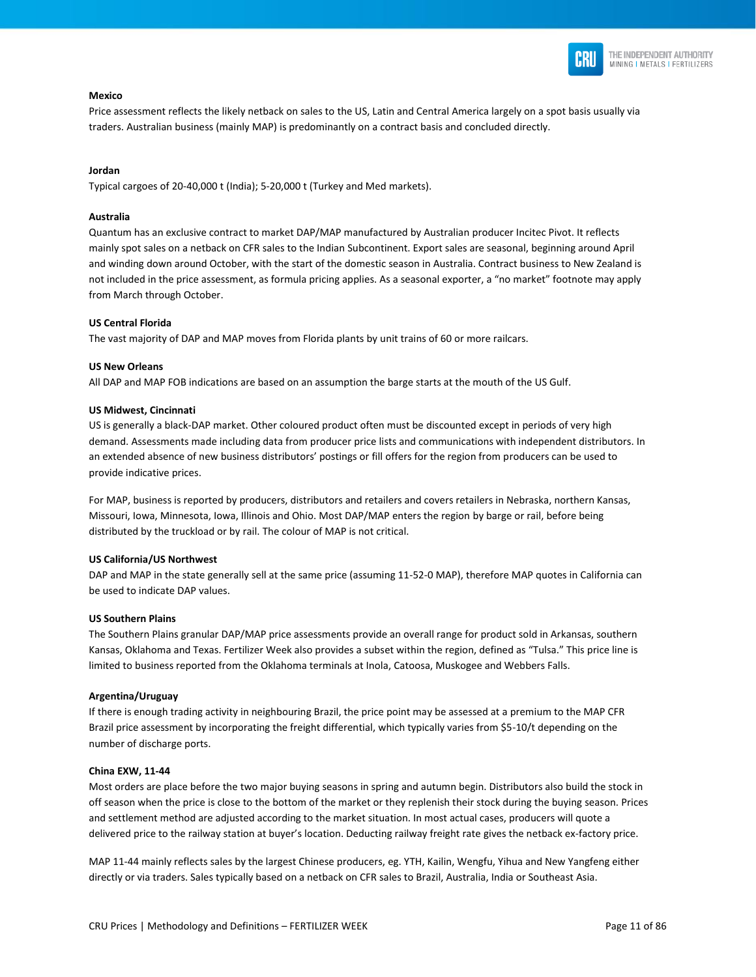

#### **Mexico**

Price assessment reflects the likely netback on sales to the US, Latin and Central America largely on a spot basis usually via traders. Australian business (mainly MAP) is predominantly on a contract basis and concluded directly.

#### **Jordan**

Typical cargoes of 20-40,000 t (India); 5-20,000 t (Turkey and Med markets).

#### **Australia**

Quantum has an exclusive contract to market DAP/MAP manufactured by Australian producer Incitec Pivot. It reflects mainly spot sales on a netback on CFR sales to the Indian Subcontinent. Export sales are seasonal, beginning around April and winding down around October, with the start of the domestic season in Australia. Contract business to New Zealand is not included in the price assessment, as formula pricing applies. As a seasonal exporter, a "no market" footnote may apply from March through October.

#### **US Central Florida**

The vast majority of DAP and MAP moves from Florida plants by unit trains of 60 or more railcars.

#### **US New Orleans**

All DAP and MAP FOB indications are based on an assumption the barge starts at the mouth of the US Gulf.

#### **US Midwest, Cincinnati**

US is generally a black-DAP market. Other coloured product often must be discounted except in periods of very high demand. Assessments made including data from producer price lists and communications with independent distributors. In an extended absence of new business distributors' postings or fill offers for the region from producers can be used to provide indicative prices.

For MAP, business is reported by producers, distributors and retailers and covers retailers in Nebraska, northern Kansas, Missouri, Iowa, Minnesota, Iowa, Illinois and Ohio. Most DAP/MAP enters the region by barge or rail, before being distributed by the truckload or by rail. The colour of MAP is not critical.

#### **US California/US Northwest**

DAP and MAP in the state generally sell at the same price (assuming 11-52-0 MAP), therefore MAP quotes in California can be used to indicate DAP values.

#### **US Southern Plains**

The Southern Plains granular DAP/MAP price assessments provide an overall range for product sold in Arkansas, southern Kansas, Oklahoma and Texas. Fertilizer Week also provides a subset within the region, defined as "Tulsa." This price line is limited to business reported from the Oklahoma terminals at Inola, Catoosa, Muskogee and Webbers Falls.

#### **Argentina/Uruguay**

If there is enough trading activity in neighbouring Brazil, the price point may be assessed at a premium to the MAP CFR Brazil price assessment by incorporating the freight differential, which typically varies from \$5-10/t depending on the number of discharge ports.

#### **China EXW, 11-44**

Most orders are place before the two major buying seasons in spring and autumn begin. Distributors also build the stock in off season when the price is close to the bottom of the market or they replenish their stock during the buying season. Prices and settlement method are adjusted according to the market situation. In most actual cases, producers will quote a delivered price to the railway station at buyer's location. Deducting railway freight rate gives the netback ex-factory price.

MAP 11-44 mainly reflects sales by the largest Chinese producers, eg. YTH, Kailin, Wengfu, Yihua and New Yangfeng either directly or via traders. Sales typically based on a netback on CFR sales to Brazil, Australia, India or Southeast Asia.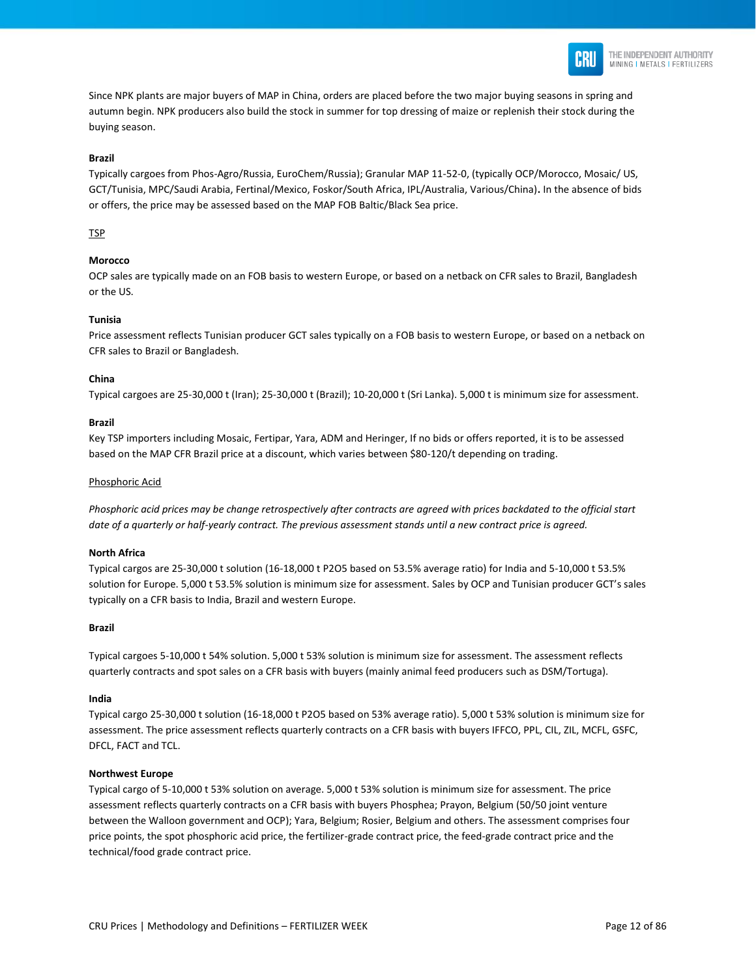

Since NPK plants are major buyers of MAP in China, orders are placed before the two major buying seasons in spring and autumn begin. NPK producers also build the stock in summer for top dressing of maize or replenish their stock during the buying season.

#### **Brazil**

Typically cargoes from Phos-Agro/Russia, EuroChem/Russia); Granular MAP 11-52-0, (typically OCP/Morocco, Mosaic/ US, GCT/Tunisia, MPC/Saudi Arabia, Fertinal/Mexico, Foskor/South Africa, IPL/Australia, Various/China)**.** In the absence of bids or offers, the price may be assessed based on the MAP FOB Baltic/Black Sea price.

#### TSP

#### **Morocco**

OCP sales are typically made on an FOB basis to western Europe, or based on a netback on CFR sales to Brazil, Bangladesh or the US.

#### **Tunisia**

Price assessment reflects Tunisian producer GCT sales typically on a FOB basis to western Europe, or based on a netback on CFR sales to Brazil or Bangladesh.

#### **China**

Typical cargoes are 25-30,000 t (Iran); 25-30,000 t (Brazil); 10-20,000 t (Sri Lanka). 5,000 t is minimum size for assessment.

#### **Brazil**

Key TSP importers including Mosaic, Fertipar, Yara, ADM and Heringer, If no bids or offers reported, it is to be assessed based on the MAP CFR Brazil price at a discount, which varies between \$80-120/t depending on trading.

#### Phosphoric Acid

*Phosphoric acid prices may be change retrospectively after contracts are agreed with prices backdated to the official start date of a quarterly or half-yearly contract. The previous assessment stands until a new contract price is agreed.*

#### **North Africa**

Typical cargos are 25-30,000 t solution (16-18,000 t P2O5 based on 53.5% average ratio) for India and 5-10,000 t 53.5% solution for Europe. 5,000 t 53.5% solution is minimum size for assessment. Sales by OCP and Tunisian producer GCT's sales typically on a CFR basis to India, Brazil and western Europe.

#### **Brazil**

Typical cargoes 5-10,000 t 54% solution. 5,000 t 53% solution is minimum size for assessment. The assessment reflects quarterly contracts and spot sales on a CFR basis with buyers (mainly animal feed producers such as DSM/Tortuga).

#### **India**

Typical cargo 25-30,000 t solution (16-18,000 t P2O5 based on 53% average ratio). 5,000 t 53% solution is minimum size for assessment. The price assessment reflects quarterly contracts on a CFR basis with buyers IFFCO, PPL, CIL, ZIL, MCFL, GSFC, DFCL, FACT and TCL.

#### **Northwest Europe**

Typical cargo of 5-10,000 t 53% solution on average. 5,000 t 53% solution is minimum size for assessment. The price assessment reflects quarterly contracts on a CFR basis with buyers Phosphea; Prayon, Belgium (50/50 joint venture between the Walloon government and OCP); Yara, Belgium; Rosier, Belgium and others. The assessment comprises four price points, the spot phosphoric acid price, the fertilizer-grade contract price, the feed-grade contract price and the technical/food grade contract price.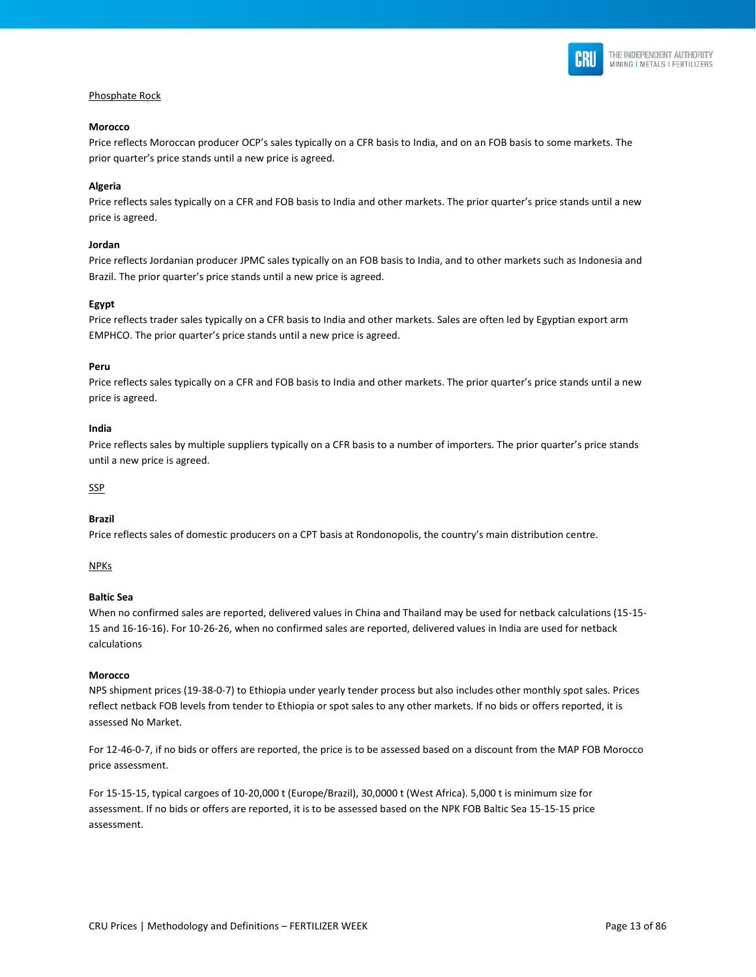

#### Phosphate Rock

#### **Morocco**

Price reflects Moroccan producer OCP's sales typically on a CFR basis to India, and on an FOB basis to some markets. The prior quarter's price stands until a new price is agreed.

#### **Algeria**

Price reflects sales typically on a CFR and FOB basis to India and other markets. The prior quarter's price stands until a new price is agreed.

#### **Jordan**

Price reflects Jordanian producer JPMC sales typically on an FOB basis to India, and to other markets such as Indonesia and Brazil. The prior quarter's price stands until a new price is agreed.

#### **Egypt**

Price reflects trader sales typically on a CFR basis to India and other markets. Sales are often led by Egyptian export arm EMPHCO. The prior quarter's price stands until a new price is agreed.

#### **Peru**

Price reflects sales typically on a CFR and FOB basis to India and other markets. The prior quarter's price stands until a new price is agreed.

#### **India**

Price reflects sales by multiple suppliers typically on a CFR basis to a number of importers. The prior quarter's price stands until a new price is agreed.

#### **SSP**

#### **Brazil**

Price reflects sales of domestic producers on a CPT basis at Rondonopolis, the country's main distribution centre.

#### NPKs

#### **Baltic Sea**

When no confirmed sales are reported, delivered values in China and Thailand may be used for netback calculations (15-15- 15 and 16-16-16). For 10-26-26, when no confirmed sales are reported, delivered values in India are used for netback calculations

#### **Morocco**

NPS shipment prices (19-38-0-7) to Ethiopia under yearly tender process but also includes other monthly spot sales. Prices reflect netback FOB levels from tender to Ethiopia or spot sales to any other markets. If no bids or offers reported, it is assessed No Market.

For 12-46-0-7, if no bids or offers are reported, the price is to be assessed based on a discount from the MAP FOB Morocco price assessment.

For 15-15-15, typical cargoes of 10-20,000 t (Europe/Brazil), 30,0000 t (West Africa). 5,000 t is minimum size for assessment. If no bids or offers are reported, it is to be assessed based on the NPK FOB Baltic Sea 15-15-15 price assessment.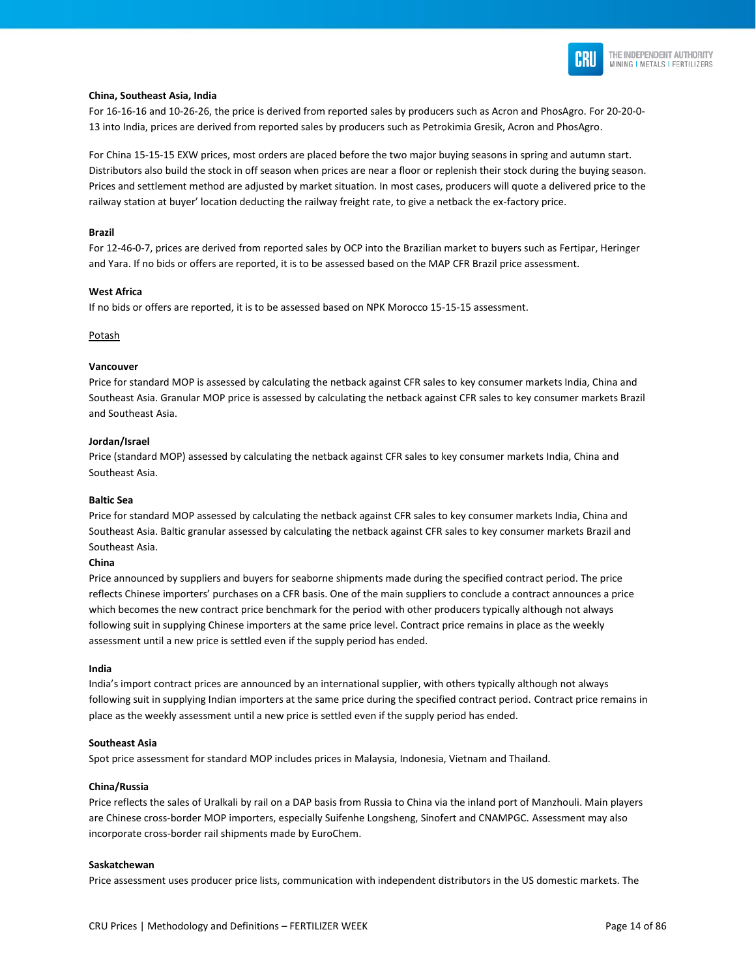

#### **China, Southeast Asia, India**

For 16-16-16 and 10-26-26, the price is derived from reported sales by producers such as Acron and PhosAgro. For 20-20-0- 13 into India, prices are derived from reported sales by producers such as Petrokimia Gresik, Acron and PhosAgro.

For China 15-15-15 EXW prices, most orders are placed before the two major buying seasons in spring and autumn start. Distributors also build the stock in off season when prices are near a floor or replenish their stock during the buying season. Prices and settlement method are adjusted by market situation. In most cases, producers will quote a delivered price to the railway station at buyer' location deducting the railway freight rate, to give a netback the ex-factory price.

#### **Brazil**

For 12-46-0-7, prices are derived from reported sales by OCP into the Brazilian market to buyers such as Fertipar, Heringer and Yara. If no bids or offers are reported, it is to be assessed based on the MAP CFR Brazil price assessment.

#### **West Africa**

If no bids or offers are reported, it is to be assessed based on NPK Morocco 15-15-15 assessment.

#### Potash

#### **Vancouver**

Price for standard MOP is assessed by calculating the netback against CFR sales to key consumer markets India, China and Southeast Asia. Granular MOP price is assessed by calculating the netback against CFR sales to key consumer markets Brazil and Southeast Asia.

#### **Jordan/Israel**

Price (standard MOP) assessed by calculating the netback against CFR sales to key consumer markets India, China and Southeast Asia.

#### **Baltic Sea**

Price for standard MOP assessed by calculating the netback against CFR sales to key consumer markets India, China and Southeast Asia. Baltic granular assessed by calculating the netback against CFR sales to key consumer markets Brazil and Southeast Asia.

#### **China**

Price announced by suppliers and buyers for seaborne shipments made during the specified contract period. The price reflects Chinese importers' purchases on a CFR basis. One of the main suppliers to conclude a contract announces a price which becomes the new contract price benchmark for the period with other producers typically although not always following suit in supplying Chinese importers at the same price level. Contract price remains in place as the weekly assessment until a new price is settled even if the supply period has ended.

#### **India**

India's import contract prices are announced by an international supplier, with others typically although not always following suit in supplying Indian importers at the same price during the specified contract period. Contract price remains in place as the weekly assessment until a new price is settled even if the supply period has ended.

#### **Southeast Asia**

Spot price assessment for standard MOP includes prices in Malaysia, Indonesia, Vietnam and Thailand.

#### **China/Russia**

Price reflects the sales of Uralkali by rail on a DAP basis from Russia to China via the inland port of Manzhouli. Main players are Chinese cross-border MOP importers, especially Suifenhe Longsheng, Sinofert and CNAMPGC. Assessment may also incorporate cross-border rail shipments made by EuroChem.

#### **Saskatchewan**

Price assessment uses producer price lists, communication with independent distributors in the US domestic markets. The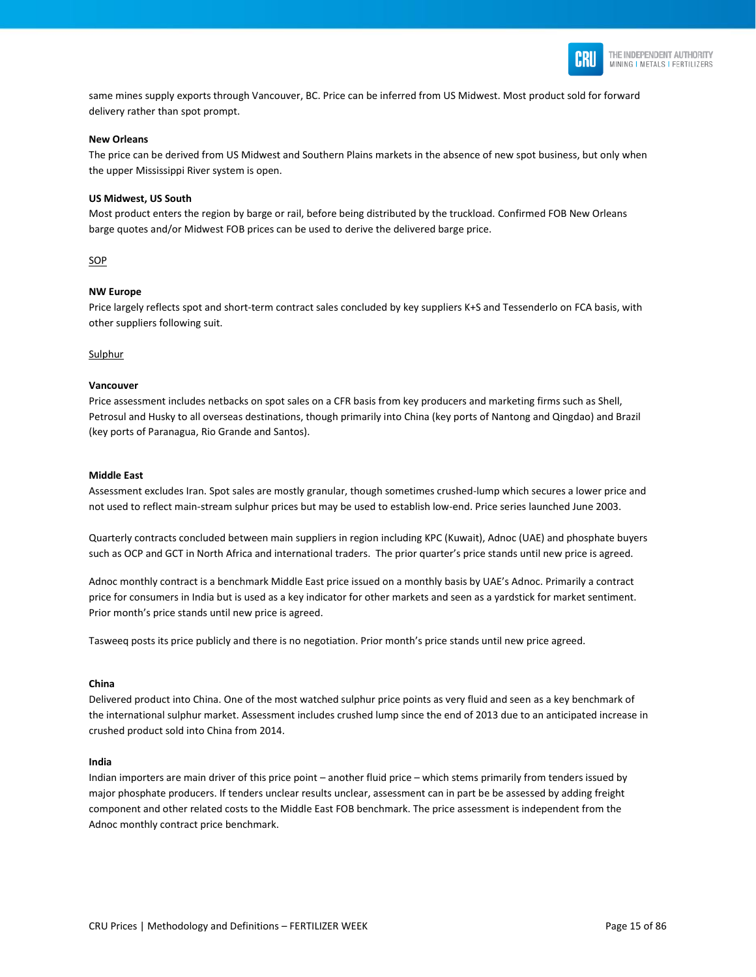

same mines supply exports through Vancouver, BC. Price can be inferred from US Midwest. Most product sold for forward delivery rather than spot prompt.

#### **New Orleans**

The price can be derived from US Midwest and Southern Plains markets in the absence of new spot business, but only when the upper Mississippi River system is open.

#### **US Midwest, US South**

Most product enters the region by barge or rail, before being distributed by the truckload. Confirmed FOB New Orleans barge quotes and/or Midwest FOB prices can be used to derive the delivered barge price.

#### SOP

#### **NW Europe**

Price largely reflects spot and short-term contract sales concluded by key suppliers K+S and Tessenderlo on FCA basis, with other suppliers following suit.

#### Sulphur

#### **Vancouver**

Price assessment includes netbacks on spot sales on a CFR basis from key producers and marketing firms such as Shell, Petrosul and Husky to all overseas destinations, though primarily into China (key ports of Nantong and Qingdao) and Brazil (key ports of Paranagua, Rio Grande and Santos).

#### **Middle East**

Assessment excludes Iran. Spot sales are mostly granular, though sometimes crushed-lump which secures a lower price and not used to reflect main-stream sulphur prices but may be used to establish low-end. Price series launched June 2003.

Quarterly contracts concluded between main suppliers in region including KPC (Kuwait), Adnoc (UAE) and phosphate buyers such as OCP and GCT in North Africa and international traders. The prior quarter's price stands until new price is agreed.

Adnoc monthly contract is a benchmark Middle East price issued on a monthly basis by UAE's Adnoc. Primarily a contract price for consumers in India but is used as a key indicator for other markets and seen as a yardstick for market sentiment. Prior month's price stands until new price is agreed.

Tasweeq posts its price publicly and there is no negotiation. Prior month's price stands until new price agreed.

#### **China**

Delivered product into China. One of the most watched sulphur price points as very fluid and seen as a key benchmark of the international sulphur market. Assessment includes crushed lump since the end of 2013 due to an anticipated increase in crushed product sold into China from 2014.

#### **India**

Indian importers are main driver of this price point – another fluid price – which stems primarily from tenders issued by major phosphate producers. If tenders unclear results unclear, assessment can in part be be assessed by adding freight component and other related costs to the Middle East FOB benchmark. The price assessment is independent from the Adnoc monthly contract price benchmark.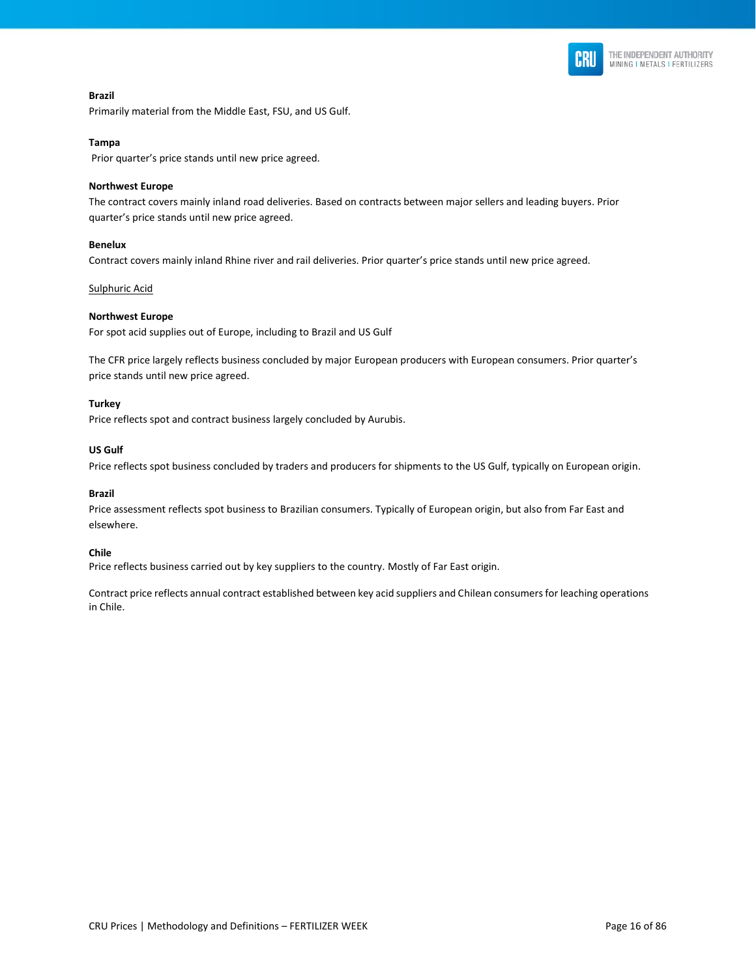

**Brazil** Primarily material from the Middle East, FSU, and US Gulf.

#### **Tampa**

Prior quarter's price stands until new price agreed.

#### **Northwest Europe**

The contract covers mainly inland road deliveries. Based on contracts between major sellers and leading buyers. Prior quarter's price stands until new price agreed.

#### **Benelux**

Contract covers mainly inland Rhine river and rail deliveries. Prior quarter's price stands until new price agreed.

#### Sulphuric Acid

#### **Northwest Europe**

For spot acid supplies out of Europe, including to Brazil and US Gulf

The CFR price largely reflects business concluded by major European producers with European consumers. Prior quarter's price stands until new price agreed.

#### **Turkey**

Price reflects spot and contract business largely concluded by Aurubis.

#### **US Gulf**

Price reflects spot business concluded by traders and producers for shipments to the US Gulf, typically on European origin.

#### **Brazil**

Price assessment reflects spot business to Brazilian consumers. Typically of European origin, but also from Far East and elsewhere.

#### **Chile**

Price reflects business carried out by key suppliers to the country. Mostly of Far East origin.

Contract price reflects annual contract established between key acid suppliers and Chilean consumers for leaching operations in Chile.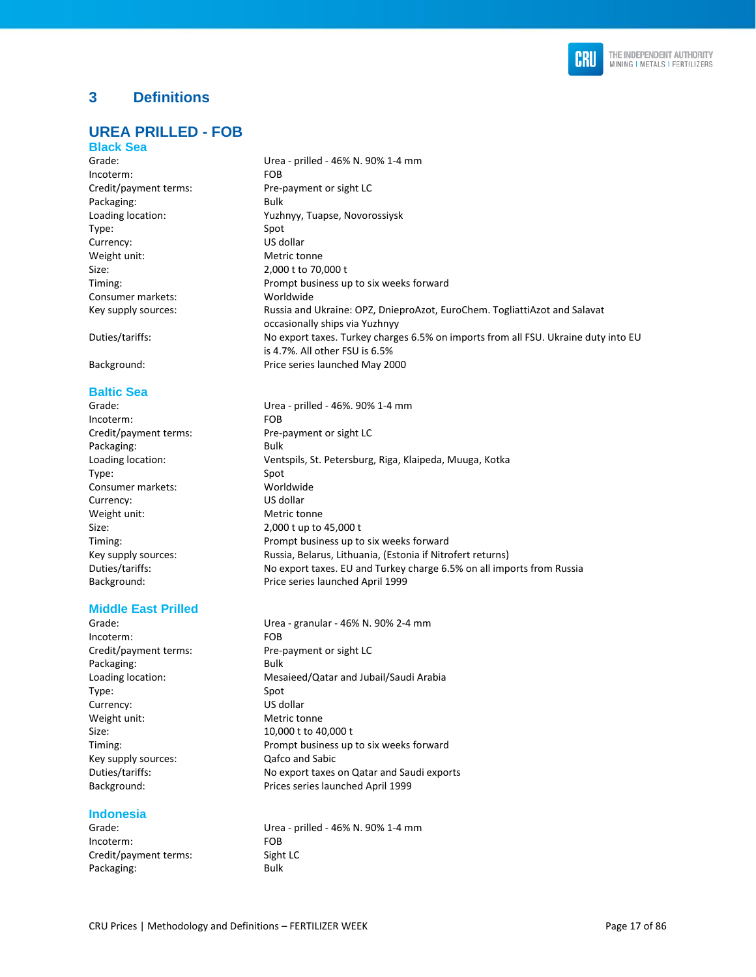

### **3 Definitions**

### **UREA PRILLED - FOB**

#### **Black Sea**

| Grade:                | Urea - prilled - 46% N. 90% 1-4 mm                                                                                   |
|-----------------------|----------------------------------------------------------------------------------------------------------------------|
| Incoterm:             | <b>FOB</b>                                                                                                           |
| Credit/payment terms: | Pre-payment or sight LC                                                                                              |
| Packaging:            | Bulk                                                                                                                 |
| Loading location:     | Yuzhnyy, Tuapse, Novorossiysk                                                                                        |
| Type:                 | Spot                                                                                                                 |
| Currency:             | US dollar                                                                                                            |
| Weight unit:          | Metric tonne                                                                                                         |
| Size:                 | 2,000 t to 70,000 t                                                                                                  |
| Timing:               | Prompt business up to six weeks forward                                                                              |
| Consumer markets:     | Worldwide                                                                                                            |
| Key supply sources:   | Russia and Ukraine: OPZ, DnieproAzot, EuroChem. TogliattiAzot and Salavat<br>occasionally ships via Yuzhnyy          |
| Duties/tariffs:       | No export taxes. Turkey charges 6.5% on imports from all FSU. Ukraine duty into EU<br>is 4.7%. All other FSU is 6.5% |

Background: Price series launched May 2000

#### **Baltic Sea**

Grade: Urea - prilled - 46%. 90% 1-4 mm Incoterm: FOB Credit/payment terms: Pre-payment or sight LC Packaging: Bulk Loading location: Ventspils, St. Petersburg, Riga, Klaipeda, Muuga, Kotka Type: Spot Consumer markets: Worldwide Currency: US dollar Weight unit: Metric tonne Size: 2,000 t up to 45,000 t Timing: Prompt business up to six weeks forward Key supply sources: Russia, Belarus, Lithuania, (Estonia if Nitrofert returns) Duties/tariffs: No export taxes. EU and Turkey charge 6.5% on all imports from Russia Background: Price series launched April 1999

#### **Middle East Prilled**

Grade: Urea - granular - 46% N. 90% 2-4 mm Incoterm: FOB Credit/payment terms: Pre-payment or sight LC Packaging: Bulk Loading location: Mesaieed/Qatar and Jubail/Saudi Arabia Type: Spot Currency: US dollar Weight unit: Metric tonne Size: 10,000 t to 40,000 t Timing: Prompt business up to six weeks forward Key supply sources: Qafco and Sabic Duties/tariffs: No export taxes on Qatar and Saudi exports Background: Prices series launched April 1999

#### **Indonesia**

Incoterm: FOB Credit/payment terms: Sight LC Packaging: Bulk

Grade: Urea - prilled - 46% N. 90% 1-4 mm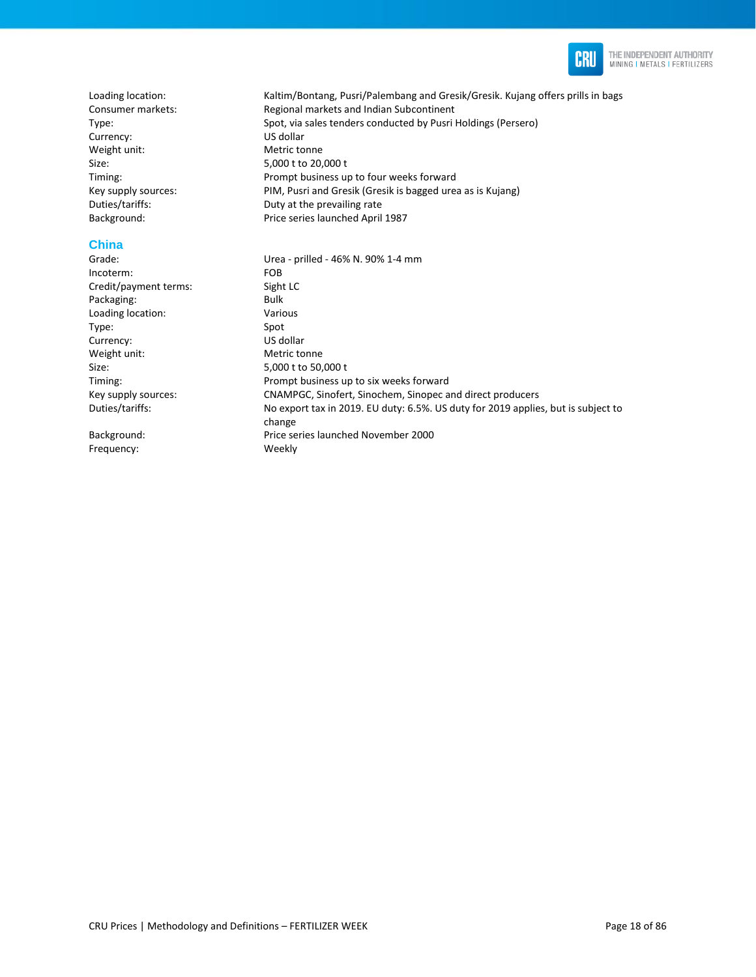

Loading location: Kaltim/Bontang, Pusri/Palembang and Gresik/Gresik. Kujang offers prills in bags Consumer markets: Regional markets and Indian Subcontinent Type: Spot, via sales tenders conducted by Pusri Holdings (Persero) Currency: US dollar Weight unit: Metric tonne Size: 5,000 t to 20,000 t Timing: Prompt business up to four weeks forward Key supply sources: PIM, Pusri and Gresik (Gresik is bagged urea as is Kujang) Duties/tariffs: Duty at the prevailing rate Background: Price series launched April 1987 **China**  Urea - prilled - 46% N. 90% 1-4 mm Incoterm: FOB Credit/payment terms: Sight LC Packaging: Bulk Loading location: Various Type: Spot<br>
Spot Currency: Spot US dollar Currency: Weight unit: Metric tonne Size: 5,000 t to 50,000 t Timing: Timing: Timing: Prompt business up to six weeks forward Key supply sources: CNAMPGC, Sinofert, Sinochem, Sinopec and direct producers Duties/tariffs: No export tax in 2019. EU duty: 6.5%. US duty for 2019 applies, but is subject to change

Background: Price series launched November 2000 Frequency: Weekly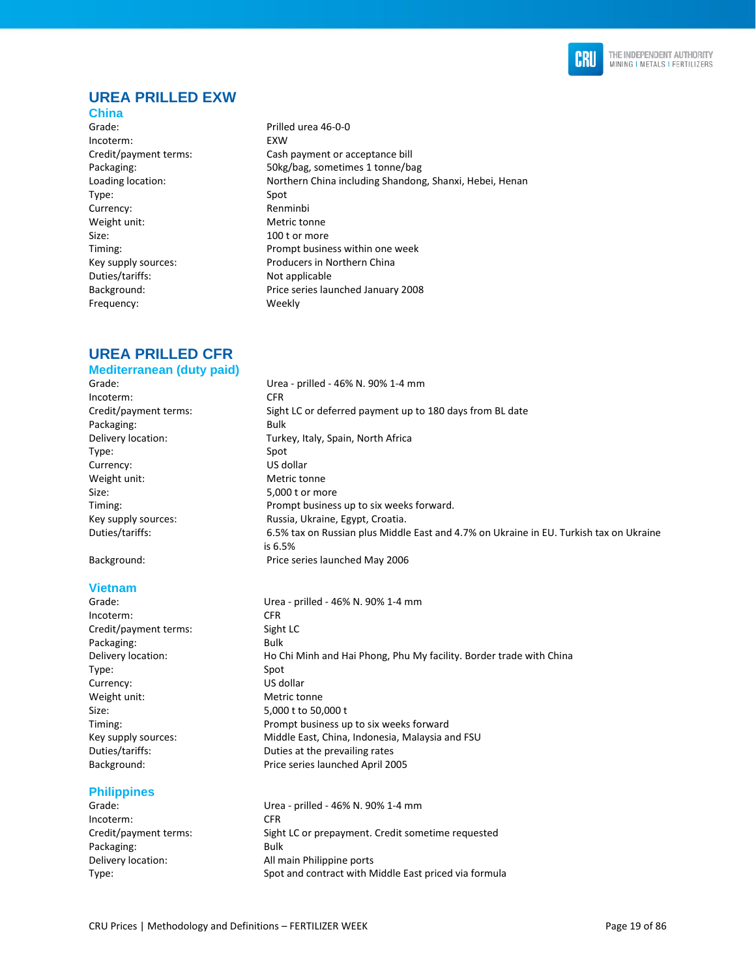

### **UREA PRILLED EXW**

- **China**
- Grade: Prilled urea 46-0-0 Incoterm: EXW Type: Spot Currency: Renminbi Weight unit: Metric tonne Size: 100 t or more Duties/tariffs: Not applicable Frequency: Weekly
- Credit/payment terms: Cash payment or acceptance bill Packaging: 50kg/bag, sometimes 1 tonne/bag Loading location: Northern China including Shandong, Shanxi, Hebei, Henan Timing: Prompt business within one week Key supply sources: Producers in Northern China Background: Price series launched January 2008

#### **UREA PRILLED CFR Mediterranean (duty paid)**

Grade: Urea - prilled - 46% N. 90% 1-4 mm Incoterm: CFR Credit/payment terms: Sight LC or deferred payment up to 180 days from BL date Packaging: Bulk Delivery location: Turkey, Italy, Spain, North Africa Type: Spot Currency: US dollar Weight unit: Metric tonne Size: 5,000 t or more Timing: Prompt business up to six weeks forward. Key supply sources: Russia, Ukraine, Egypt, Croatia.

#### **Vietnam**

Incoterm: CFR Credit/payment terms: Sight LC Packaging: Bulk Type: Spot Currency: US dollar Weight unit: Metric tonne Size: 5,000 t to 50,000 t

#### **Philippines**

Incoterm: CFR Packaging: Bulk

- Duties/tariffs: 6.5% tax on Russian plus Middle East and 4.7% on Ukraine in EU. Turkish tax on Ukraine is 6.5% Background: Price series launched May 2006
- Grade: Urea prilled 46% N. 90% 1-4 mm Delivery location: Ho Chi Minh and Hai Phong, Phu My facility. Border trade with China Timing: Prompt business up to six weeks forward Key supply sources: Middle East, China, Indonesia, Malaysia and FSU Duties/tariffs: Duties at the prevailing rates Background: Price series launched April 2005

Grade: Urea - prilled - 46% N. 90% 1-4 mm Credit/payment terms: Sight LC or prepayment. Credit sometime requested Delivery location: Main Philippine ports Type: Spot and contract with Middle East priced via formula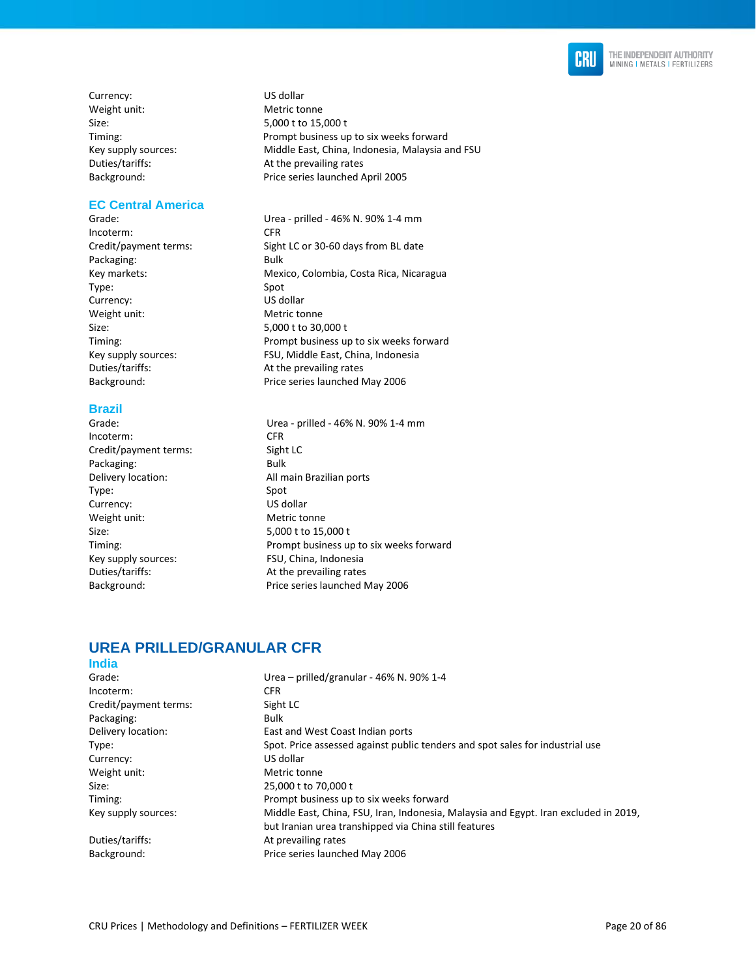

Currency: US dollar Weight unit: Metric tonne Size: 5,000 t to 15,000 t

#### **EC Central America**

Incoterm: CFR Packaging: Bulk Type: Spot Currency: US dollar Weight unit: Metric tonne Size: 5,000 t to 30,000 t Duties/tariffs: At the prevailing rates

#### **Brazil**

Incoterm: CFR Credit/payment terms: Sight LC Packaging: Bulk Type: Spot Currency: US dollar Weight unit: Metric tonne Size: 5,000 t to 15,000 t<br>Timing: 5,000 t to 15,000 t<br>Prompt business up Key supply sources: FSU, China, Indonesia Duties/tariffs: At the prevailing rates

Timing: Prompt business up to six weeks forward Key supply sources: Middle East, China, Indonesia, Malaysia and FSU Duties/tariffs: At the prevailing rates Background: Price series launched April 2005

Grade: Urea - prilled - 46% N. 90% 1-4 mm Credit/payment terms: Sight LC or 30-60 days from BL date Key markets: Mexico, Colombia, Costa Rica, Nicaragua Timing: Prompt business up to six weeks forward Key supply sources: FSU, Middle East, China, Indonesia Background: Price series launched May 2006

Grade: Urea - prilled - 46% N. 90% 1-4 mm Delivery location: Main Brazilian ports Prompt business up to six weeks forward Background: Price series launched May 2006

#### **UREA PRILLED/GRANULAR CFR India**

| Urea - prilled/granular - 46% N. 90% 1-4                                             |
|--------------------------------------------------------------------------------------|
| <b>CFR</b>                                                                           |
| Sight LC                                                                             |
| Bulk                                                                                 |
| East and West Coast Indian ports                                                     |
| Spot. Price assessed against public tenders and spot sales for industrial use        |
| US dollar                                                                            |
| Metric tonne                                                                         |
| 25,000 t to 70,000 t                                                                 |
| Prompt business up to six weeks forward                                              |
| Middle East, China, FSU, Iran, Indonesia, Malaysia and Egypt. Iran excluded in 2019, |
| but Iranian urea transhipped via China still features                                |
| At prevailing rates                                                                  |
| Price series launched May 2006                                                       |
|                                                                                      |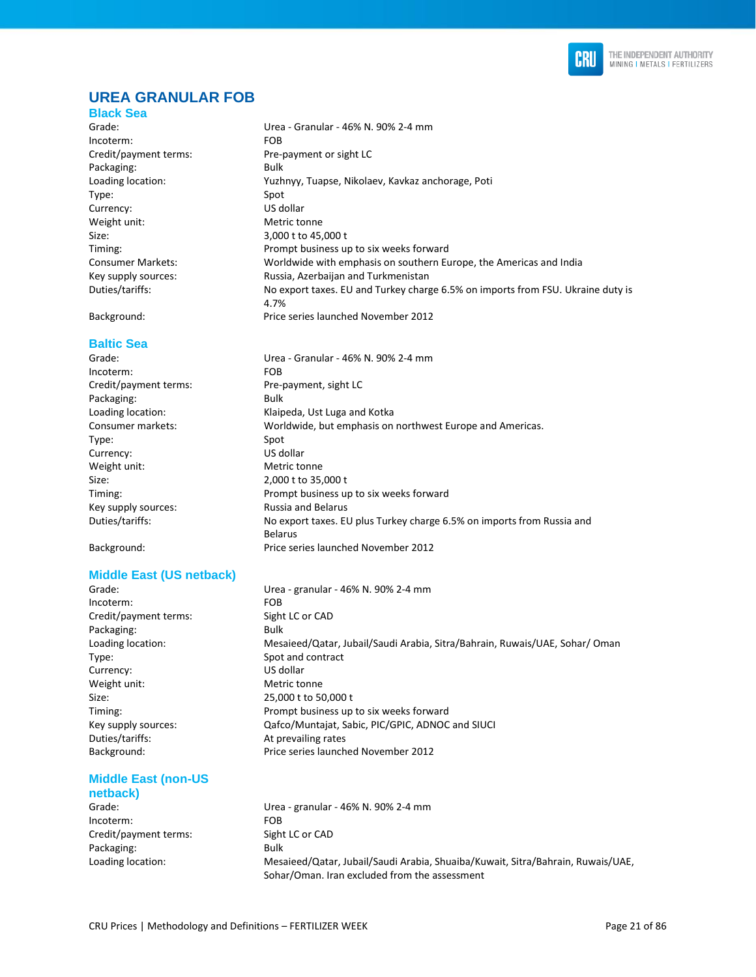

### **UREA GRANULAR FOB**

#### **Black Sea**

Grade: Urea - Granular - 46% N. 90% 2-4 mm Incoterm: FOB Packaging: Bulk Type: Spot Currency: US dollar Weight unit: Metric tonne Size: 3,000 t to 45,000 t

#### **Baltic Sea**

| Grade:                | Urea - Granular - 46% N. 90% 2-4 mm                                                      |
|-----------------------|------------------------------------------------------------------------------------------|
| Incoterm:             | FOB.                                                                                     |
| Credit/payment terms: | Pre-payment, sight LC                                                                    |
| Packaging:            | Bulk                                                                                     |
| Loading location:     | Klaipeda, Ust Luga and Kotka                                                             |
| Consumer markets:     | Worldwide, but emphasis on northwest Europe and Americas.                                |
| Type:                 | Spot                                                                                     |
| Currency:             | US dollar                                                                                |
| Weight unit:          | Metric tonne                                                                             |
| Size:                 | 2,000 t to 35,000 t                                                                      |
| Timing:               | Prompt business up to six weeks forward                                                  |
| Key supply sources:   | <b>Russia and Belarus</b>                                                                |
| Duties/tariffs:       | No export taxes. EU plus Turkey charge 6.5% on imports from Russia and<br><b>Belarus</b> |

#### **Middle East (US netback)**

Incoterm: FOB Credit/payment terms: Sight LC or CAD Packaging: Bulk Type: Spot and contract Currency: US dollar Weight unit: Metric tonne Size: 25,000 t to 50,000 t Duties/tariffs: At prevailing rates

### **Middle East (non-US**

# **netback)**

Incoterm: FOB Credit/payment terms: Sight LC or CAD Packaging: Bulk

Credit/payment terms: Pre-payment or sight LC Loading location: Yuzhnyy, Tuapse, Nikolaev, Kavkaz anchorage, Poti Timing: Prompt business up to six weeks forward Consumer Markets: Worldwide with emphasis on southern Europe, the Americas and India Key supply sources: Russia, Azerbaijan and Turkmenistan Duties/tariffs: No export taxes. EU and Turkey charge 6.5% on imports from FSU. Ukraine duty is 4.7% Background: Price series launched November 2012

Belarus Background: Price series launched November 2012

Grade: Urea - granular - 46% N. 90% 2-4 mm Loading location: Mesaieed/Qatar, Jubail/Saudi Arabia, Sitra/Bahrain, Ruwais/UAE, Sohar/ Oman Timing: Prompt business up to six weeks forward Key supply sources: Qafco/Muntajat, Sabic, PIC/GPIC, ADNOC and SIUCI Background: Price series launched November 2012

Grade: Urea - granular - 46% N. 90% 2-4 mm Loading location: Mesaieed/Qatar, Jubail/Saudi Arabia, Shuaiba/Kuwait, Sitra/Bahrain, Ruwais/UAE, Sohar/Oman. Iran excluded from the assessment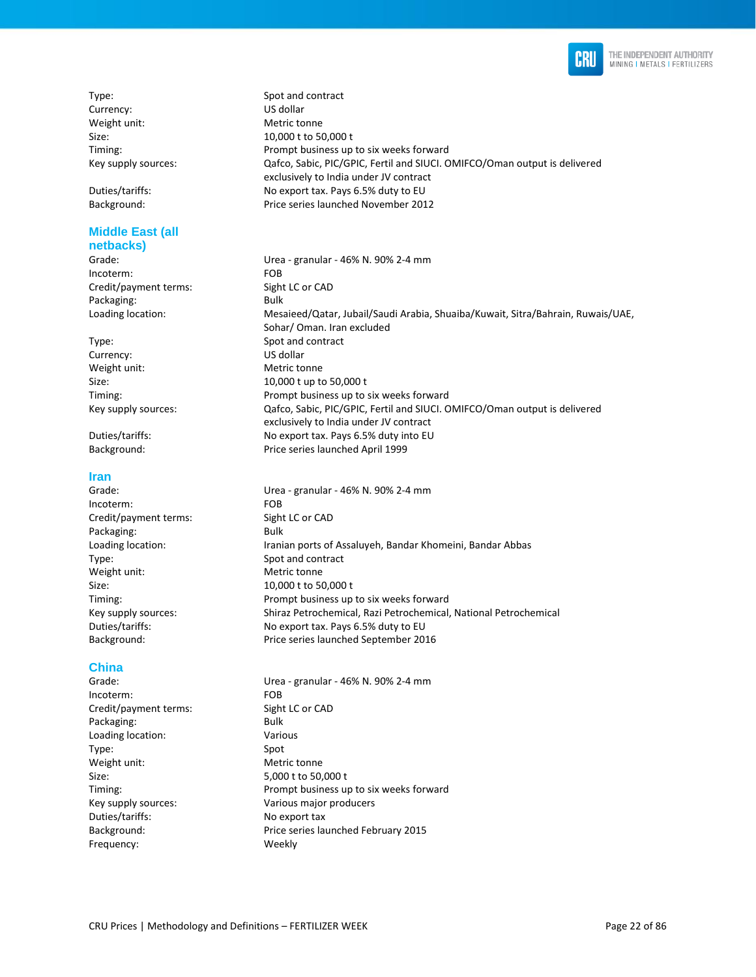

Type: Spot and contract Currency: US dollar Weight unit: Metric tonne

#### **Middle East (all netbacks)**

Incoterm: FOB Credit/payment terms: Sight LC or CAD Packaging: Bulk

Currency: US dollar Weight unit: Metric tonne

#### **Iran**

Grade: Urea - granular - 46% N. 90% 2-4 mm Incoterm: FOB Credit/payment terms: Sight LC or CAD Packaging: Bulk Loading location: Iranian ports of Assaluyeh, Bandar Khomeini, Bandar Abbas Type: Spot and contract Weight unit: Metric tonne Size: 10,000 t to 50,000 t Timing: Prompt business up to six weeks forward Key supply sources: Shiraz Petrochemical, Razi Petrochemical, National Petrochemical Duties/tariffs: No export tax. Pays 6.5% duty to EU Background: Price series launched September 2016

#### **China**

Grade: Urea - granular - 46% N. 90% 2-4 mm Incoterm: FOB Credit/payment terms: Sight LC or CAD Packaging: Bulk Loading location: Various Type: Spot Weight unit: Metric tonne Size: 5,000 t to 50,000 t Timing: Prompt business up to six weeks forward Key supply sources: Various major producers Duties/tariffs: No export tax Background: Price series launched February 2015 Frequency: Weekly

Size: 10,000 t to 50,000 t Timing: Prompt business up to six weeks forward Key supply sources: Qafco, Sabic, PIC/GPIC, Fertil and SIUCI. OMIFCO/Oman output is delivered exclusively to India under JV contract Duties/tariffs: No export tax. Pays 6.5% duty to EU Background: Price series launched November 2012

Grade: Urea - granular - 46% N. 90% 2-4 mm Loading location: Mesaieed/Qatar, Jubail/Saudi Arabia, Shuaiba/Kuwait, Sitra/Bahrain, Ruwais/UAE, Sohar/ Oman. Iran excluded Type: Spot and contract Size: 10,000 t up to 50,000 t Timing: Prompt business up to six weeks forward Key supply sources: Qafco, Sabic, PIC/GPIC, Fertil and SIUCI. OMIFCO/Oman output is delivered exclusively to India under JV contract Duties/tariffs: No export tax. Pays 6.5% duty into EU Background: Price series launched April 1999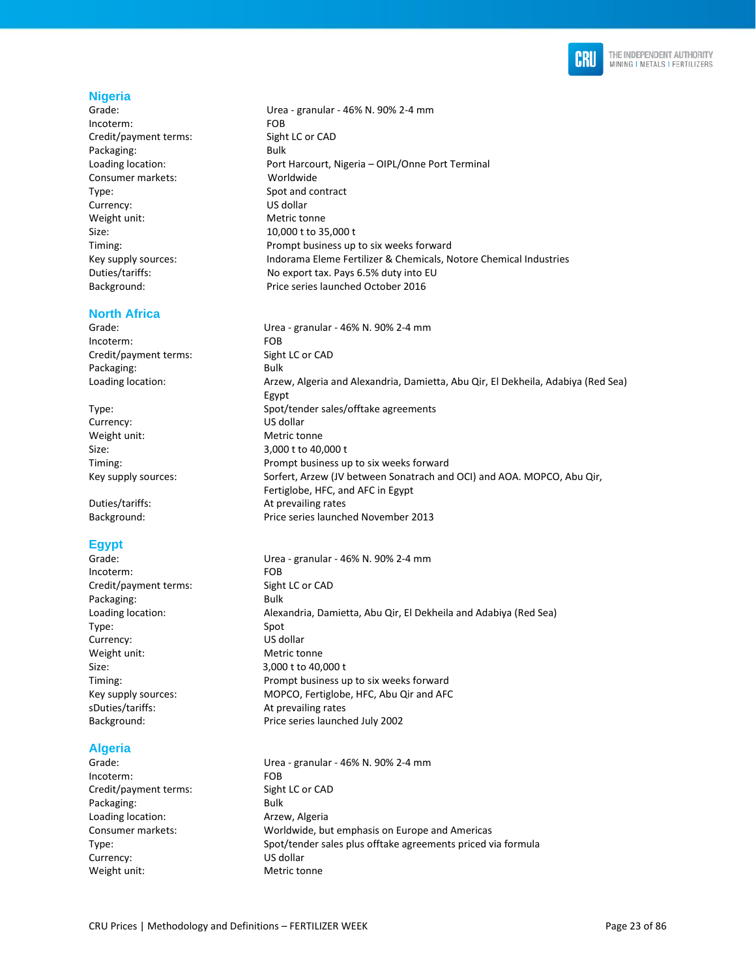

#### **Nigeria**

Grade: Urea - granular - 46% N. 90% 2-4 mm Incoterm: FOB Credit/payment terms: Sight LC or CAD Packaging: Bulk Consumer markets: Worldwide Type: Spot and contract Currency: US dollar Weight unit: Metric tonne Size: 10,000 t to 35,000 t

#### **North Africa**

Incoterm: FOB Credit/payment terms: Sight LC or CAD Packaging: Bulk

Currency: US dollar Weight unit: Metric tonne Size: 3,000 t to 40,000 t

### **Egypt**

| Grade:                | Urea - granular - 46% N. 90% 2-4 mm                              |
|-----------------------|------------------------------------------------------------------|
| Incoterm:             | FOB.                                                             |
| Credit/payment terms: | Sight LC or CAD                                                  |
| Packaging:            | <b>Bulk</b>                                                      |
| Loading location:     | Alexandria, Damietta, Abu Qir, El Dekheila and Adabiya (Red Sea) |
| Type:                 | Spot                                                             |
| Currency:             | US dollar                                                        |
| Weight unit:          | Metric tonne                                                     |
| Size:                 | 3,000 t to 40,000 t                                              |
| Timing:               | Prompt business up to six weeks forward                          |
| Key supply sources:   | MOPCO, Fertiglobe, HFC, Abu Qir and AFC                          |
| sDuties/tariffs:      | At prevailing rates                                              |
| Background:           | Price series launched July 2002                                  |
|                       |                                                                  |

### **Algeria**

Incoterm: FOB Credit/payment terms: Sight LC or CAD Packaging: Bulk Loading location: Arzew, Algeria Currency: US dollar Weight unit: Metric tonne

Loading location: Port Harcourt, Nigeria – OIPL/Onne Port Terminal Timing: Prompt business up to six weeks forward Key supply sources: Indorama Eleme Fertilizer & Chemicals, Notore Chemical Industries Duties/tariffs: No export tax. Pays 6.5% duty into EU Background: Price series launched October 2016

Grade: Urea - granular - 46% N. 90% 2-4 mm Loading location: Arzew, Algeria and Alexandria, Damietta, Abu Qir, El Dekheila, Adabiya (Red Sea) Egypt Type: Spot/tender sales/offtake agreements Timing: Prompt business up to six weeks forward Key supply sources: Sorfert, Arzew (JV between Sonatrach and OCI) and AOA. MOPCO, Abu Qir, Fertiglobe, HFC, and AFC in Egypt Duties/tariffs: At prevailing rates Background: Price series launched November 2013

Grade: Urea - granular - 46% N. 90% 2-4 mm Consumer markets: Worldwide, but emphasis on Europe and Americas Type: Spot/tender sales plus offtake agreements priced via formula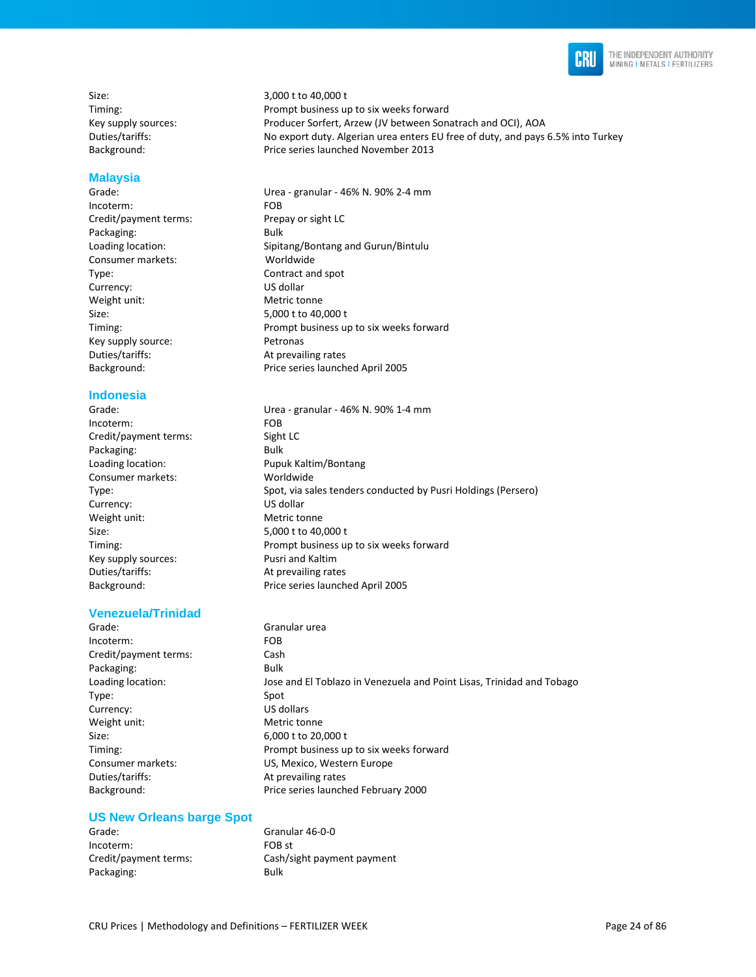

Size: 3,000 t to 40,000 t

#### **Malaysia**

Incoterm: FOB Credit/payment terms: Prepay or sight LC Packaging: Bulk Consumer markets: Worldwide Type: Contract and spot Currency: US dollar Weight unit: Metric tonne Size: 5,000 t to 40,000 t Key supply source: Petronas Duties/tariffs: At prevailing rates

#### **Indonesia**

Incoterm: FOB Credit/payment terms: Sight LC Packaging: Bulk Loading location: Pupuk Kaltim/Bontang Consumer markets: Worldwide Currency: US dollar Weight unit: Metric tonne Size: 5,000 t to 40,000 t Key supply sources: Pusri and Kaltim Duties/tariffs: At prevailing rates

#### **Venezuela/Trinidad**

Grade: Granular urea Incoterm: FOB Credit/payment terms: Cash Packaging: Bulk Type: Spot Currency: US dollars Weight unit: Metric tonne Size: 6,000 t to 20,000 t Consumer markets: US, Mexico, Western Europe Duties/tariffs: At prevailing rates

#### **US New Orleans barge Spot**

| Grade:                | Granular 46-0-0            |
|-----------------------|----------------------------|
| Incoterm:             | FOB st                     |
| Credit/payment terms: | Cash/sight payment payment |
| Packaging:            | Bulk                       |

Timing: Prompt business up to six weeks forward Key supply sources: Producer Sorfert, Arzew (JV between Sonatrach and OCI), AOA Duties/tariffs: No export duty. Algerian urea enters EU free of duty, and pays 6.5% into Turkey Background: Price series launched November 2013

Grade: Urea - granular - 46% N. 90% 2-4 mm Loading location: Sipitang/Bontang and Gurun/Bintulu Timing: Prompt business up to six weeks forward Background: Price series launched April 2005

Grade: Urea - granular - 46% N. 90% 1-4 mm Type: Spot, via sales tenders conducted by Pusri Holdings (Persero) Timing: Prompt business up to six weeks forward Background: Price series launched April 2005

Loading location: Jose and El Toblazo in Venezuela and Point Lisas, Trinidad and Tobago Timing: Prompt business up to six weeks forward Background: Price series launched February 2000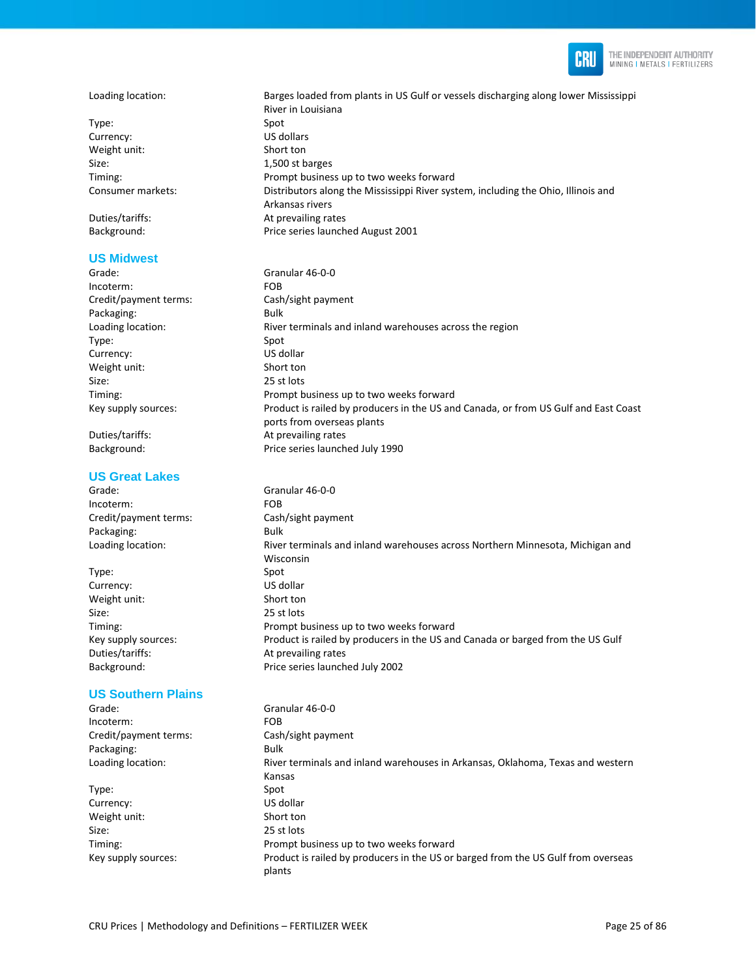

#### Loading location: Barges loaded from plants in US Gulf or vessels discharging along lower Mississippi

Type: Spot Currency: US dollars Weight unit: Short ton Size: 1,500 st barges

Background: Price series launched August 2001

#### **US Midwest**

River in Louisiana Timing: Prompt business up to two weeks forward Consumer markets: Distributors along the Mississippi River system, including the Ohio, Illinois and Arkansas rivers Duties/tariffs: At prevailing rates

Grade: Granular 46-0-0 Incoterm: FOB Credit/payment terms: Cash/sight payment Packaging: Bulk Loading location: **River terminals and inland warehouses across the region** Type: Spot Currency: US dollar Weight unit: Short ton Size: 25 st lots Timing: Prompt business up to two weeks forward Key supply sources: Product is railed by producers in the US and Canada, or from US Gulf and East Coast ports from overseas plants Duties/tariffs: At prevailing rates Background: Price series launched July 1990

#### **US Great Lakes**

Grade: Granular 46-0-0 Incoterm: FOB Credit/payment terms: Cash/sight payment Packaging: Bulk Loading location: River terminals and inland warehouses across Northern Minnesota, Michigan and

Type: Spot Currency: US dollar Weight unit: Short ton Size: 25 st lots Timing: Prompt business up to two weeks forward Key supply sources: Product is railed by producers in the US and Canada or barged from the US Gulf Duties/tariffs: At prevailing rates Background: Price series launched July 2002

#### **US Southern Plains**

| Grade:                | Granular 46-0-0                                                                   |
|-----------------------|-----------------------------------------------------------------------------------|
| Incoterm:             | FOB.                                                                              |
| Credit/payment terms: | Cash/sight payment                                                                |
| Packaging:            | Bulk                                                                              |
| Loading location:     | River terminals and inland warehouses in Arkansas, Oklahoma, Texas and western    |
|                       | Kansas                                                                            |
| Type:                 | Spot                                                                              |
| Currency:             | US dollar                                                                         |
| Weight unit:          | Short ton                                                                         |
| Size:                 | 25 st lots                                                                        |
| Timing:               | Prompt business up to two weeks forward                                           |
| Key supply sources:   | Product is railed by producers in the US or barged from the US Gulf from overseas |
|                       | plants                                                                            |

Wisconsin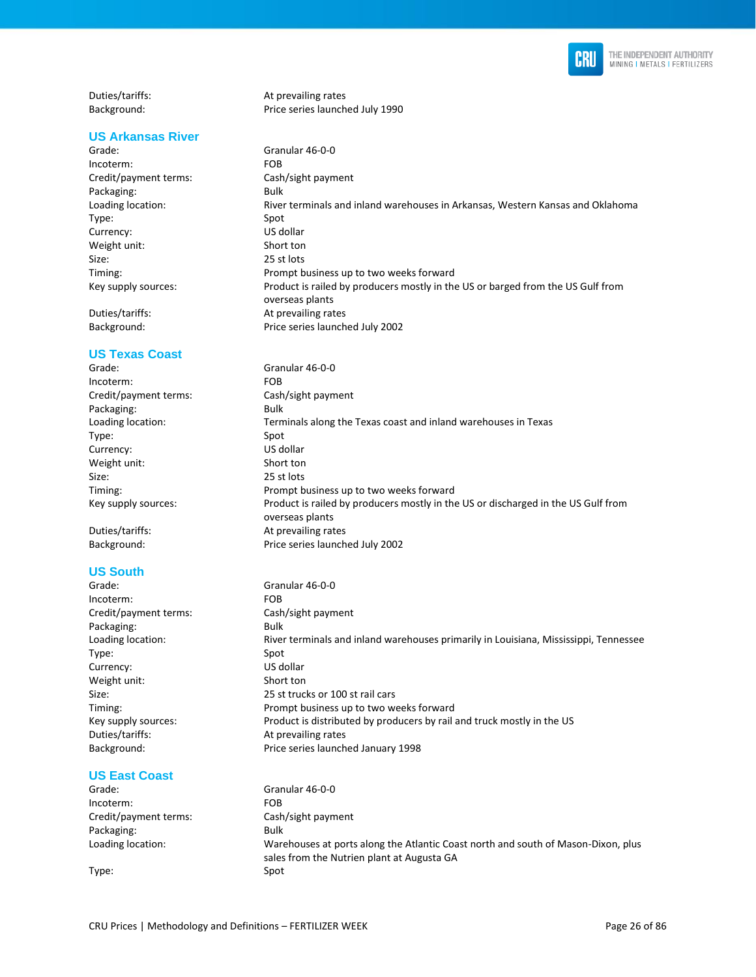

| Duties/tariffs:          | At prevailing rates             |  |
|--------------------------|---------------------------------|--|
| Background:              | Price series launched July 1990 |  |
|                          |                                 |  |
| <b>US Arkansas River</b> |                                 |  |

overseas plants

Price series launched July 2002

Grade: Granular 46-0-0<br>
Incoterm: Granular 46-0-0 Incoterm: Credit/payment terms: Cash/sight payment Packaging: Bulk Loading location: River terminals and inland warehouses in Arkansas, Western Kansas and Oklahoma Type: Spot<br>
Spot<br>
Currency: Subsetted Spot<br>
US dollar Currency: US dollar<br>
Weight unit: Short ton Weight unit: Size: 25 st lots Timing: Prompt business up to two weeks forward Key supply sources: Product is railed by producers mostly in the US or barged from the US Gulf from

Duties/tariffs: <br>Background: The particle price series launch

#### **US Texas Coast**

| Grade:                | Granular 46-0-0                                                                                      |
|-----------------------|------------------------------------------------------------------------------------------------------|
| Incoterm:             | FOB.                                                                                                 |
| Credit/payment terms: | Cash/sight payment                                                                                   |
| Packaging:            | Bulk                                                                                                 |
| Loading location:     | Terminals along the Texas coast and inland warehouses in Texas                                       |
| Type:                 | Spot                                                                                                 |
| Currency:             | US dollar                                                                                            |
| Weight unit:          | Short ton                                                                                            |
| Size:                 | 25 st lots                                                                                           |
| Timing:               | Prompt business up to two weeks forward                                                              |
| Key supply sources:   | Product is railed by producers mostly in the US or discharged in the US Gulf from<br>overseas plants |

Duties/tariffs: At prevailing rates Background: Price series launched July 2002

### **US South**

| Grade:                | Granular 46-0-0                                                                      |
|-----------------------|--------------------------------------------------------------------------------------|
| Incoterm:             | FOB.                                                                                 |
| Credit/payment terms: | Cash/sight payment                                                                   |
| Packaging:            | Bulk                                                                                 |
| Loading location:     | River terminals and inland warehouses primarily in Louisiana, Mississippi, Tennessee |
| Type:                 | Spot                                                                                 |
| Currency:             | US dollar                                                                            |
| Weight unit:          | Short ton                                                                            |
| Size:                 | 25 st trucks or 100 st rail cars                                                     |
| Timing:               | Prompt business up to two weeks forward                                              |
| Key supply sources:   | Product is distributed by producers by rail and truck mostly in the US               |
| Duties/tariffs:       | At prevailing rates                                                                  |
| Background:           | Price series launched January 1998                                                   |
|                       |                                                                                      |

### **US East Coast**

| ____________          |                                                                                                                                 |
|-----------------------|---------------------------------------------------------------------------------------------------------------------------------|
| Grade:                | Granular 46-0-0                                                                                                                 |
| Incoterm:             | <b>FOB</b>                                                                                                                      |
| Credit/payment terms: | Cash/sight payment                                                                                                              |
| Packaging:            | <b>Bulk</b>                                                                                                                     |
| Loading location:     | Warehouses at ports along the Atlantic Coast north and south of Mason-Dixon, plus<br>sales from the Nutrien plant at Augusta GA |
| Type:                 | Spot                                                                                                                            |
|                       |                                                                                                                                 |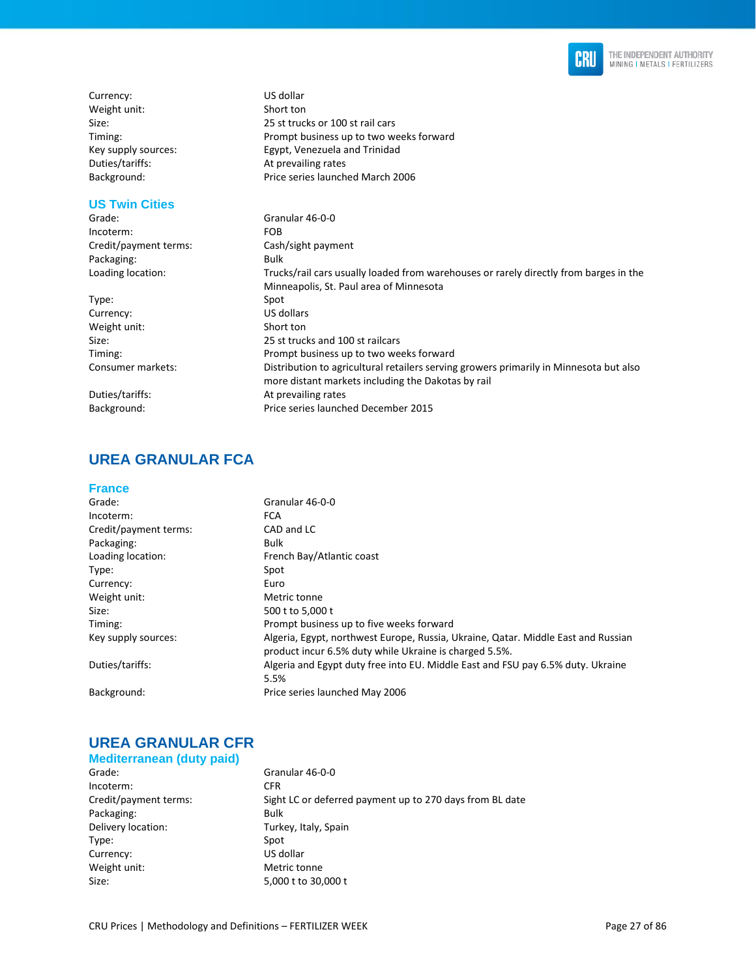

Currency: US dollar Weight unit: Short ton Size: 25 st trucks or 100 st rail cars Timing: Prompt business up to two weeks forward Key supply sources: Egypt, Venezuela and Trinidad Duties/tariffs: At prevailing rates Background: Price series launched March 2006

### **US Twin Cities**

Grade: Granular 46-0-0 Incoterm: FOB Credit/payment terms: Cash/sight payment Packaging: Bulk Loading location: Trucks/rail cars usually loaded from warehouses or rarely directly from barges in the Minneapolis, St. Paul area of Minnesota Type: Spot Currency: US dollars<br>
Weight unit: Short ton Weight unit: Size: 25 st trucks and 100 st railcars<br>
25 st trucks and 100 st railcars<br>
Prompt business up to two we Prompt business up to two weeks forward Consumer markets: Distribution to agricultural retailers serving growers primarily in Minnesota but also more distant markets including the Dakotas by rail Duties/tariffs: At prevailing rates Background: Price series launched December 2015

### **UREA GRANULAR FCA**

#### **France**

| Grade:                | Granular 46-0-0                                                                                                                             |
|-----------------------|---------------------------------------------------------------------------------------------------------------------------------------------|
| Incoterm:             | <b>FCA</b>                                                                                                                                  |
| Credit/payment terms: | CAD and LC                                                                                                                                  |
| Packaging:            | Bulk                                                                                                                                        |
| Loading location:     | French Bay/Atlantic coast                                                                                                                   |
| Type:                 | Spot                                                                                                                                        |
| Currency:             | Euro                                                                                                                                        |
| Weight unit:          | Metric tonne                                                                                                                                |
| Size:                 | 500 t to 5,000 t                                                                                                                            |
| Timing:               | Prompt business up to five weeks forward                                                                                                    |
| Key supply sources:   | Algeria, Egypt, northwest Europe, Russia, Ukraine, Qatar. Middle East and Russian<br>product incur 6.5% duty while Ukraine is charged 5.5%. |
| Duties/tariffs:       | Algeria and Egypt duty free into EU. Middle East and FSU pay 6.5% duty. Ukraine<br>5.5%                                                     |
| Background:           | Price series launched May 2006                                                                                                              |

### **UREA GRANULAR CFR**

### **Mediterranean (duty paid)**

Grade: Granular 46-0-0 Incoterm: CFR<br>Credit/payment terms: Sigh Packaging: Bulk Delivery location: Turkey, Italy, Spain Type: Spot Currency: US dollar Weight unit: Metric tonne Size: 5,000 t to 30,000 t

Sight LC or deferred payment up to 270 days from BL date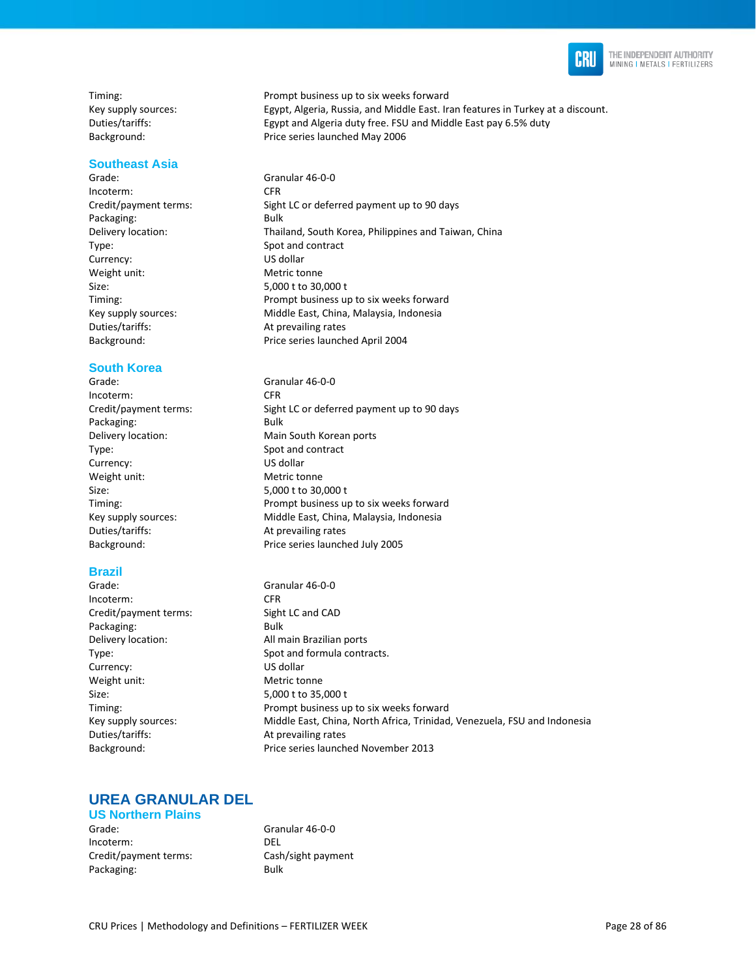

### **Southeast Asia**

Incoterm: CFR Packaging: Bulk Type: Spot and contract Currency: US dollar Weight unit: Metric tonne Size: 5,000 t to 30,000 t Duties/tariffs: At prevailing rates

#### **South Korea**

Incoterm: CFR Packaging: Bulk Type: Spot and contract Currency: US dollar Weight unit: Metric tonne Size: 5,000 t to 30,000 t Duties/tariffs: At prevailing rates

#### **Brazil**

Incoterm: CFR Credit/payment terms: Sight LC and CAD Packaging: Bulk Delivery location: All main Brazilian ports Currency: US dollar Weight unit: Metric tonne Size: 5,000 t to 35,000 t Duties/tariffs: At prevailing rates

Timing: Prompt business up to six weeks forward Key supply sources: Egypt, Algeria, Russia, and Middle East. Iran features in Turkey at a discount. Duties/tariffs: Egypt and Algeria duty free. FSU and Middle East pay 6.5% duty Background: Price series launched May 2006

Grade: Granular 46-0-0 Credit/payment terms: Sight LC or deferred payment up to 90 days Delivery location: Thailand, South Korea, Philippines and Taiwan, China Timing: Prompt business up to six weeks forward Key supply sources: Middle East, China, Malaysia, Indonesia Background: Price series launched April 2004

Grade: Granular 46-0-0 Credit/payment terms: Sight LC or deferred payment up to 90 days Delivery location: Main South Korean ports Timing: Prompt business up to six weeks forward Key supply sources: Middle East, China, Malaysia, Indonesia Background: Price series launched July 2005

Grade: Granular 46-0-0 Type: Spot and formula contracts. Timing: Prompt business up to six weeks forward Key supply sources: Middle East, China, North Africa, Trinidad, Venezuela, FSU and Indonesia Background: Price series launched November 2013

### **UREA GRANULAR DEL**

#### **US Northern Plains**

Grade: Granular 46-0-0 Incoterm: DEL Credit/payment terms: Cash/sight payment Packaging: Bulk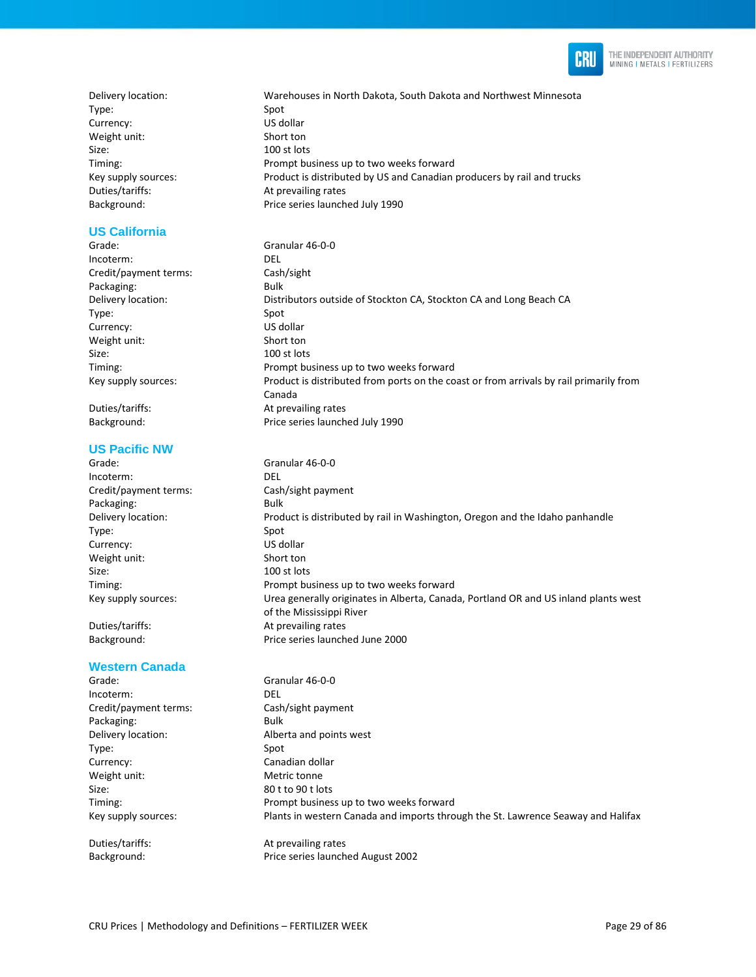

Delivery location: Warehouses in North Dakota, South Dakota and Northwest Minnesota Type: Spot Currency: US dollar Weight unit: Short ton Size: 100 st lots Timing: Prompt business up to two weeks forward Key supply sources: Product is distributed by US and Canadian producers by rail and trucks Duties/tariffs: At prevailing rates Background: Price series launched July 1990

### **US California**

Grade: Granular 46-0-0 Incoterm: DEL Credit/payment terms: Cash/sight Packaging: Bulk Delivery location: Distributors outside of Stockton CA, Stockton CA and Long Beach CA Type: Spot Currency: US dollar Weight unit: Short ton Size: 100 st lots Timing: Prompt business up to two weeks forward Key supply sources: Product is distributed from ports on the coast or from arrivals by rail primarily from

Duties/tariffs: At prevailing rates Background: Price series launched July 1990

### **US Pacific NW**

Grade: Granular 46-0-0 Incoterm: DEL Credit/payment terms: Cash/sight payment Packaging: Bulk Delivery location: Product is distributed by rail in Washington, Oregon and the Idaho panhandle Type: Spot Currency: US dollar Weight unit: Short ton Size: 100 st lots Timing: Prompt business up to two weeks forward Key supply sources: Urea generally originates in Alberta, Canada, Portland OR and US inland plants west of the Mississippi River Duties/tariffs: At prevailing rates Background: Price series launched June 2000

Canada

#### **Western Canada**

| Grade:                | Granular 46-0-0                                                                  |
|-----------------------|----------------------------------------------------------------------------------|
| Incoterm:             | <b>DEL</b>                                                                       |
| Credit/payment terms: | Cash/sight payment                                                               |
| Packaging:            | Bulk                                                                             |
| Delivery location:    | Alberta and points west                                                          |
| Type:                 | Spot                                                                             |
| Currency:             | Canadian dollar                                                                  |
| Weight unit:          | Metric tonne                                                                     |
| Size:                 | 80 t to 90 t lots                                                                |
| Timing:               | Prompt business up to two weeks forward                                          |
| Key supply sources:   | Plants in western Canada and imports through the St. Lawrence Seaway and Halifax |
| Duties/tariffs:       | At prevailing rates                                                              |

Background: Price series launched August 2002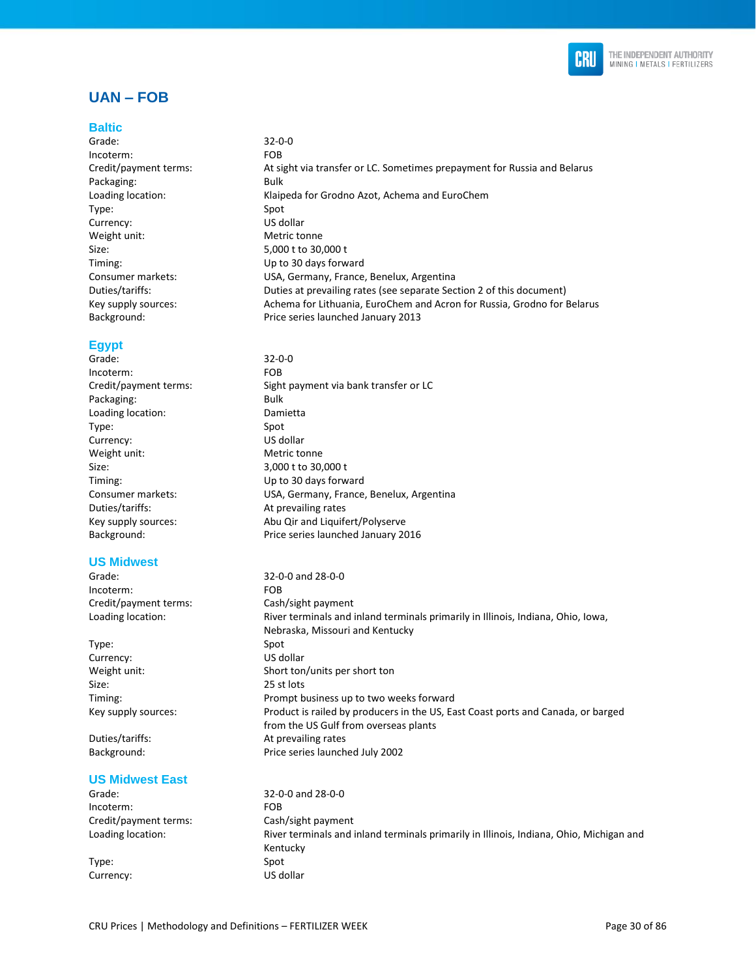

### **UAN – FOB**

#### **Baltic**

Grade: 32-0-0 Incoterm: FOB Packaging: Bulk Type: Spot Currency: US dollar Weight unit: Metric tonne Size: 5,000 t to 30,000 t

### **Egypt**

Grade: 32-0-0 Incoterm: FOB Packaging: Bulk Loading location: Damietta Type: Spot Currency: US dollar Weight unit: Metric tonne Size: 3,000 t to 30,000 t Timing: Up to 30 days forward Duties/tariffs: At prevailing rates

#### **US Midwest**

Incoterm: FOB Credit/payment terms: Cash/sight payment

Type: Spot Currency: US dollar Size: 25 st lots

#### **US Midwest East**

Grade: 32-0-0 and 28-0-0 Incoterm: FOB Credit/payment terms: Cash/sight payment

Type: Spot Currency: US dollar

Credit/payment terms: At sight via transfer or LC. Sometimes prepayment for Russia and Belarus Loading location: Klaipeda for Grodno Azot, Achema and EuroChem Timing: Up to 30 days forward Consumer markets: USA, Germany, France, Benelux, Argentina Duties/tariffs: Duties at prevailing rates (see separate Section 2 of this document) Key supply sources: Achema for Lithuania, EuroChem and Acron for Russia, Grodno for Belarus Background: Price series launched January 2013

Credit/payment terms: Sight payment via bank transfer or LC Consumer markets: USA, Germany, France, Benelux, Argentina Key supply sources: Abu Qir and Liquifert/Polyserve Background: Price series launched January 2016

Grade: 32-0-0 and 28-0-0 Loading location: River terminals and inland terminals primarily in Illinois, Indiana, Ohio, Iowa, Nebraska, Missouri and Kentucky Weight unit: Short ton/units per short ton Timing: Prompt business up to two weeks forward Key supply sources: Product is railed by producers in the US, East Coast ports and Canada, or barged from the US Gulf from overseas plants Duties/tariffs: At prevailing rates Background: Price series launched July 2002

Loading location: River terminals and inland terminals primarily in Illinois, Indiana, Ohio, Michigan and Kentucky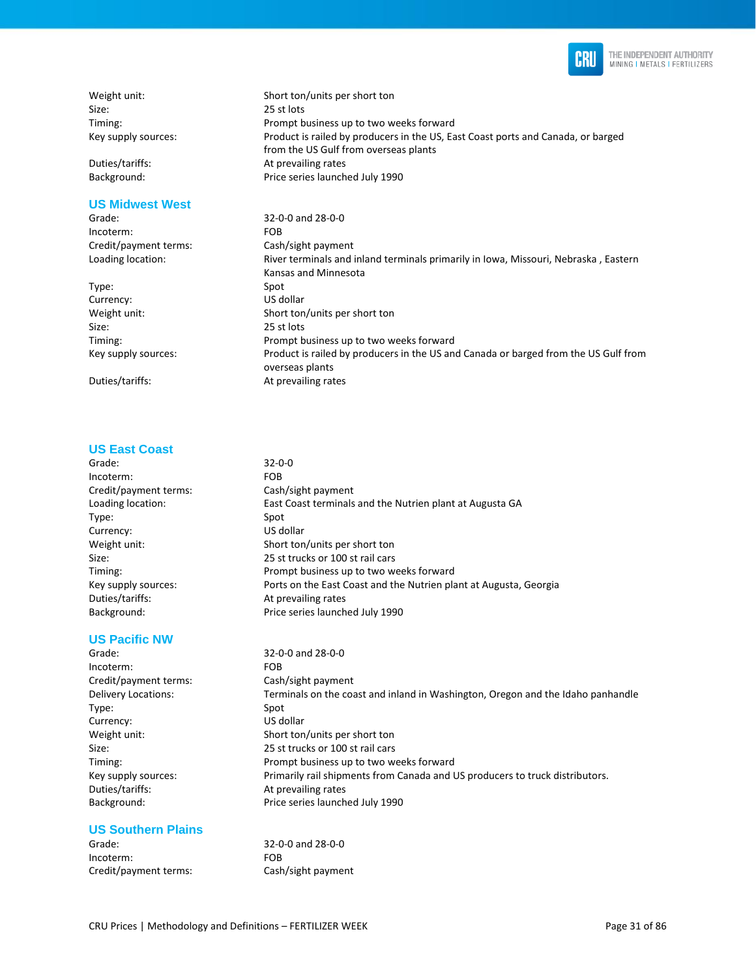

Weight unit: Short ton/units per short ton Size: 25 st lots

#### **US Midwest West**

Incoterm: FOB Credit/payment terms: Cash/sight payment

Type: Spot Currency: US dollar Size: 25 st lots

#### **US East Coast**

- Grade: 32-0-0
- Incoterm: FOB Credit/payment terms: Cash/sight payment Type: Spot Currency: US dollar Duties/tariffs: At prevailing rates

#### **US Pacific NW**

Incoterm: FOB Credit/payment terms: Cash/sight payment Type: Spot Currency: US dollar Duties/tariffs: At prevailing rates

#### **US Southern Plains**

Grade: 32-0-0 and 28-0-0 Incoterm: FOB Credit/payment terms: Cash/sight payment

Timing: Prompt business up to two weeks forward Key supply sources: Product is railed by producers in the US, East Coast ports and Canada, or barged from the US Gulf from overseas plants Duties/tariffs: At prevailing rates Background: Price series launched July 1990

Grade: 32-0-0 and 28-0-0 Loading location: River terminals and inland terminals primarily in Iowa, Missouri, Nebraska, Eastern Kansas and Minnesota Weight unit: Short ton/units per short ton Timing: Prompt business up to two weeks forward Key supply sources: Product is railed by producers in the US and Canada or barged from the US Gulf from overseas plants Duties/tariffs: At prevailing rates

Loading location: East Coast terminals and the Nutrien plant at Augusta GA Weight unit: Short ton/units per short ton Size: 25 st trucks or 100 st rail cars Timing: Prompt business up to two weeks forward Key supply sources: Ports on the East Coast and the Nutrien plant at Augusta, Georgia Background: Price series launched July 1990

Grade: 32-0-0 and 28-0-0 Delivery Locations: Terminals on the coast and inland in Washington, Oregon and the Idaho panhandle Weight unit: Short ton/units per short ton Size: 25 st trucks or 100 st rail cars Timing: Prompt business up to two weeks forward Key supply sources: Primarily rail shipments from Canada and US producers to truck distributors. Background: Price series launched July 1990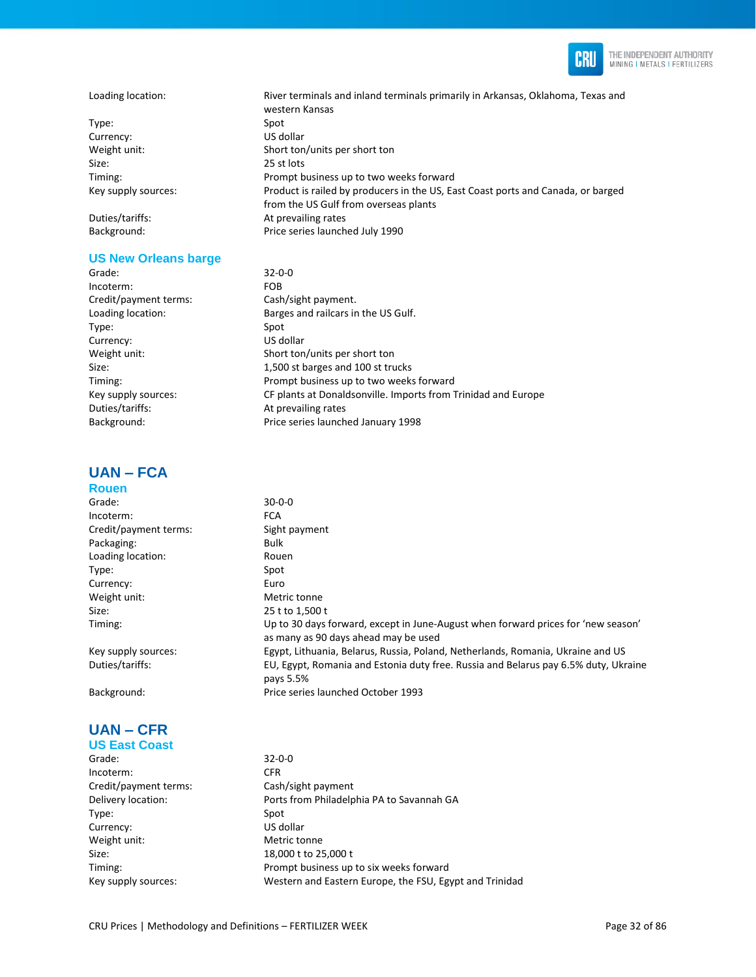

#### Loading location: River terminals and inland terminals primarily in Arkansas, Oklahoma, Texas and

Type: Spot Currency: US dollar Size: 25 st lots

Background: Price series launched July 1990

#### **US New Orleans barge**

Grade: 32-0-0 Incoterm: FOB Credit/payment terms: Cash/sight payment. Type: Spot Currency: US dollar Duties/tariffs: At prevailing rates

### **UAN – FCA**

### **Rouen**

#### Grade: 30-0-0 Incoterm: FCA Credit/payment terms: Sight payment Packaging: Bulk Loading location: Rouen Type: Spot Currency: Euro Weight unit: Metric tonne Size: 25 t to 1,500 t Timing: Up to 30 days forward, except in June-August when forward prices for 'new season' as many as 90 days ahead may be used Key supply sources: Egypt, Lithuania, Belarus, Russia, Poland, Netherlands, Romania, Ukraine and US Duties/tariffs: EU, Egypt, Romania and Estonia duty free. Russia and Belarus pay 6.5% duty, Ukraine pays 5.5%

Background: Price series launched October 1993

#### **UAN – CFR US East Coast**

Grade: 32-0-0 Incoterm: CFR Credit/payment terms: Cash/sight payment Delivery location: Ports from Philadelphia PA to Savannah GA Type: Spot Currency: US dollar Weight unit: Metric tonne Size: 18,000 t to 25,000 t Timing: Timing: Timing: Prompt business up to six weeks forward

western Kansas Weight unit: Short ton/units per short ton Timing: Prompt business up to two weeks forward Key supply sources: Product is railed by producers in the US, East Coast ports and Canada, or barged from the US Gulf from overseas plants Duties/tariffs: At prevailing rates

Loading location: Barges and railcars in the US Gulf. Weight unit: Short ton/units per short ton Size: 1,500 st barges and 100 st trucks Timing: Prompt business up to two weeks forward Key supply sources: CF plants at Donaldsonville. Imports from Trinidad and Europe Background: Price series launched January 1998

Key supply sources: Western and Eastern Europe, the FSU, Egypt and Trinidad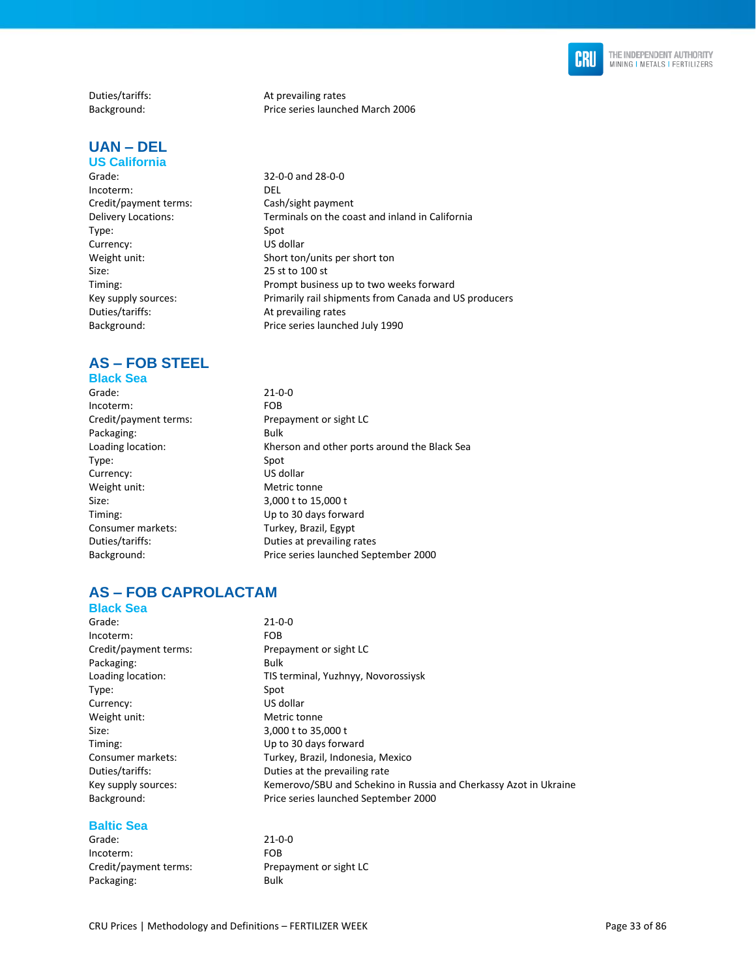

Duties/tariffs: <br>Background: The particle price series launch

### **UAN – DEL**

### **US California**

Grade: 32-0-0 and 28-0-0<br>Incoterm: DEL Incoterm: Credit/payment terms: Cash/sight payment<br>Delivery Locations: Terminals on the coa Type: Spot Currency: US dollar Weight unit: Short ton/units per short ton<br>Size: 25 st to 100 st Timing: Timing: Prompt business up to two weeks forward<br>
Rey supply sources: Primarily rail shipments from Canada and U Duties/tariffs: At prevailing rates Background: Price series launched July 1990

## **AS – FOB STEEL**

### **Black Sea**

| Grade:                | $21 - 0 - 0$                                 |
|-----------------------|----------------------------------------------|
| Incoterm:             | <b>FOB</b>                                   |
| Credit/payment terms: | Prepayment or sight LC                       |
| Packaging:            | <b>Bulk</b>                                  |
| Loading location:     | Kherson and other ports around the Black Sea |
| Type:                 | Spot                                         |
| Currency:             | US dollar                                    |
| Weight unit:          | Metric tonne                                 |
| Size:                 | 3,000 t to 15,000 t                          |
| Timing:               | Up to 30 days forward                        |
| Consumer markets:     | Turkey, Brazil, Egypt                        |
| Duties/tariffs:       | Duties at prevailing rates                   |
| Background:           | Price series launched September 2000         |
|                       |                                              |

25 st to 100 st

## **AS – FOB CAPROLACTAM**

| $21 - 0 - 0$                                                      |
|-------------------------------------------------------------------|
| FOB.                                                              |
| Prepayment or sight LC                                            |
| <b>Bulk</b>                                                       |
| TIS terminal, Yuzhnyy, Novorossiysk                               |
| Spot                                                              |
| US dollar                                                         |
| Metric tonne                                                      |
| 3,000 t to 35,000 t                                               |
| Up to 30 days forward                                             |
| Turkey, Brazil, Indonesia, Mexico                                 |
| Duties at the prevailing rate                                     |
| Kemerovo/SBU and Schekino in Russia and Cherkassy Azot in Ukraine |
| Price series launched September 2000                              |
|                                                                   |

Price series launched March 2006

Terminals on the coast and inland in California

Primarily rail shipments from Canada and US producers

#### **Baltic Sea**

| Grade:                | $21 - 0 - 0$ |
|-----------------------|--------------|
| Incoterm:             | <b>FOB</b>   |
| Credit/payment terms: | Prepay       |
| Packaging:            | Bulk         |

ment or sight LC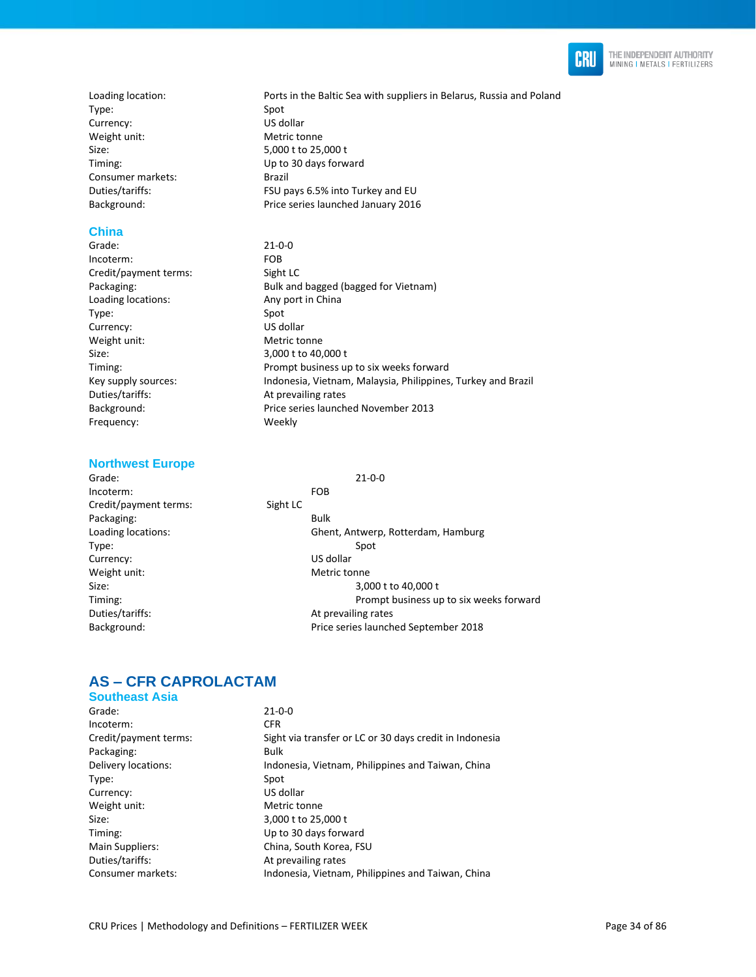

Type: Spot Currency: US dollar Weight unit: Metric tonne Size: 5,000 t to 25,000 t Consumer markets: Brazil Background: Price series launched January 2016

# **China**

Incoterm: FOB Credit/payment terms: Sight LC Loading locations: Type: Spot Currency: US dollar Weight unit: Metric tonne Size: 3,000 t to 40,000 t Duties/tariffs: At prevailing rates Frequency: Weekly

### **Northwest Europe**

Grade: 21-0-0 Incoterm: FOB Credit/payment terms: Sight LC Packaging: Bulk Type: Spot Currency: US dollar Weight unit: Weight unit: Duties/tariffs: At prevailing rates

Loading location: **Ports in the Baltic Sea with suppliers in Belarus**, Russia and Poland Timing: Up to 30 days forward Duties/tariffs: FSU pays 6.5% into Turkey and EU

 $21 - 0 - 0$ Packaging: Bulk and bagged (bagged for Vietnam)<br>
Loading locations: Consumer Any port in China Timing: Prompt business up to six weeks forward Key supply sources: Indonesia, Vietnam, Malaysia, Philippines, Turkey and Brazil Background: Price series launched November 2013

Loading locations: Ghent, Antwerp, Rotterdam, Hamburg Size: 3,000 t to 40,000 t Timing: Prompt business up to six weeks forward Background: Price series launched September 2018

### **AS – CFR CAPROLACTAM**

**Southeast Asia**  Grade: 21-0-0 Incoterm: CFR Credit/payment terms: Sight via transfer or LC or 30 days credit in Indonesia Packaging: Bulk Delivery locations: Indonesia, Vietnam, Philippines and Taiwan, China Type: Spot Currency: US dollar Weight unit: Metric tonne Size: 3,000 t to 25,000 t Timing: Up to 30 days forward Main Suppliers: China, South Korea, FSU Duties/tariffs: At prevailing rates Consumer markets: Indonesia, Vietnam, Philippines and Taiwan, China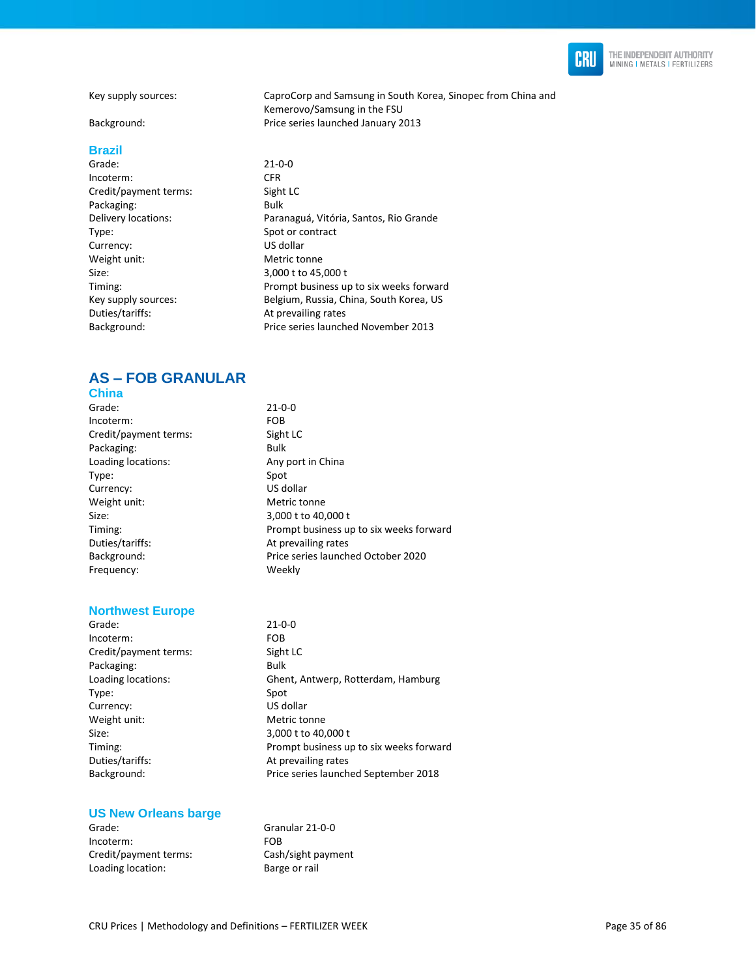

Key supply sources: CaproCorp and Samsung in South Korea, Sinopec from China and

Background: Price series launched January 2013

#### **Brazil**

Grade: 21-0-0 Incoterm: CFR Credit/payment terms: Sight LC Packaging: Bulk Type: Spot or contract<br>
Spot or contract<br>
Currency: Subsettly Subsettly US dollar Currency: Weight unit: Metric tonne Size: 3,000 t to 45,000 t Duties/tariffs: At prevailing rates

Delivery locations: Paranaguá, Vitória, Santos, Rio Grande Timing: Prompt business up to six weeks forward Key supply sources: Belgium, Russia, China, South Korea, US Background: Price series launched November 2013

Kemerovo/Samsung in the FSU

### **AS – FOB GRANULAR**

| <b>China</b>                       |                                         |
|------------------------------------|-----------------------------------------|
| Grade:                             | $21 - 0 - 0$                            |
| Incoterm:                          | <b>FOB</b>                              |
| Credit/payment terms:              | Sight LC                                |
| Packaging:                         | <b>Bulk</b>                             |
| Loading locations:                 | Any port in China                       |
| Type:                              | Spot                                    |
| Currency:                          | US dollar                               |
| Weight unit:                       | Metric tonne                            |
| Size:                              | 3,000 t to 40,000 t                     |
| Timing:                            | Prompt business up to six weeks forward |
| Duties/tariffs:                    | At prevailing rates                     |
| Background:                        | Price series launched October 2020      |
| Frequency:                         | Weekly                                  |
|                                    |                                         |
|                                    |                                         |
| <b>All contracts and Financial</b> |                                         |

#### **Northwest Europe**

Grade: 21-0-0 Incoterm: FOB Credit/payment terms: Sight LC Packaging: Bulk Type: Spot Currency: US dollar Weight unit: Metric tonne Size: 3,000 t to 40,000 t Duties/tariffs: At prevailing rates

Loading locations: Ghent, Antwerp, Rotterdam, Hamburg Timing: Prompt business up to six weeks forward Background: Price series launched September 2018

#### **US New Orleans barge**

Grade: Granular 21-0-0<br>
Incoterm: Granular 21-0-0 Incoterm: Credit/payment terms: Cash/sight payment Loading location: Barge or rail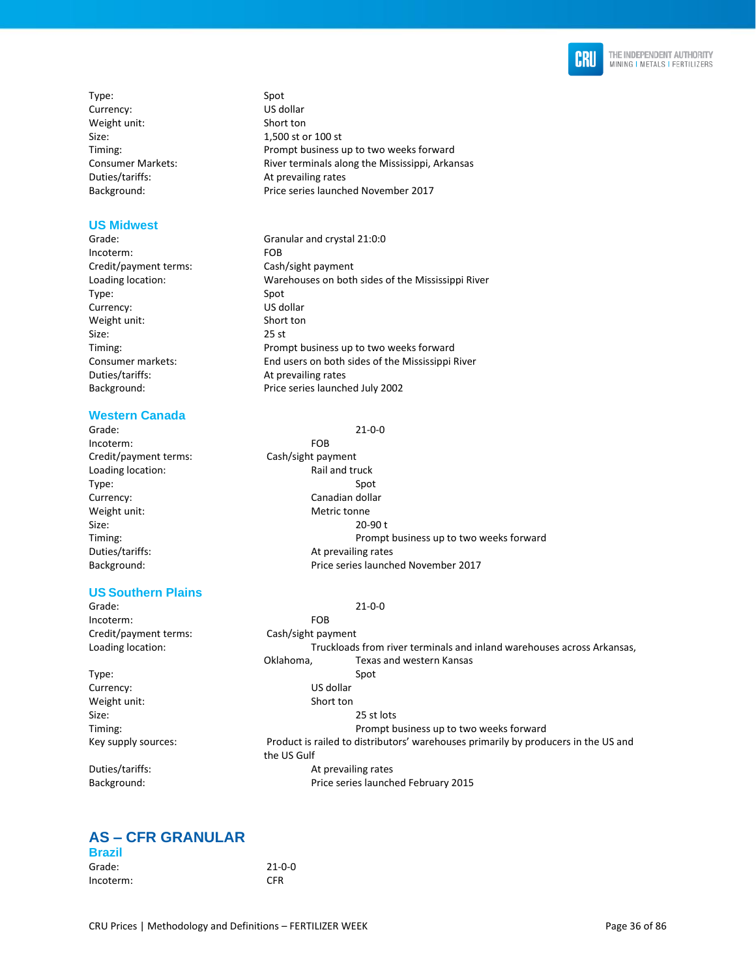

Type: Spot<br>
Spot Currency: Summer Summer Spot US dollar Currency: Weight unit: Short ton Size: 1,500 st or 100 st

#### **US Midwest**

- 
- Incoterm: FOB Credit/payment terms: Cash/sight payment Type: Spot Currency: US dollar Weight unit: Short ton Size: 25 st Duties/tariffs: At prevailing rates

### **Western Canada**

Grade: 21-0-0 Incoterm: FOB Credit/payment terms: Cash/sight payment Loading location: The Contract of the Rail and truck Type: Spot Weight unit: Metric tonne

#### **US Southern Plains**

Grade: 21-0-0 Incoterm: FOB Credit/payment terms: Cash/sight payment

Timing: Prompt business up to two weeks forward Consumer Markets: **River terminals along the Mississippi, Arkansas** Duties/tariffs: At prevailing rates Background: Price series launched November 2017

Grade: Granular and crystal 21:0:0 Loading location: Warehouses on both sides of the Mississippi River Timing: Prompt business up to two weeks forward Consumer markets: End users on both sides of the Mississippi River Background: Price series launched July 2002

Currency: Canadian dollar Size: 20-90 t Timing: Prompt business up to two weeks forward Duties/tariffs:  $\qquad \qquad$  At prevailing rates Background: Price series launched November 2017

Loading location: Truckloads from river terminals and inland warehouses across Arkansas, Oklahoma, Texas and western Kansas Type: Spot Currency: US dollar Weight unit: Short ton Size: 25 st lots Timing: Prompt business up to two weeks forward Key supply sources: Product is railed to distributors' warehouses primarily by producers in the US and the US Gulf Duties/tariffs:  $\overline{\phantom{a}}$  Duties/tariffs: Background: Price series launched February 2015

### **AS – CFR GRANULAR**

| <b>Brazil</b> |              |
|---------------|--------------|
| Grade:        | $21 - 0 - 0$ |
| Incoterm:     | <b>CFR</b>   |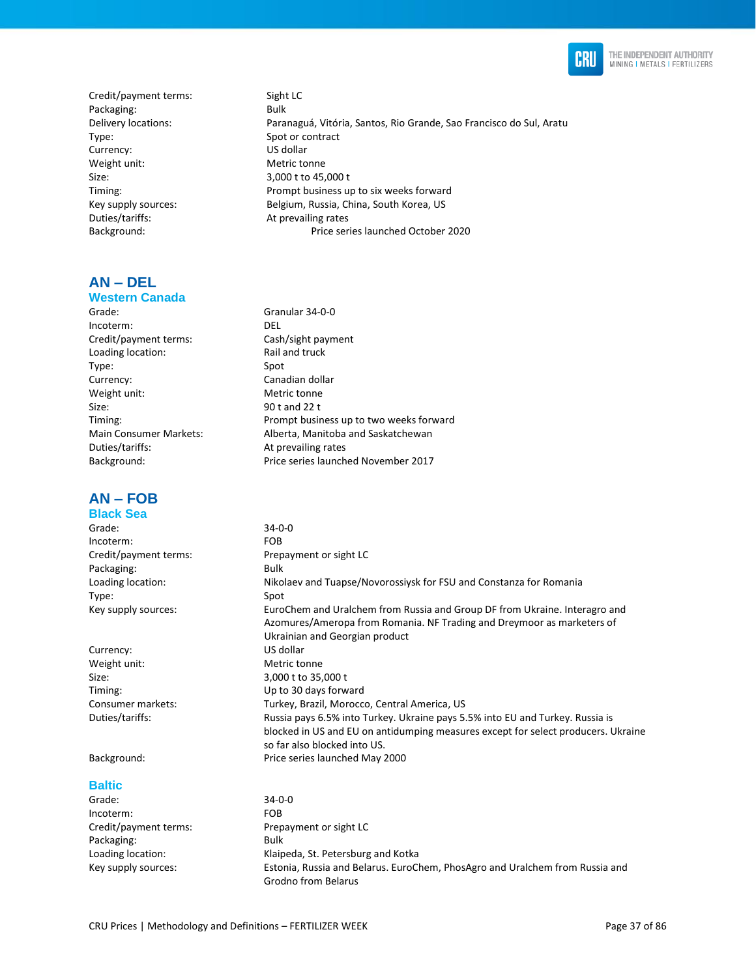

Credit/payment terms: Sight LC Packaging: Bulk Delivery locations: Paranaguá, Vitória, Santos, Rio Grande, Sao Francisco do Sul, Aratu Type: Spot or contract Currency: US dollar Weight unit: Metric tonne Size: 3,000 t to 45,000 t Timing: Prompt business up to six weeks forward Key supply sources: Belgium, Russia, China, South Korea, US Duties/tariffs: At prevailing rates Background: Price series launched October 2020

**AN – DEL**

#### **Western Canada**

Grade: Granular 34-0-0 Incoterm: DEL Credit/payment terms: Cash/sight payment Loading location: Rail and truck Type: Spot Currency: Canadian dollar Weight unit: Metric tonne Size: 90 t and 22 t Timing: Prompt business up to two weeks forward Main Consumer Markets: Alberta, Manitoba and Saskatchewan Duties/tariffs: At prevailing rates Background: Price series launched November 2017

# **AN – FOB**

#### **Black Sea**

| <b>Black Sea</b>      |                                                                                                                                                                                        |
|-----------------------|----------------------------------------------------------------------------------------------------------------------------------------------------------------------------------------|
| Grade:                | $34 - 0 - 0$                                                                                                                                                                           |
| Incoterm:             | <b>FOB</b>                                                                                                                                                                             |
| Credit/payment terms: | Prepayment or sight LC                                                                                                                                                                 |
| Packaging:            | Bulk                                                                                                                                                                                   |
| Loading location:     | Nikolaev and Tuapse/Novorossiysk for FSU and Constanza for Romania                                                                                                                     |
| Type:                 | Spot                                                                                                                                                                                   |
| Key supply sources:   | EuroChem and Uralchem from Russia and Group DF from Ukraine. Interagro and<br>Azomures/Ameropa from Romania. NF Trading and Dreymoor as marketers of<br>Ukrainian and Georgian product |
| Currency:             | US dollar                                                                                                                                                                              |
| Weight unit:          | Metric tonne                                                                                                                                                                           |
|                       |                                                                                                                                                                                        |

Size: 3,000 t to 35,000 t Timing: Up to 30 days forward Consumer markets: Turkey, Brazil, Morocco, Central America, US Duties/tariffs: Russia pays 6.5% into Turkey. Ukraine pays 5.5% into EU and Turkey. Russia is

Background: Price series launched May 2000

#### **Baltic**

Grade: 34-0-0 Incoterm: FOB Credit/payment terms: Prepayment or sight LC Packaging: Bulk Loading location: Klaipeda, St. Petersburg and Kotka Key supply sources: Estonia, Russia and Belarus. EuroChem, PhosAgro and Uralchem from Russia and Grodno from Belarus

so far also blocked into US.

blocked in US and EU on antidumping measures except for select producers. Ukraine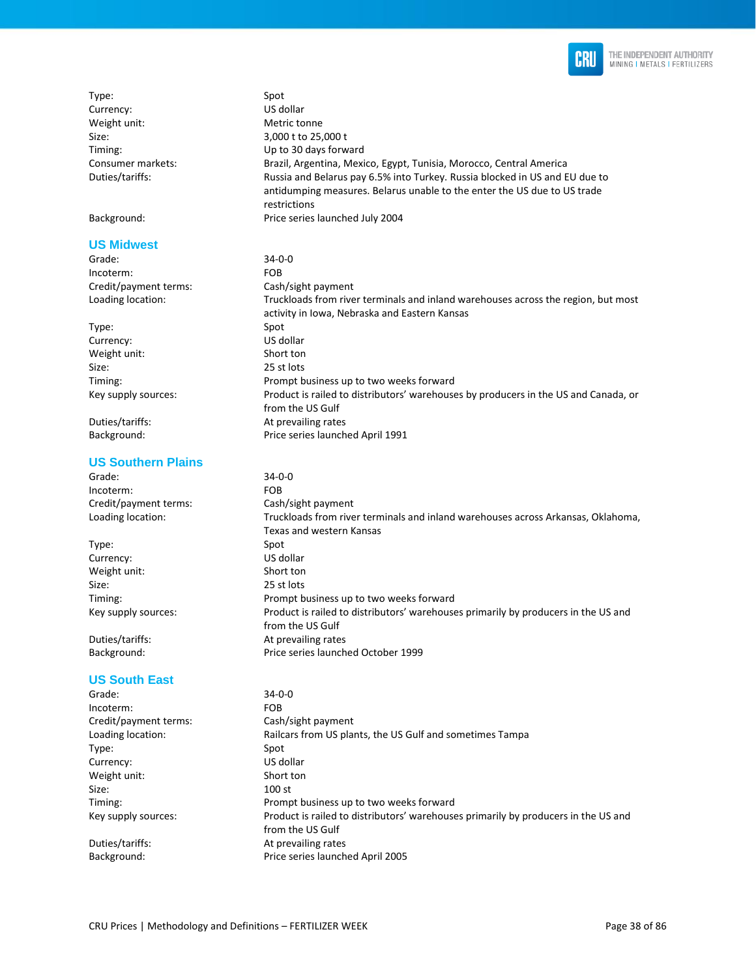

| Type:                     | Spot                                                                                |
|---------------------------|-------------------------------------------------------------------------------------|
| Currency:                 | US dollar                                                                           |
| Weight unit:              | Metric tonne                                                                        |
| Size:                     | 3,000 t to 25,000 t                                                                 |
| Timing:                   | Up to 30 days forward                                                               |
| Consumer markets:         | Brazil, Argentina, Mexico, Egypt, Tunisia, Morocco, Central America                 |
| Duties/tariffs:           | Russia and Belarus pay 6.5% into Turkey. Russia blocked in US and EU due to         |
|                           | antidumping measures. Belarus unable to the enter the US due to US trade            |
|                           | restrictions                                                                        |
| Background:               | Price series launched July 2004                                                     |
| <b>US Midwest</b>         |                                                                                     |
| Grade:                    | $34 - 0 - 0$                                                                        |
| Incoterm:                 | <b>FOB</b>                                                                          |
| Credit/payment terms:     | Cash/sight payment                                                                  |
| Loading location:         | Truckloads from river terminals and inland warehouses across the region, but most   |
|                           | activity in Iowa, Nebraska and Eastern Kansas                                       |
| Type:                     | Spot                                                                                |
| Currency:                 | US dollar                                                                           |
| Weight unit:              | Short ton                                                                           |
| Size:                     | 25 st lots                                                                          |
| Timing:                   | Prompt business up to two weeks forward                                             |
| Key supply sources:       | Product is railed to distributors' warehouses by producers in the US and Canada, or |
|                           | from the US Gulf                                                                    |
| Duties/tariffs:           | At prevailing rates                                                                 |
| Background:               | Price series launched April 1991                                                    |
| <b>US Southern Plains</b> |                                                                                     |
| Grade:                    | $34 - 0 - 0$                                                                        |
| Incoterm:                 | <b>FOB</b>                                                                          |
| Credit/payment terms:     | Cash/sight payment                                                                  |
| Loading location:         | Truckloads from river terminals and inland warehouses across Arkansas, Oklahoma,    |
|                           | Texas and western Kansas                                                            |
| Type:                     | Spot                                                                                |
| Currency:                 | US dollar                                                                           |
| Weight unit:              | Short ton                                                                           |
| Size:                     | 25 st lots                                                                          |
| Timing:                   | Prompt business up to two weeks forward                                             |
| Key supply sources:       | Product is railed to distributors' warehouses primarily by producers in the US and  |
|                           | from the US Gulf                                                                    |
| Duties/tariffs:           | At prevailing rates                                                                 |
| Background:               | Price series launched October 1999                                                  |
| <b>US South East</b>      |                                                                                     |

Grade: 34-0-0<br>Incoterm: 50B Incoterm: Credit/payment terms: Cash/sight payment Loading location: Railcars from US plants, the US Gulf and sometimes Tampa Type: Spot Currency: US dollar Weight unit: Short ton<br>Size: 100 st 100 st Timing: Prompt business up to two weeks forward Key supply sources: Product is railed to distributors' warehouses primarily by producers in the US and from the US Gulf Duties/tariffs: At prevailing rates Background: Price series launched April 2005

CRU Prices | Methodology and Definitions - FERTILIZER WEEK Page 38 of 86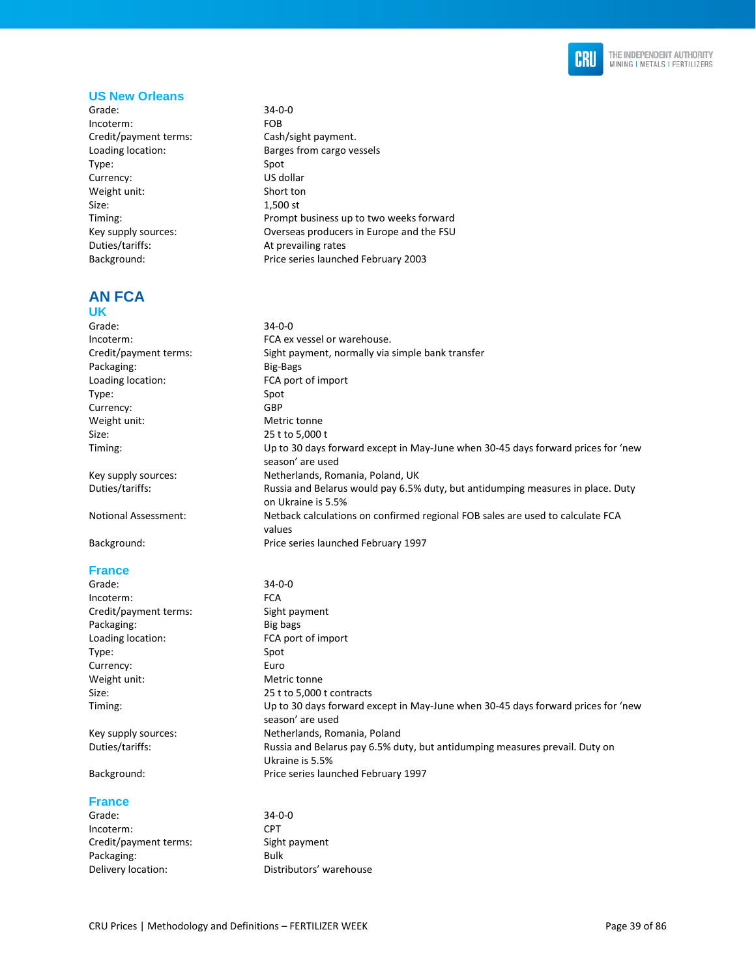

#### **US New Orleans**

Grade: 34-0-0 Incoterm: FOB Credit/payment terms: Cash/sight payment. Loading location: Barges from cargo vessels Type: Spot<br>
Spot<br>
Currency: Subsetted Spot<br>
US dollar Currency: Weight unit: Short ton Size: 1,500 st Timing: Prompt business up to two weeks forward Key supply sources: Overseas producers in Europe and the FSU Duties/tariffs: At prevailing rates Background: Price series launched February 2003

# **AN FCA**

#### **UK**

Grade: 34-0-0 Incoterm: FCA ex vessel or warehouse. Credit/payment terms: Sight payment, normally via simple bank transfer Packaging: Big-Bags Loading location: FCA port of import Type: Spot Currency: GBP Weight unit: Metric tonne Size: 25 t to 5,000 t Timing: Up to 30 days forward except in May-June when 30-45 days forward prices for 'new season' are used Key supply sources: Netherlands, Romania, Poland, UK Duties/tariffs: Russia and Belarus would pay 6.5% duty, but antidumping measures in place. Duty on Ukraine is 5.5% Notional Assessment: Netback calculations on confirmed regional FOB sales are used to calculate FCA values

Background: Price series launched February 1997

#### **France**

| $34 - 0 - 0$                                                                                         |
|------------------------------------------------------------------------------------------------------|
| <b>FCA</b>                                                                                           |
| Sight payment                                                                                        |
| Big bags                                                                                             |
| FCA port of import                                                                                   |
| Spot                                                                                                 |
| Euro                                                                                                 |
| Metric tonne                                                                                         |
| 25 t to 5,000 t contracts                                                                            |
| Up to 30 days forward except in May-June when 30-45 days forward prices for 'new<br>season' are used |
| Netherlands, Romania, Poland                                                                         |
| Russia and Belarus pay 6.5% duty, but antidumping measures prevail. Duty on<br>Ukraine is 5.5%       |
|                                                                                                      |

#### Background: Price series launched February 1997

#### **France**

| Grade:                | $34 - 0 - 0$            |
|-----------------------|-------------------------|
| Incoterm:             | <b>CPT</b>              |
| Credit/payment terms: | Sight payment           |
| Packaging:            | Bulk                    |
| Delivery location:    | Distributors' warehouse |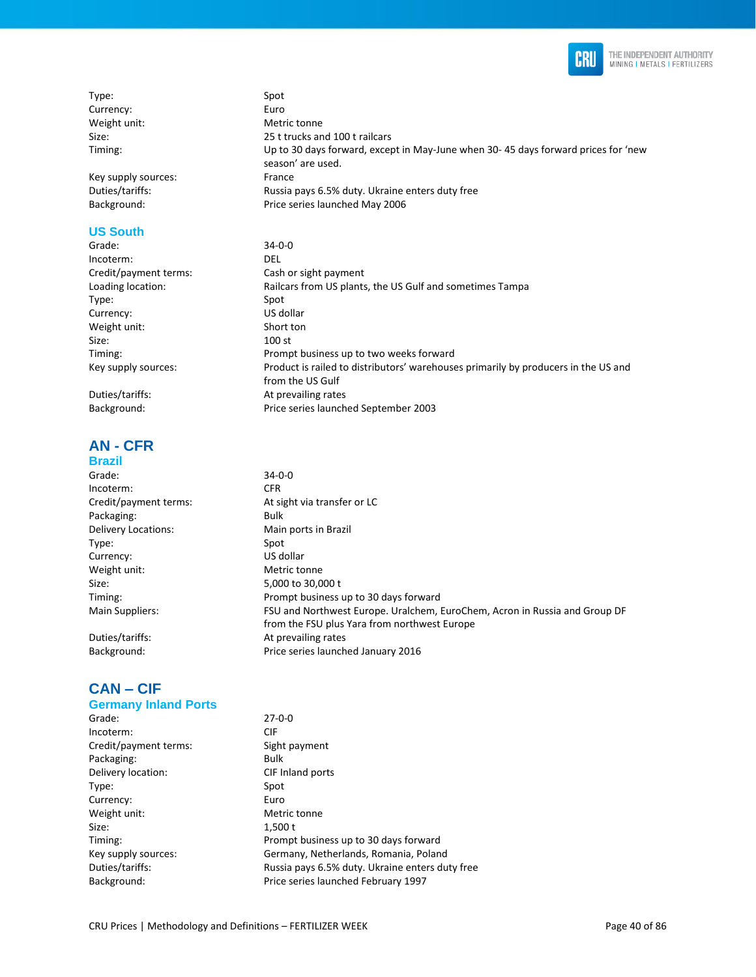

Type: Spot Currency: Euro Weight unit: Metric tonne Size: 25 t trucks and 100 t railcars Timing: Up to 30 days forward, except in May-June when 30- 45 days forward prices for 'new

Key supply sources: France Duties/tariffs: Russia pays 6.5% duty. Ukraine enters duty free Background: Price series launched May 2006

## **US South**

Grade: 34-0-0 Incoterm: DEL Credit/payment terms: Cash or sight payment Loading location: Railcars from US plants, the US Gulf and sometimes Tampa Type: Spot Currency: US dollar Weight unit: Short ton Size: 100 st Timing: Prompt business up to two weeks forward Key supply sources: Product is railed to distributors' warehouses primarily by producers in the US and from the US Gulf Duties/tariffs: At prevailing rates Background: Price series launched September 2003

season' are used.

**AN - CFR** 

#### **Brazil**  Grade: 34-0-0 Incoterm: CFR Credit/payment terms: At sight via transfer or LC Packaging: Bulk Delivery Locations: Main ports in Brazil Type: Spot Currency: US dollar Weight unit: Metric tonne Size: 5,000 to 30,000 t Timing: Prompt business up to 30 days forward Main Suppliers: FSU and Northwest Europe. Uralchem, EuroChem, Acron in Russia and Group DF from the FSU plus Yara from northwest Europe Duties/tariffs: At prevailing rates Background: Price series launched January 2016

# **CAN – CIF**

#### **Germany Inland Ports**

| Grade:                | $27 - 0 - 0$                                    |
|-----------------------|-------------------------------------------------|
| Incoterm:             | <b>CIF</b>                                      |
| Credit/payment terms: | Sight payment                                   |
| Packaging:            | Bulk                                            |
| Delivery location:    | CIF Inland ports                                |
| Type:                 | Spot                                            |
| Currency:             | Euro                                            |
| Weight unit:          | Metric tonne                                    |
| Size:                 | 1,500t                                          |
| Timing:               | Prompt business up to 30 days forward           |
| Key supply sources:   | Germany, Netherlands, Romania, Poland           |
| Duties/tariffs:       | Russia pays 6.5% duty. Ukraine enters duty free |
| Background:           | Price series launched February 1997             |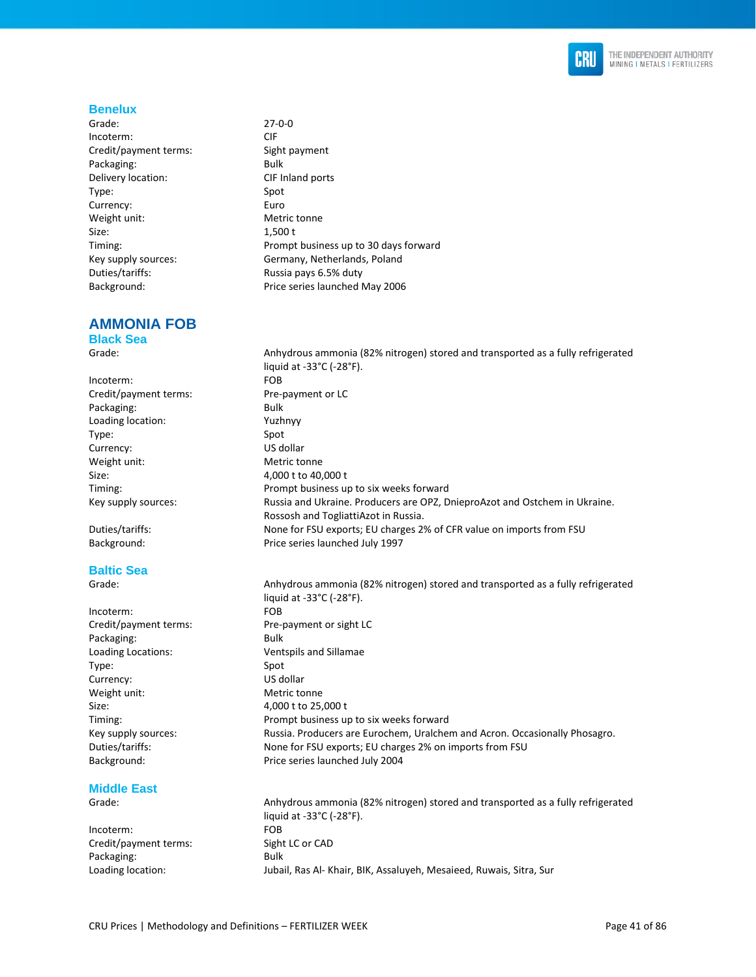

#### **Benelux**

Grade: 27-0-0 Incoterm: CIF CIF<br>Credit/payment terms: Sight payment Credit/payment terms: Packaging: Bulk Delivery location: CIF Inland ports Type: Spot Currency: Euro Weight unit: Metric tonne Size: 1,500 t Duties/tariffs: Russia pays 6.5% duty

# **AMMONIA FOB**

**Black Sea** 

Incoterm: FOB Credit/payment terms: Pre-payment or LC Packaging: Bulk Loading location: Yuzhnyy Type: Spot Currency: US dollar Weight unit: Metric tonne Size: 4,000 t to 40,000 t

### **Baltic Sea**

Incoterm: FOB Packaging: Bulk Loading Locations: Ventspils and Sillamae Type: Spot Currency: US dollar Weight unit: Metric tonne Size: 4,000 t to 25,000 t

#### **Middle East**

Incoterm: FOB Credit/payment terms: Sight LC or CAD Packaging: Bulk

Timing: Prompt business up to 30 days forward Key supply sources: Germany, Netherlands, Poland Background: Price series launched May 2006

Grade: Anhydrous ammonia (82% nitrogen) stored and transported as a fully refrigerated liquid at -33°C (-28°F). Timing: Prompt business up to six weeks forward Key supply sources: Russia and Ukraine. Producers are OPZ, DnieproAzot and Ostchem in Ukraine. Rossosh and TogliattiAzot in Russia. Duties/tariffs: None for FSU exports; EU charges 2% of CFR value on imports from FSU Background: Price series launched July 1997

Grade: Anhydrous ammonia (82% nitrogen) stored and transported as a fully refrigerated liquid at -33°C (-28°F). Credit/payment terms: Pre-payment or sight LC Timing: Prompt business up to six weeks forward Key supply sources: Russia. Producers are Eurochem, Uralchem and Acron. Occasionally Phosagro. Duties/tariffs: None for FSU exports; EU charges 2% on imports from FSU Background: Price series launched July 2004

Grade: Anhydrous ammonia (82% nitrogen) stored and transported as a fully refrigerated liquid at -33°C (-28°F). Loading location: Jubail, Ras Al- Khair, BIK, Assaluyeh, Mesaieed, Ruwais, Sitra, Sur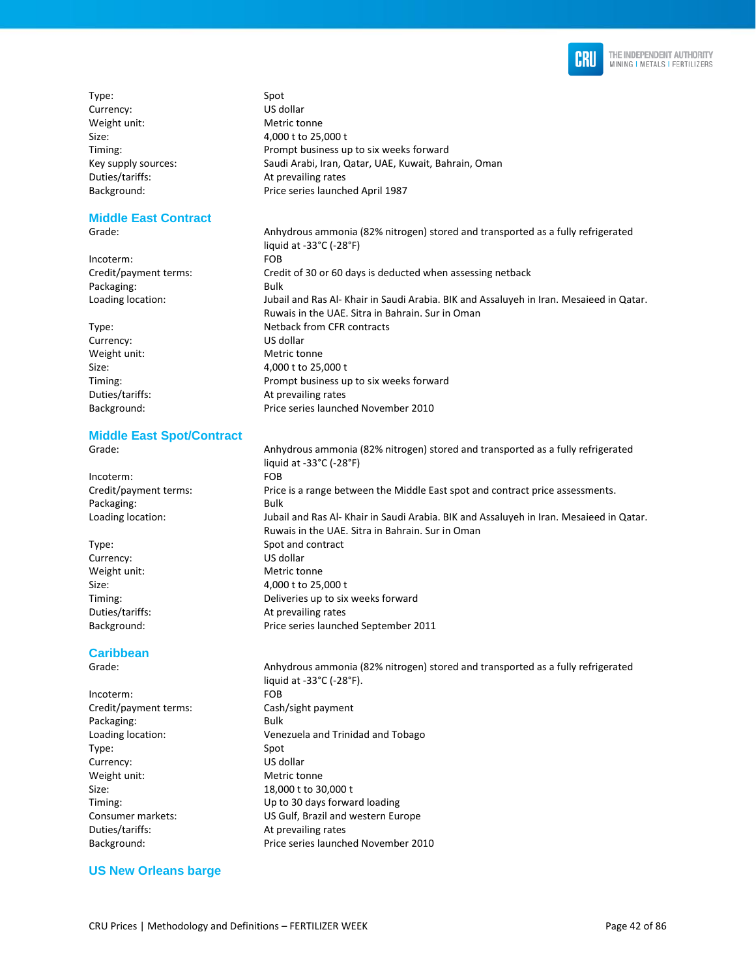

Type: Spot Currency: US dollar Weight unit: Metric tonne

#### **Middle East Contract**

Incoterm: FOB Packaging: Bulk

Currency: US dollar Weight unit: Metric tonne

#### **Middle East Spot/Contract**

Incoterm: FOB Packaging: Bulk

Currency: US dollar Weight unit: Metric tonne

#### **Caribbean**

Grade: Anhydrous ammonia (82% nitrogen) stored and transported as a fully refrigerated liquid at -33°C (-28°F). Incoterm: FOB Credit/payment terms: Cash/sight payment Packaging: Bulk Loading location: Venezuela and Trinidad and Tobago Type: Spot Currency: US dollar Weight unit: Metric tonne Size: 18,000 t to 30,000 t Timing: Up to 30 days forward loading Consumer markets: US Gulf, Brazil and western Europe Duties/tariffs: At prevailing rates Background: Price series launched November 2010

#### **US New Orleans barge**

Size: 4,000 t to 25,000 t Timing: Timing: Prompt business up to six weeks forward<br>
Key supply sources: Saudi Arabi, Iran, Qatar, UAE, Kuwait, Bah Saudi Arabi, Iran, Qatar, UAE, Kuwait, Bahrain, Oman Duties/tariffs: At prevailing rates Background: Price series launched April 1987

Grade: Anhydrous ammonia (82% nitrogen) stored and transported as a fully refrigerated liquid at -33°C (-28°F) Credit/payment terms: Credit of 30 or 60 days is deducted when assessing netback Loading location: Jubail and Ras Al- Khair in Saudi Arabia. BIK and Assaluyeh in Iran. Mesaieed in Qatar. Ruwais in the UAE. Sitra in Bahrain. Sur in Oman Type: Netback from CFR contracts Size: 4,000 t to 25,000 t Timing: Prompt business up to six weeks forward Duties/tariffs: At prevailing rates Background: Price series launched November 2010

Grade: Anhydrous ammonia (82% nitrogen) stored and transported as a fully refrigerated liquid at -33°C (-28°F) Credit/payment terms: Price is a range between the Middle East spot and contract price assessments. Loading location: Jubail and Ras Al- Khair in Saudi Arabia. BIK and Assaluyeh in Iran. Mesaieed in Qatar. Ruwais in the UAE. Sitra in Bahrain. Sur in Oman Type: Spot and contract Size: 4,000 t to 25,000 t Timing: Deliveries up to six weeks forward Duties/tariffs: At prevailing rates Background: Price series launched September 2011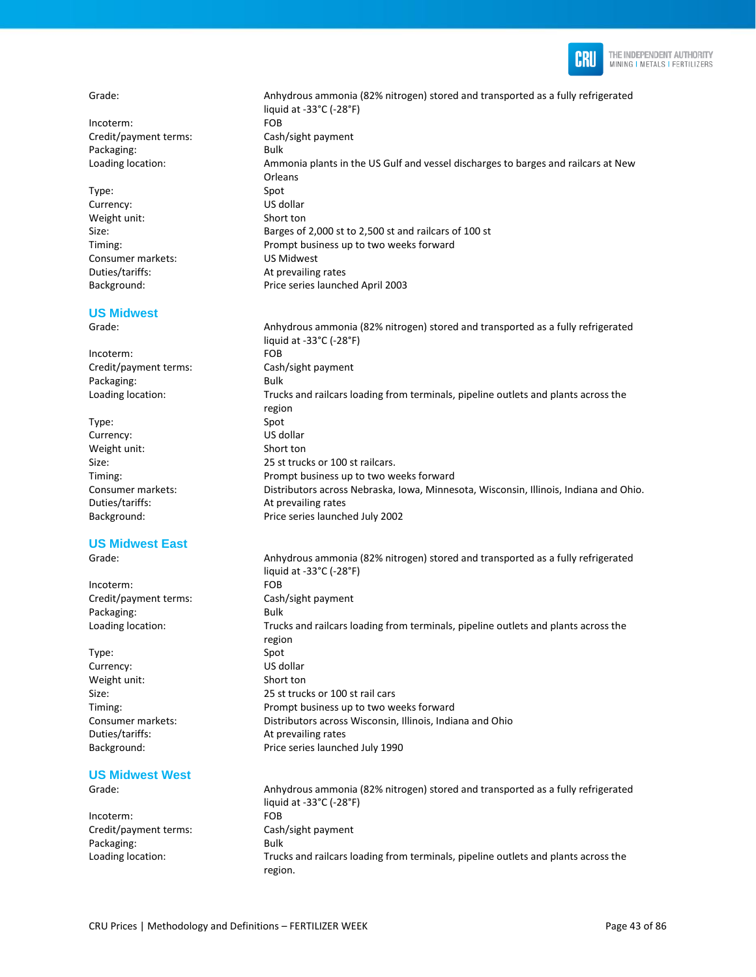

Incoterm: FOB Credit/payment terms: Cash/sight payment Packaging: Bulk

Type: Spot Currency: US dollar Weight unit: Short ton Consumer markets: US Midwest Duties/tariffs: At prevailing rates

#### **US Midwest**

Incoterm: FOB Credit/payment terms: Cash/sight payment Packaging: Bulk

Type: Spot Currency: US dollar Weight unit: Short ton Duties/tariffs: At prevailing rates

#### **US Midwest East**

Incoterm: FOB Credit/payment terms: Cash/sight payment Packaging: Bulk

Type: Spot Currency: US dollar Weight unit: Short ton Duties/tariffs: At prevailing rates

# **US Midwest West**

Incoterm: FOB Credit/payment terms: Cash/sight payment Packaging: Bulk

Grade: Anhydrous ammonia (82% nitrogen) stored and transported as a fully refrigerated liquid at -33°C (-28°F) Loading location: Ammonia plants in the US Gulf and vessel discharges to barges and railcars at New **Orleans** Size: Barges of 2,000 st to 2,500 st and railcars of 100 st Timing: Prompt business up to two weeks forward Background: Price series launched April 2003

Grade: Anhydrous ammonia (82% nitrogen) stored and transported as a fully refrigerated liquid at -33°C (-28°F) Loading location: Trucks and railcars loading from terminals, pipeline outlets and plants across the region Size: 25 st trucks or 100 st railcars. Timing: Prompt business up to two weeks forward Consumer markets: Distributors across Nebraska, Iowa, Minnesota, Wisconsin, Illinois, Indiana and Ohio. Background: Price series launched July 2002

Grade: Anhydrous ammonia (82% nitrogen) stored and transported as a fully refrigerated liquid at -33°C (-28°F) Loading location: Trucks and railcars loading from terminals, pipeline outlets and plants across the region Size: 25 st trucks or 100 st rail cars Timing: Prompt business up to two weeks forward Consumer markets: Distributors across Wisconsin, Illinois, Indiana and Ohio Background: Price series launched July 1990

Grade: Anhydrous ammonia (82% nitrogen) stored and transported as a fully refrigerated liquid at -33°C (-28°F) Loading location: Trucks and railcars loading from terminals, pipeline outlets and plants across the region.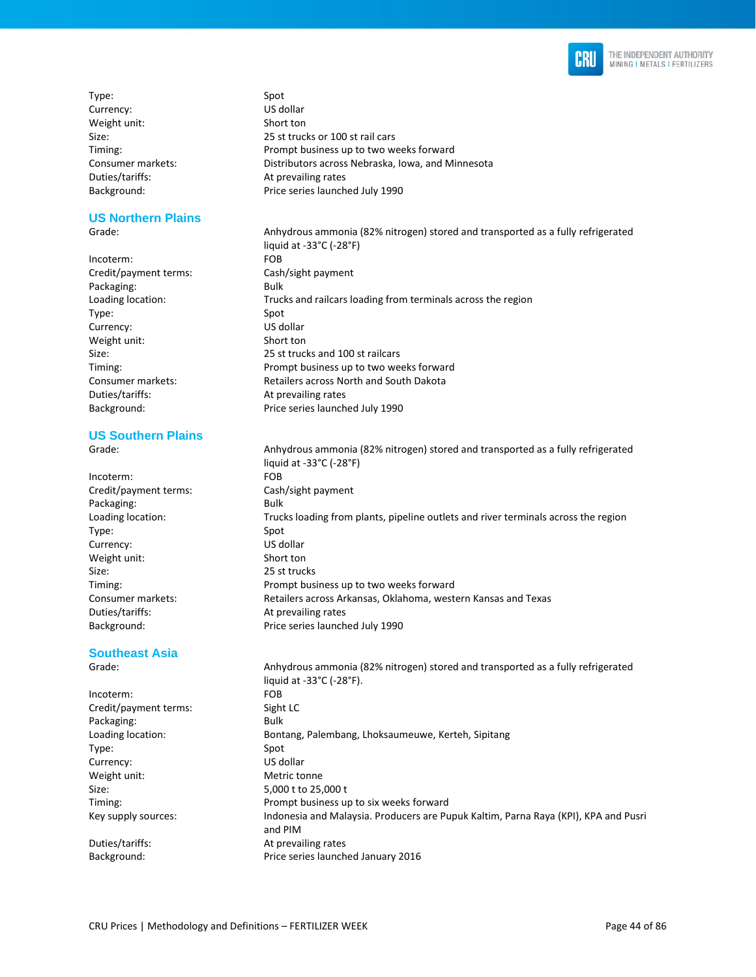

Type: Spot Currency: US dollar Weight unit: Short ton

#### **US Northern Plains**

Incoterm: FOB Credit/payment terms: Cash/sight payment Packaging: Bulk Type: Spot Currency: US dollar Weight unit: Short ton Duties/tariffs: At prevailing rates

### **US Southern Plains**

Incoterm: FOB Credit/payment terms: Cash/sight payment Packaging: Bulk Type: Spot Currency: US dollar Weight unit: Short ton Size: 25 st trucks Timing: Prompt business up to two weeks forward Consumer markets: Retailers across Arkansas, Oklahoma, western Kansas and Texas Duties/tariffs: At prevailing rates Background: Price series launched July 1990

#### **Southeast Asia**  Grade: Anhydrous ammonia (82% nitrogen) stored and transported as a fully refrigerated

liquid at -33°C (-28°F). Incoterm: FOB Credit/payment terms: Sight LC Packaging: Bulk Loading location: **Bontang, Palembang, Lhoksaumeuwe, Kerteh, Sipitang** Type: Spot Currency: US dollar Weight unit: Metric tonne Size: 5,000 t to 25,000 t Timing: Prompt business up to six weeks forward Key supply sources: Indonesia and Malaysia. Producers are Pupuk Kaltim, Parna Raya (KPI), KPA and Pusri and PIM Duties/tariffs: At prevailing rates Background: Price series launched January 2016

Size: 25 st trucks or 100 st rail cars Timing: Prompt business up to two weeks forward Consumer markets: Distributors across Nebraska, Iowa, and Minnesota Duties/tariffs: At prevailing rates Background: Price series launched July 1990

Grade: Anhydrous ammonia (82% nitrogen) stored and transported as a fully refrigerated liquid at -33°C (-28°F) Loading location: Trucks and railcars loading from terminals across the region Size: 25 st trucks and 100 st railcars Timing: Prompt business up to two weeks forward Consumer markets: The Retailers across North and South Dakota Background: Price series launched July 1990

Grade: Anhydrous ammonia (82% nitrogen) stored and transported as a fully refrigerated liquid at -33°C (-28°F) Loading location: Trucks loading from plants, pipeline outlets and river terminals across the region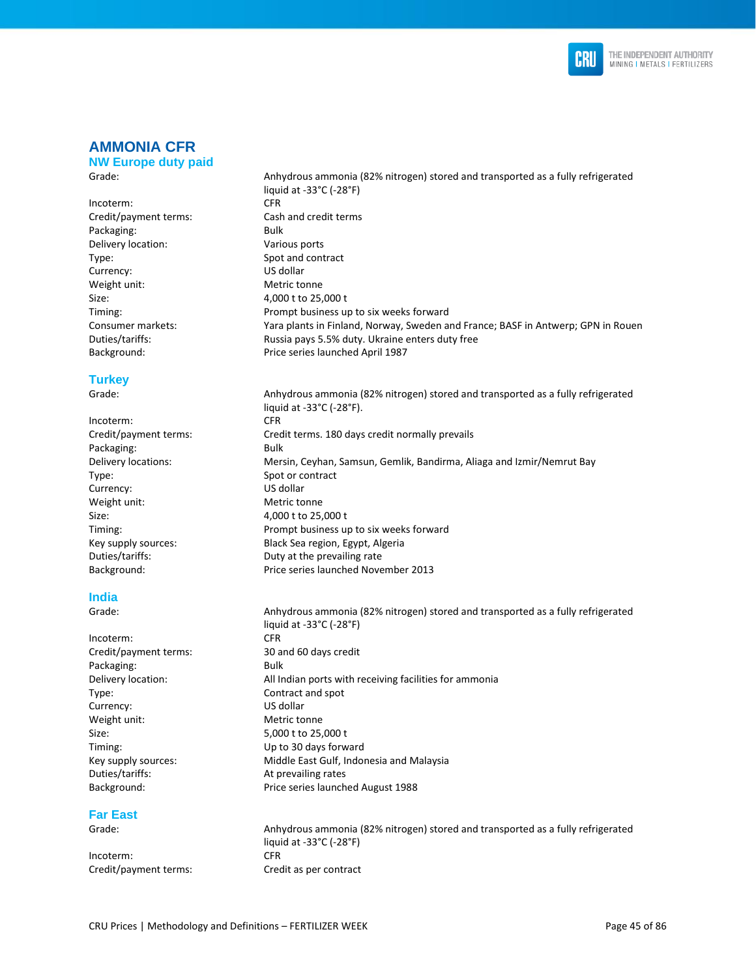

# **AMMONIA CFR**

**NW Europe duty paid**  Grade: Anhydrous ammonia (82% nitrogen) stored and transported as a fully refrigerated

#### Incoterm: CFR Credit/payment terms: Cash and credit terms Packaging: Bulk Delivery location: Various ports Type: Spot and contract Currency: US dollar Weight unit: Metric tonne Size: 4,000 t to 25,000 t Timing: Prompt business up to six weeks forward Consumer markets: Yara plants in Finland, Norway, Sweden and France; BASF in Antwerp; GPN in Rouen Duties/tariffs: Russia pays 5.5% duty. Ukraine enters duty free Background: Price series launched April 1987

### **Turkey**

Grade: Anhydrous ammonia (82% nitrogen) stored and transported as a fully refrigerated

liquid at -33°C (-28°F). Incoterm: CFR Credit/payment terms: Credit terms. 180 days credit normally prevails Packaging: Bulk Delivery locations: Mersin, Ceyhan, Samsun, Gemlik, Bandirma, Aliaga and Izmir/Nemrut Bay Type: Spot or contract Currency: US dollar Weight unit: Metric tonne Size: 4,000 t to 25,000 t Timing: Prompt business up to six weeks forward Key supply sources: Black Sea region, Egypt, Algeria Duties/tariffs: Duty at the prevailing rate Background: Price series launched November 2013 **India** 

liquid at -33°C (-28°F)

Grade: Anhydrous ammonia (82% nitrogen) stored and transported as a fully refrigerated liquid at -33°C (-28°F) Incoterm: CFR<br>
Credit/payment terms: 30 and 60 days credit Packaging: Bulk Delivery location: Matches All Indian ports with receiving facilities for ammonia Type: Contract and spot Currency: US dollar Weight unit: Metric tonne Size: 5,000 t to 25,000 t Timing: Up to 30 days forward Key supply sources: Middle East Gulf, Indonesia and Malaysia Duties/tariffs: At prevailing rates Background: Price series launched August 1988

### **Far East**

Incoterm: CFR Credit/payment terms: Credit as per contract

Credit/payment terms:

Grade: Anhydrous ammonia (82% nitrogen) stored and transported as a fully refrigerated liquid at -33°C (-28°F)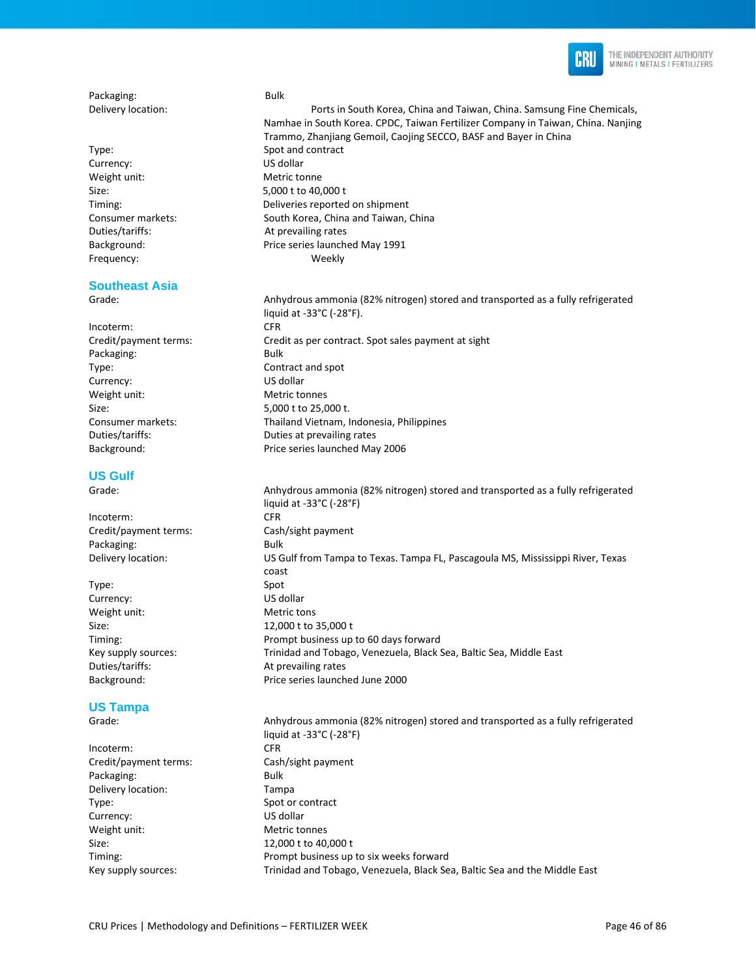

Packaging: Bulk

Type: Spot and contract Currency: US dollar Weight unit: Metric tonne Size: 5,000 t to 40,000 t Duties/tariffs: At prevailing rates

# **Southeast Asia**

Incoterm: CFR Packaging: Bulk Type: Contract and spot Currency: US dollar Weight unit: Metric tonnes Size: 5,000 t to 25,000 t.

## **US Gulf**

Incoterm: CFR Credit/payment terms: Cash/sight payment Packaging: Bulk

Type: Spot Currency: US dollar Weight unit: Metric tons

## **US Tampa**

Incoterm: CFR Credit/payment terms: Cash/sight payment Packaging: Bulk Delivery location: Tampa Type: Spot or contract Currency: US dollar Weight unit: Metric tonnes Size: 12,000 t to 40,000 t

Delivery location: Ports in South Korea, China and Taiwan, China. Samsung Fine Chemicals, Namhae in South Korea. CPDC, Taiwan Fertilizer Company in Taiwan, China. Nanjing Trammo, Zhanjiang Gemoil, Caojing SECCO, BASF and Bayer in China Timing: Deliveries reported on shipment Consumer markets: South Korea, China and Taiwan, China Background: Price series launched May 1991 Frequency: Weekly

Grade: Anhydrous ammonia (82% nitrogen) stored and transported as a fully refrigerated liquid at -33°C (-28°F). Credit/payment terms: Credit as per contract. Spot sales payment at sight Consumer markets: Thailand Vietnam, Indonesia, Philippines Duties/tariffs: Duties at prevailing rates Background: Price series launched May 2006

Grade: Anhydrous ammonia (82% nitrogen) stored and transported as a fully refrigerated liquid at -33°C (-28°F) Delivery location: US Gulf from Tampa to Texas. Tampa FL, Pascagoula MS, Mississippi River, Texas coast Size: 12,000 t to 35,000 t Timing: Prompt business up to 60 days forward Key supply sources: Trinidad and Tobago, Venezuela, Black Sea, Baltic Sea, Middle East Duties/tariffs: At prevailing rates Background: Price series launched June 2000

Grade: Anhydrous ammonia (82% nitrogen) stored and transported as a fully refrigerated liquid at -33°C (-28°F) Timing: Prompt business up to six weeks forward Key supply sources: Trinidad and Tobago, Venezuela, Black Sea, Baltic Sea and the Middle East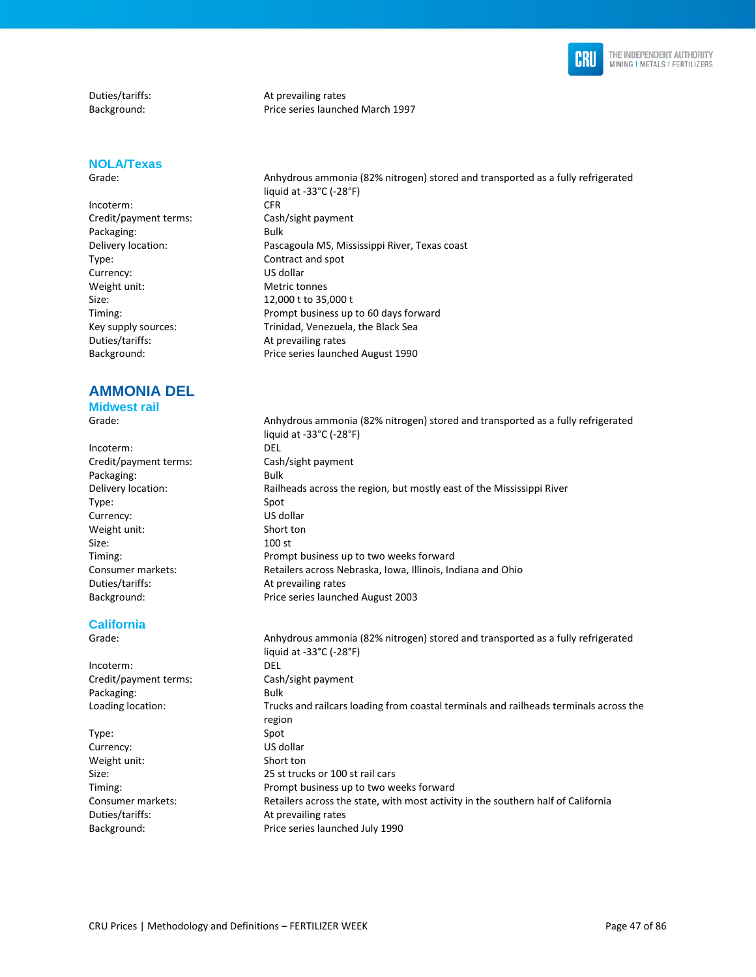

## **NOLA/Texas**

Incoterm: CFR Credit/payment terms: Cash/sight payment Packaging: Bulk Type: Contract and spot Currency: US dollar Weight unit: Metric tonnes Size: 12,000 t to 35,000 t Duties/tariffs: At prevailing rates

# **AMMONIA DEL**

**Midwest rail** 

Incoterm: DEL Credit/payment terms: Cash/sight payment Packaging: Bulk Type: Spot Currency: US dollar Weight unit: Short ton Size: 100 st Duties/tariffs: At prevailing rates

### **California**

Incoterm: DEL Credit/payment terms: Cash/sight payment Packaging: Bulk

Type: Spot Currency: US dollar Weight unit: Short ton Duties/tariffs: At prevailing rates

Duties/tariffs: At prevailing rates Background: Price series launched March 1997

Grade: Anhydrous ammonia (82% nitrogen) stored and transported as a fully refrigerated liquid at -33°C (-28°F) Delivery location: Pascagoula MS, Mississippi River, Texas coast Timing: Prompt business up to 60 days forward Key supply sources: Trinidad, Venezuela, the Black Sea Background: Price series launched August 1990

Grade: Anhydrous ammonia (82% nitrogen) stored and transported as a fully refrigerated liquid at -33°C (-28°F) Delivery location: Railheads across the region, but mostly east of the Mississippi River Timing: Prompt business up to two weeks forward Consumer markets: Retailers across Nebraska, Iowa, Illinois, Indiana and Ohio Background: Price series launched August 2003

Grade: Anhydrous ammonia (82% nitrogen) stored and transported as a fully refrigerated liquid at -33°C (-28°F) Loading location: Trucks and railcars loading from coastal terminals and railheads terminals across the region Size: 25 st trucks or 100 st rail cars Timing: Prompt business up to two weeks forward Consumer markets: Retailers across the state, with most activity in the southern half of California Background: Price series launched July 1990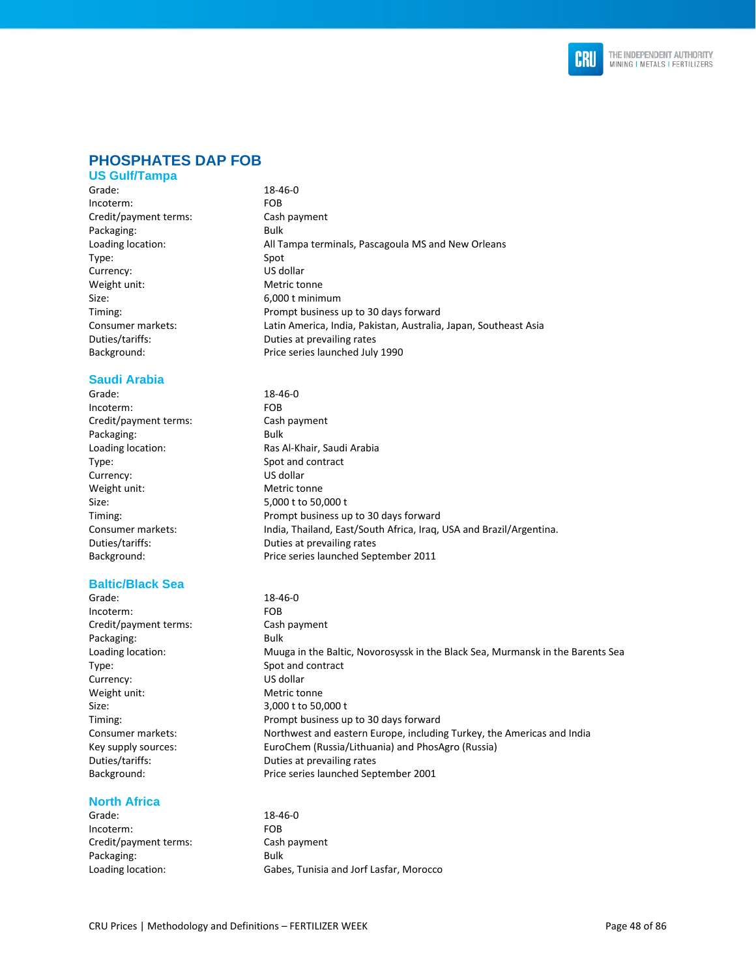

## **PHOSPHATES DAP FOB**

#### **US Gulf/Tampa**

Grade: 18-46-0 Incoterm: FOB Credit/payment terms: Cash payment Packaging: Bulk Loading location: All Tampa terminals, Pascagoula MS and New Orleans Type: Spot Currency: US dollar Weight unit: Metric tonne Size: 6,000 t minimum Timing: Prompt business up to 30 days forward Consumer markets: Latin America, India, Pakistan, Australia, Japan, Southeast Asia Duties/tariffs: Duties at prevailing rates Background: Price series launched July 1990

### **Saudi Arabia**

Grade: 18-46-0 Incoterm: FOB Credit/payment terms: Cash payment Packaging: Bulk Loading location: Ras Al-Khair, Saudi Arabia Type: Spot and contract Currency: US dollar Weight unit: Metric tonne Size: 5,000 t to 50,000 t Timing: Prompt business up to 30 days forward Consumer markets: India, Thailand, East/South Africa, Iraq, USA and Brazil/Argentina. Duties/tariffs: Duties at prevailing rates Background: Price series launched September 2011

#### **Baltic/Black Sea**

Grade: 18-46-0 Incoterm: FOB Credit/payment terms: Cash payment Packaging: Bulk Loading location: Muuga in the Baltic, Novorosyssk in the Black Sea, Murmansk in the Barents Sea Type: Spot and contract Currency: US dollar Weight unit: Metric tonne Size: 3,000 t to 50,000 t Timing: Prompt business up to 30 days forward Consumer markets: Northwest and eastern Europe, including Turkey, the Americas and India<br>
Key supply sources: EuroChem (Russia/Lithuania) and PhosAgro (Russia) EuroChem (Russia/Lithuania) and PhosAgro (Russia) Duties/tariffs: Duties at prevailing rates Background: Price series launched September 2001

#### **North Africa**

Grade: 18-46-0 Incoterm: FOB Credit/payment terms: Cash payment Packaging: Bulk

Loading location: Gabes, Tunisia and Jorf Lasfar, Morocco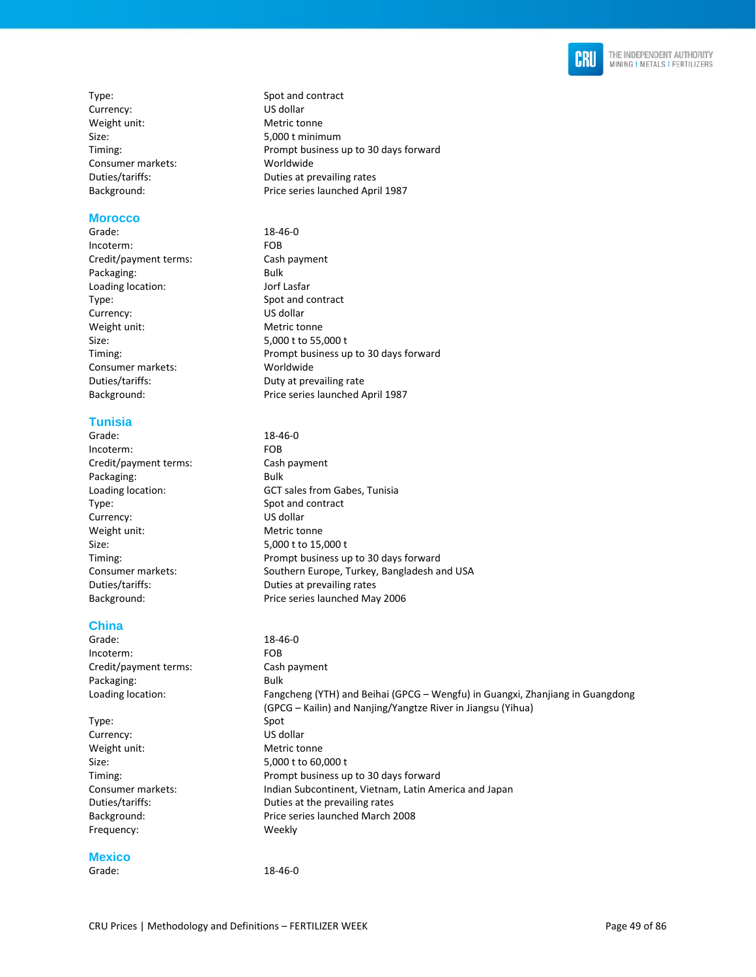

Type: Spot and contract Currency: US dollar Weight unit: Metric tonne Size: 5,000 t minimum Timing: Prompt business up to 30 days forward Consumer markets: Worldwide Duties/tariffs: Duties at prevailing rates Background: Price series launched April 1987

#### **Morocco**

Grade: 18-46-0 Incoterm: FOB Credit/payment terms: Cash payment Packaging: Bulk Loading location: Jorf Lasfar Type: Spot and contract Currency: US dollar Weight unit: Metric tonne Size: 5,000 t to 55,000 t Timing: Prompt business up to 30 days forward Consumer markets: Worldwide Duties/tariffs: Duty at prevailing rate Background: Price series launched April 1987

#### **Tunisia**

Grade: 18-46-0 Incoterm: FOB<br>
Credit/payment terms: Cash payment Credit/payment terms: Packaging: Bulk Loading location: GCT sales from Gabes, Tunisia Type: Spot and contract Currency: US dollar Weight unit: Metric tonne Size: 5,000 t to 15,000 t Timing: Prompt business up to 30 days forward Consumer markets: Southern Europe, Turkey, Bangladesh and USA Duties/tariffs: Duties at prevailing rates Background: Price series launched May 2006

### **China**

Grade: 18-46-0 Incoterm: FOB Credit/payment terms: Cash payment Packaging: Bulk Loading location: Fangcheng (YTH) and Beihai (GPCG – Wengfu) in Guangxi, Zhanjiang in Guangdong (GPCG – Kailin) and Nanjing/Yangtze River in Jiangsu (Yihua) Type: Spot Currency: US dollar Weight unit: Metric tonne Size: 5,000 t to 60,000 t Timing: Prompt business up to 30 days forward Consumer markets: Indian Subcontinent, Vietnam, Latin America and Japan Duties/tariffs: Duties at the prevailing rates Background: Price series launched March 2008 Frequency: Weekly **Mexico** 

Grade: 18-46-0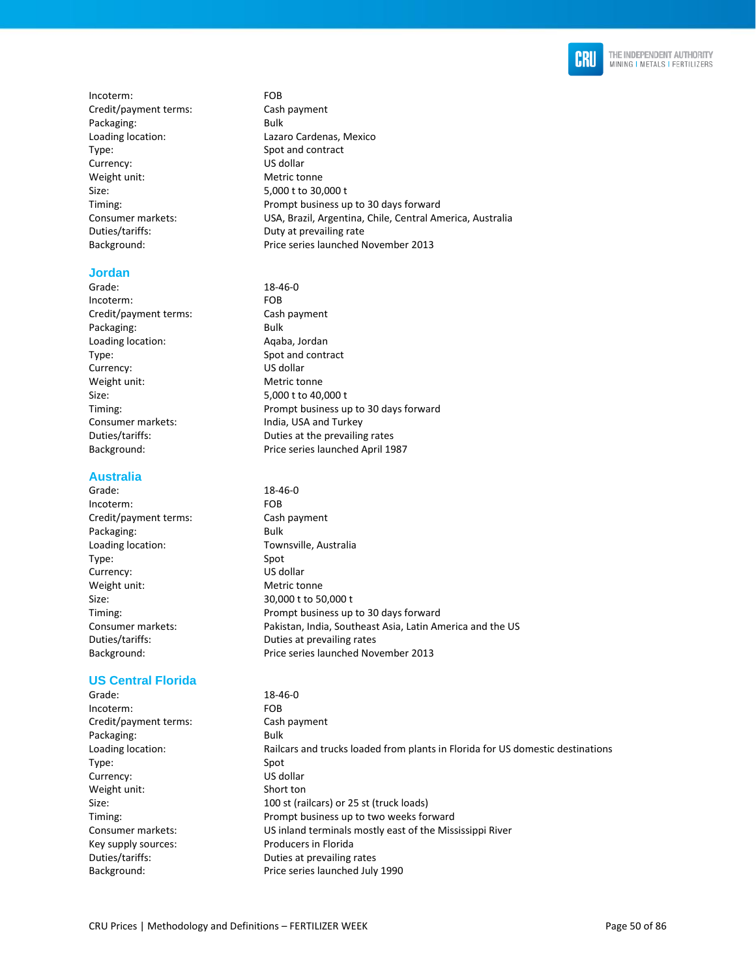

Incoterm: FOB Credit/payment terms: Cash payment Packaging: Bulk Type: Spot and contract Currency: US dollar Weight unit: Metric tonne Size: 5,000 t to 30,000 t Duties/tariffs: Duty at prevailing rate

#### **Jordan**

Grade: 18-46-0 Incoterm: FOB Credit/payment terms: Cash payment Packaging: Bulk Loading location: Aqaba, Jordan Type: Spot and contract Currency: US dollar Weight unit: Metric tonne Size: 5,000 t to 40,000 t Consumer markets: India, USA and Turkey

#### **Australia**

Grade: 18-46-0 Incoterm: FOB Credit/payment terms: Cash payment Packaging: Bulk Loading location: Townsville, Australia Type: Spot Currency: US dollar Weight unit: Metric tonne Size: 30,000 t to 50,000 t Timing: Prompt business up to 30 days forward Consumer markets: Pakistan, India, Southeast Asia, Latin America and the US Duties/tariffs: Duties at prevailing rates Background: Price series launched November 2013

#### **US Central Florida**

Grade: 18-46-0 Incoterm: FOB Credit/payment terms: Cash payment Packaging: Bulk Loading location: Railcars and trucks loaded from plants in Florida for US domestic destinations Type: Spot Currency: US dollar Weight unit: Short ton Size: 100 st (railcars) or 25 st (truck loads) Timing: Prompt business up to two weeks forward Consumer markets: US inland terminals mostly east of the Mississippi River Key supply sources: Producers in Florida Duties/tariffs: Duties at prevailing rates Background: Price series launched July 1990

Loading location: Lazaro Cardenas, Mexico Timing: Timing: Timing: Prompt business up to 30 days forward Consumer markets: USA, Brazil, Argentina, Chile, Central America, Australia Background: Price series launched November 2013

- Timing: Prompt business up to 30 days forward Duties/tariffs: Duties at the prevailing rates Background: Price series launched April 1987
	-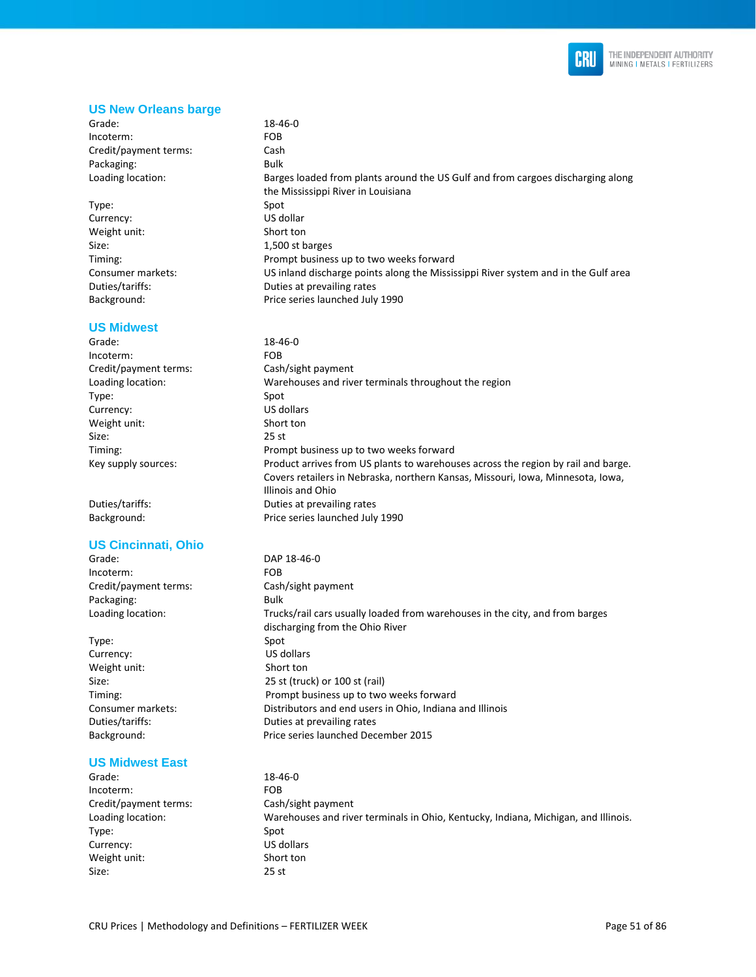

#### **US New Orleans barge**

- Grade: 18-46-0 Incoterm: FOB Credit/payment terms: Cash Packaging: Bulk Loading location: Barges loaded from plants around the US Gulf and from cargoes discharging along
- Type: Spot Currency: US dollar Weight unit: Short ton Size: 1,500 st barges Timing: Prompt business up to two weeks forward Consumer markets: US inland discharge points along the Mississippi River system and in the Gulf area Duties/tariffs: Duties at prevailing rates Background: Price series launched July 1990

#### **US Midwest**

## Grade: 18-46-0

Incoterm: FOB Credit/payment terms: Cash/sight payment Loading location: Warehouses and river terminals throughout the region Type: Spot Currency: US dollars Weight unit: Short ton Size: 25 st Timing: Prompt business up to two weeks forward Key supply sources: Product arrives from US plants to warehouses across the region by rail and barge.

Duties/tariffs: Duties at prevailing rates Background: Price series launched July 1990

#### **US Cincinnati, Ohio**

- Grade: DAP 18-46-0 Incoterm: FOB Credit/payment terms: Cash/sight payment Packaging: Bulk Loading location: Trucks/rail cars usually loaded from warehouses in the city, and from barges
- Type: Spot Currency: US dollars Weight unit: Short ton Size: 25 st (truck) or 100 st (rail) Timing: Prompt business up to two weeks forward Consumer markets: Distributors and end users in Ohio, Indiana and Illinois Duties/tariffs: Duties at prevailing rates Background: Price series launched December 2015

#### **US Midwest East**

Grade: 18-46-0 Incoterm: FOB Credit/payment terms: Cash/sight payment Loading location: Warehouses and river terminals in Ohio, Kentucky, Indiana, Michigan, and Illinois. Type: Spot Currency: US dollars Weight unit: Short ton Size: 25 st

Covers retailers in Nebraska, northern Kansas, Missouri, Iowa, Minnesota, Iowa,

the Mississippi River in Louisiana

Illinois and Ohio

discharging from the Ohio River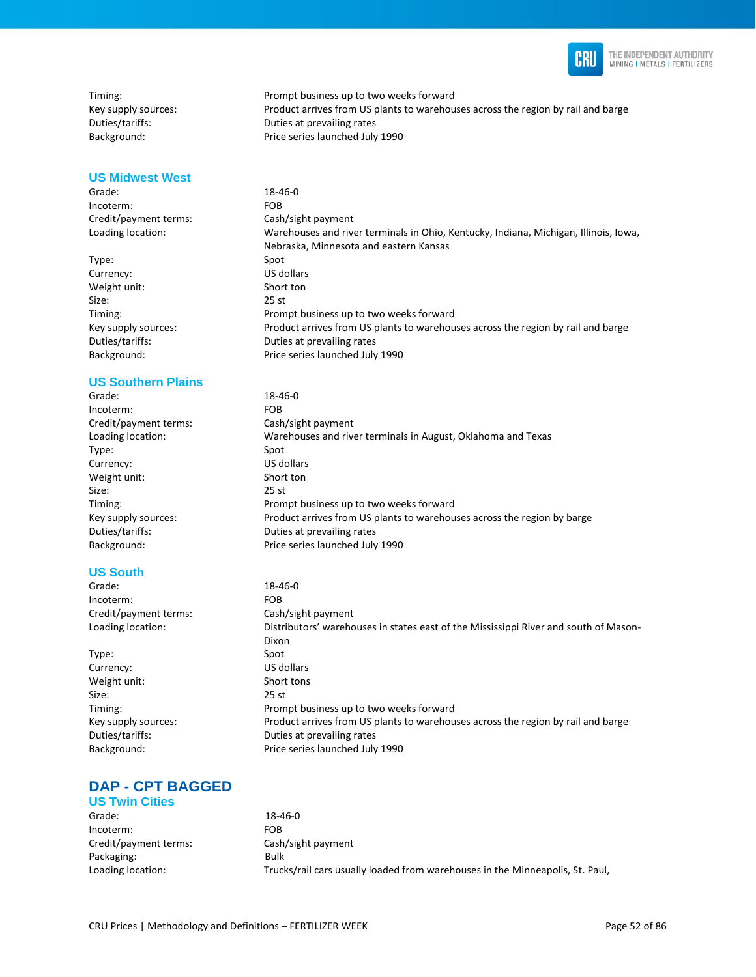

#### **US Midwest West**

Grade: 18-46-0 Incoterm: FOB Credit/payment terms: Cash/sight payment

Type: Spot Currency: US dollars Weight unit: Short ton Size: 25 st

#### **US Southern Plains**

Grade: 18-46-0 Incoterm: FOB Credit/payment terms: Cash/sight payment Loading location: Warehouses and river terminals in August, Oklahoma and Texas Type: Spot Currency: US dollars Weight unit: Short ton Size: 25 st Timing: Prompt business up to two weeks forward Key supply sources: Product arrives from US plants to warehouses across the region by barge Duties/tariffs: Duties at prevailing rates Background: Price series launched July 1990

#### **US South**

Grade: 18-46-0 Incoterm: FOB Credit/payment terms: Cash/sight payment

Type: Spot Currency: US dollars Weight unit: Short tons Size: 25 st

#### **DAP - CPT BAGGED US Twin Cities**

Grade: 18-46-0 Incoterm: FOB Credit/payment terms: Cash/sight payment Packaging: Bulk

Loading location: Trucks/rail cars usually loaded from warehouses in the Minneapolis, St. Paul,

Timing: Prompt business up to two weeks forward Key supply sources: Product arrives from US plants to warehouses across the region by rail and barge Duties/tariffs: Duties at prevailing rates Background: Price series launched July 1990

Loading location: Warehouses and river terminals in Ohio, Kentucky, Indiana, Michigan, Illinois, Iowa, Nebraska, Minnesota and eastern Kansas Timing: Prompt business up to two weeks forward Key supply sources: Product arrives from US plants to warehouses across the region by rail and barge Duties/tariffs: Duties at prevailing rates Background: Price series launched July 1990

Loading location: Distributors' warehouses in states east of the Mississippi River and south of Mason-Dixon Timing: Prompt business up to two weeks forward Key supply sources: Product arrives from US plants to warehouses across the region by rail and barge Duties/tariffs: Duties at prevailing rates Background: Price series launched July 1990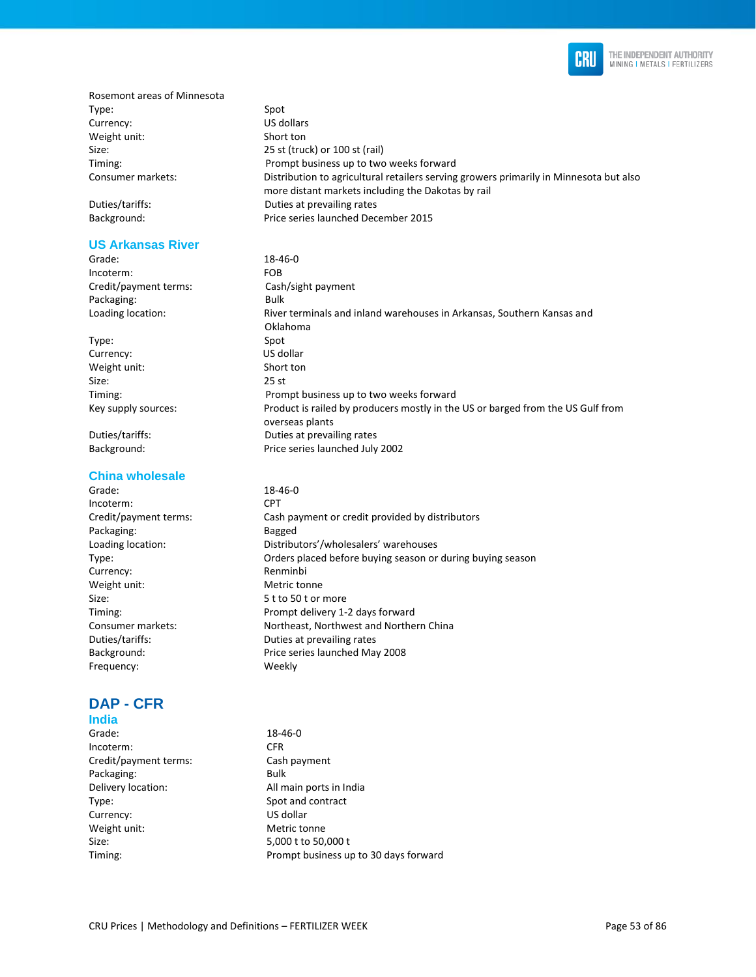

Rosemont areas of Minnesota Type: Spot Currency: US dollars Weight unit: Short ton Size: 25 st (truck) or 100 st (rail)

#### **US Arkansas River**

Incoterm: FOB Credit/payment terms: Cash/sight payment Packaging: Bulk

Type: Spot Currency: US dollar Weight unit: Short ton Size: 25 st

#### **China wholesale**

Grade: 18-46-0 Incoterm: CPT Packaging: Bagged Currency: Renminbi Weight unit: Metric tonne Size: 5 t to 50 t or more Frequency: Weekly

# **DAP - CFR**

## **India**

Grade: 18-46-0 Incoterm: CFR Credit/payment terms: Cash payment Packaging: Bulk Delivery location: All main ports in India Type: Spot and contract Currency: US dollar Weight unit: Metric tonne Size: 5,000 t to 50,000 t Timing: Prompt business up to 30 days forward

Timing: Prompt business up to two weeks forward Consumer markets: Distribution to agricultural retailers serving growers primarily in Minnesota but also more distant markets including the Dakotas by rail Duties/tariffs: Duties at prevailing rates Background: Price series launched December 2015

Grade: 18-46-0 Loading location: River terminals and inland warehouses in Arkansas, Southern Kansas and Oklahoma Timing: Prompt business up to two weeks forward Key supply sources: Product is railed by producers mostly in the US or barged from the US Gulf from overseas plants Duties/tariffs: Duties at prevailing rates Background: Price series launched July 2002

Credit/payment terms: Cash payment or credit provided by distributors Loading location: Distributors'/wholesalers' warehouses Type: Orders placed before buying season or during buying season Timing: Prompt delivery 1-2 days forward Consumer markets: Northeast, Northwest and Northern China Duties/tariffs: Duties at prevailing rates Background: Price series launched May 2008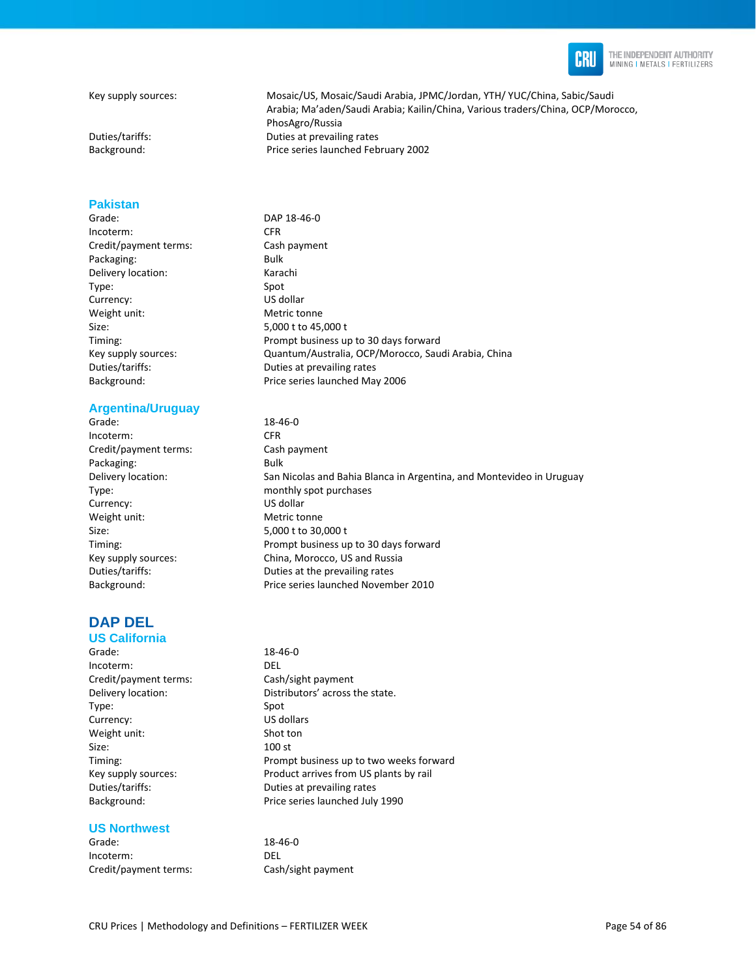

THE INDEPENDENT AUTHORITY MINING I METALS I FERTILIZERS

#### **Pakistan**

Grade: DAP 18-46-0 Incoterm: CFR Credit/payment terms: Cash payment Packaging: Bulk Delivery location: Karachi Type: Spot Currency: US dollar Weight unit: Metric tonne Size: 5,000 t to 45,000 t

#### **Argentina/Uruguay**

Grade: 18-46-0 Incoterm: CFR Credit/payment terms: Cash payment Packaging: Bulk Currency: US dollar Weight unit: Metric tonne Size: 5,000 t to 30,000 t

#### **DAP DEL US California**

# Grade: 18-46-0 Incoterm: DEL Credit/payment terms: Cash/sight payment Type: Spot Currency: US dollars Weight unit: Shot ton Size: 100 st

#### **US Northwest**

Grade: 18-46-0 Incoterm: DEL Credit/payment terms: Cash/sight payment

Key supply sources: Mosaic/US, Mosaic/Saudi Arabia, JPMC/Jordan, YTH/ YUC/China, Sabic/Saudi Arabia; Ma'aden/Saudi Arabia; Kailin/China, Various traders/China, OCP/Morocco, PhosAgro/Russia Duties/tariffs: Duties at prevailing rates Background: Price series launched February 2002

Timing: Prompt business up to 30 days forward Key supply sources: Quantum/Australia, OCP/Morocco, Saudi Arabia, China Duties/tariffs: Duties at prevailing rates Background: Price series launched May 2006

Delivery location: San Nicolas and Bahia Blanca in Argentina, and Montevideo in Uruguay Type: monthly spot purchases Timing: Prompt business up to 30 days forward Key supply sources: China, Morocco, US and Russia Duties/tariffs: Duties at the prevailing rates Background: Price series launched November 2010

Delivery location: Distributors' across the state. Timing: Prompt business up to two weeks forward Key supply sources: Product arrives from US plants by rail Duties/tariffs: Duties at prevailing rates Background: Price series launched July 1990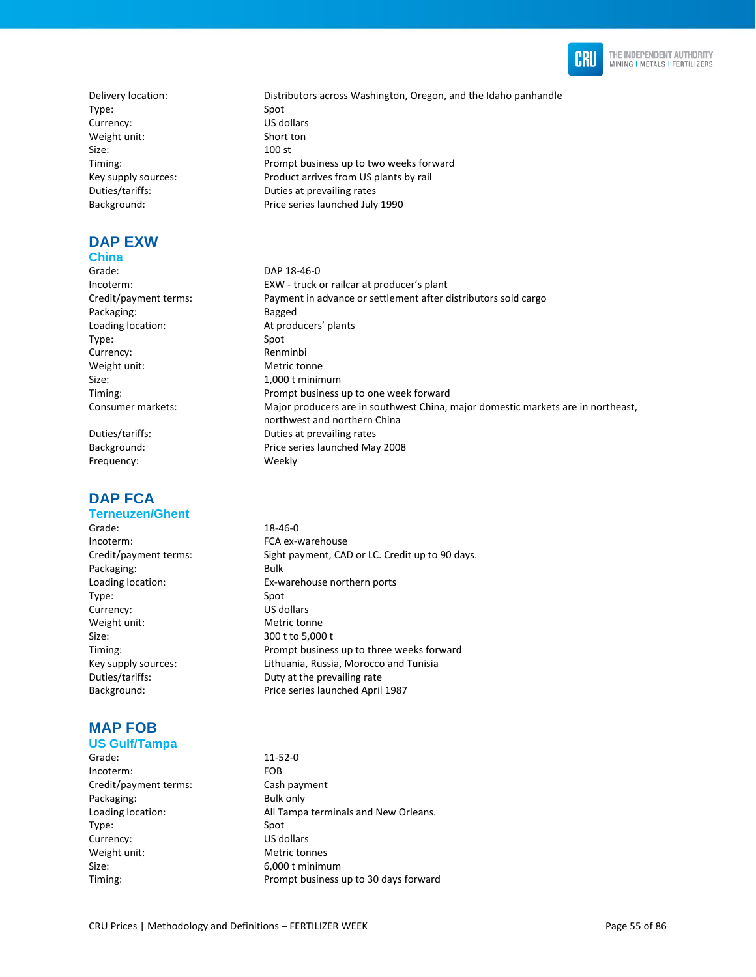

Type: Spot Currency: US dollars Weight unit: Short ton Size: 100 st Background: Price series launched July 1990

# **DAP EXW**

#### **China**

Grade: DAP 18-46-0 Packaging: Bagged Loading location: At producers' plants Type: Spot Currency: Renminbi Weight unit: Metric tonne Size: 1,000 t minimum

Frequency: Weekly

# **DAP FCA**

#### **Terneuzen/Ghent**

Grade: 18-46-0 Incoterm: FCA ex-warehouse Packaging: Bulk Type: Spot Currency: US dollars Weight unit: Metric tonne Size: 300 t to 5,000 t

# **MAP FOB**

## **US Gulf/Tampa**

Grade: 11-52-0 Incoterm: FOB Credit/payment terms: Cash payment Packaging: Bulk only Type: Spot Currency: US dollars Weight unit: Metric tonnes Size: 6,000 t minimum

Delivery location: Distributors across Washington, Oregon, and the Idaho panhandle Timing: Prompt business up to two weeks forward Key supply sources: Product arrives from US plants by rail Duties/tariffs: Duties at prevailing rates

Incoterm: EXW - truck or railcar at producer's plant Credit/payment terms: Payment in advance or settlement after distributors sold cargo Timing: Prompt business up to one week forward Consumer markets: Major producers are in southwest China, major domestic markets are in northeast, northwest and northern China Duties/tariffs: Duties at prevailing rates Background: Price series launched May 2008

Credit/payment terms: Sight payment, CAD or LC. Credit up to 90 days. Loading location: Ex-warehouse northern ports Timing: Prompt business up to three weeks forward Key supply sources: Lithuania, Russia, Morocco and Tunisia Duties/tariffs: Duty at the prevailing rate Background: Price series launched April 1987

Loading location: Mathematic Mall Tampa terminals and New Orleans. Timing: Timing: Timing: Prompt business up to 30 days forward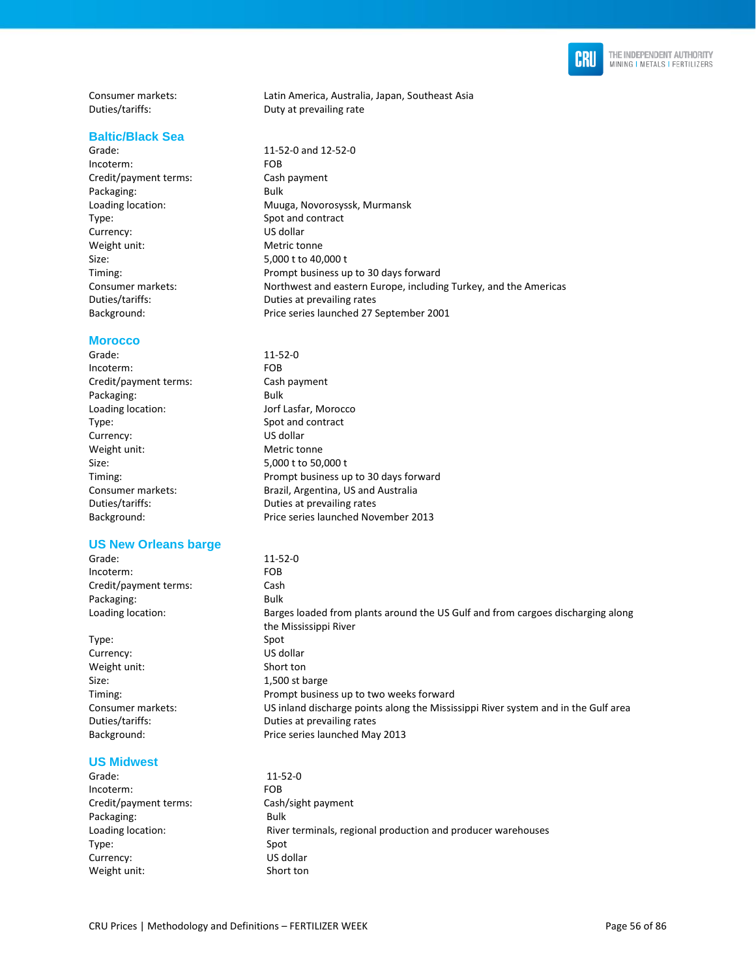

Consumer markets: Latin America, Australia, Japan, Southeast Asia<br>
Duties/tariffs: Duties Duty at prevailing rate

#### **Baltic/Black Sea**

Grade: 11-52-0 and 12-52-0<br>Incoterm: FOB Incoterm: Credit/payment terms: Cash payment Packaging: Bulk Loading location: Muuga, Novorosyssk, Murmansk Type: Spot and contract<br>
Currency: Currency: US dollar Currency: US dollar<br>
Weight unit: Company Metric tonne Weight unit: Size: 5,000 t to 40,000 t Timing: Prompt business up to 30 days forward Consumer markets: Northwest and eastern Europe, including Turkey, and the Americas Duties/tariffs: Duties at prevailing rates Background: Price series launched 27 September 2001

#### **Morocco**

| Grade:                | $11 - 52 - 0$                         |
|-----------------------|---------------------------------------|
| Incoterm:             | <b>FOB</b>                            |
| Credit/payment terms: | Cash payment                          |
| Packaging:            | Bulk                                  |
| Loading location:     | Jorf Lasfar, Morocco                  |
| Type:                 | Spot and contract                     |
| Currency:             | US dollar                             |
| Weight unit:          | Metric tonne                          |
| Size:                 | 5,000 t to 50,000 t                   |
| Timing:               | Prompt business up to 30 days forward |
| Consumer markets:     | Brazil, Argentina, US and Australia   |
| Duties/tariffs:       | Duties at prevailing rates            |
| Background:           | Price series launched November 2013   |
|                       |                                       |

Duty at prevailing rate

#### **US New Orleans barge**

| Grade:                | $11 - 52 - 0$                                                                      |
|-----------------------|------------------------------------------------------------------------------------|
| Incoterm:             | <b>FOB</b>                                                                         |
| Credit/payment terms: | Cash                                                                               |
| Packaging:            | Bulk                                                                               |
| Loading location:     | Barges loaded from plants around the US Gulf and from cargoes discharging along    |
|                       | the Mississippi River                                                              |
| Type:                 | Spot                                                                               |
| Currency:             | US dollar                                                                          |
| Weight unit:          | Short ton                                                                          |
| Size:                 | 1,500 st barge                                                                     |
| Timing:               | Prompt business up to two weeks forward                                            |
| Consumer markets:     | US inland discharge points along the Mississippi River system and in the Gulf area |

Duties/tariffs: Duties at prevailing rates Background: Price series launched May 2013

#### **US Midwest**

| Grade:                | $11 - 52 - 0$                                                |
|-----------------------|--------------------------------------------------------------|
| Incoterm:             | <b>FOB</b>                                                   |
| Credit/payment terms: | Cash/sight payment                                           |
| Packaging:            | <b>Bulk</b>                                                  |
| Loading location:     | River terminals, regional production and producer warehouses |
| Type:                 | Spot                                                         |
| Currency:             | US dollar                                                    |
| Weight unit:          | Short ton                                                    |
|                       |                                                              |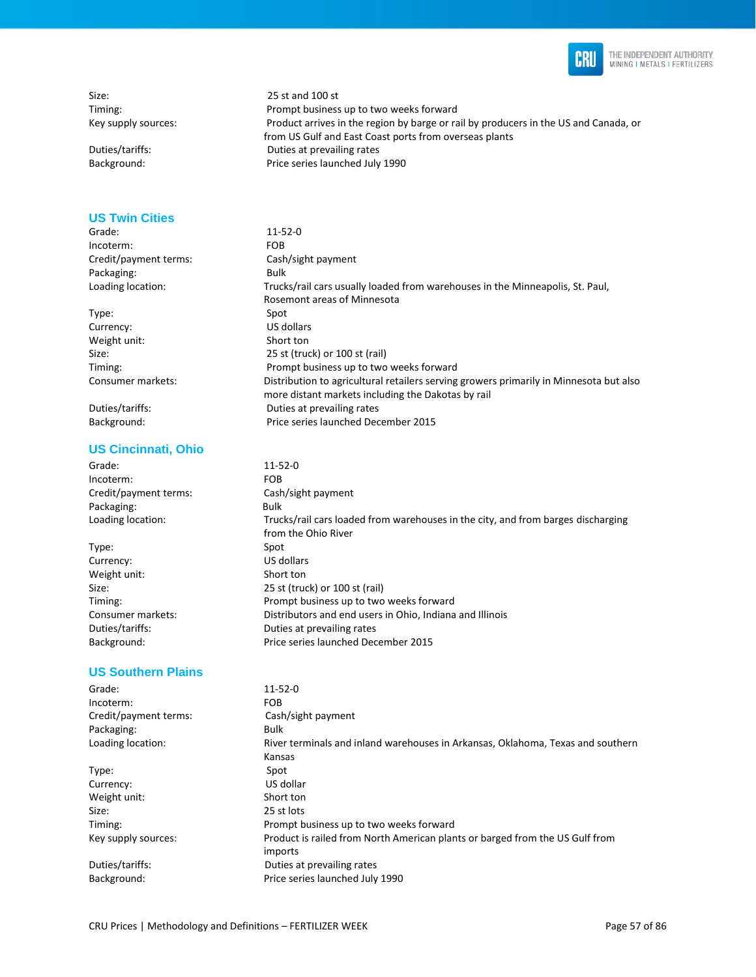

Size: 25 st and 100 st

#### **US Twin Cities**

Grade: 11-52-0 Incoterm: FOB Credit/payment terms: Cash/sight payment Packaging: Bulk

Type: Spot Currency: US dollars Weight unit: Short ton

#### **US Cincinnati, Ohio**

Grade: 11-52-0 Incoterm: FOB Credit/payment terms: Cash/sight payment Packaging: Bulk

Type: Spot Currency: US dollars Weight unit: Short ton

#### **US Southern Plains**

Grade: 11-52-0 Incoterm: FOB Credit/payment terms: Cash/sight payment Packaging: Bulk Loading location: River terminals and inland warehouses in Arkansas, Oklahoma, Texas and southern Kansas Type: Spot Currency: US dollar Weight unit: Short ton Size: 25 st lots Timing: Prompt business up to two weeks forward Key supply sources: Product is railed from North American plants or barged from the US Gulf from imports Duties/tariffs: Duties at prevailing rates Background: Price series launched July 1990

Timing: Prompt business up to two weeks forward Key supply sources: Product arrives in the region by barge or rail by producers in the US and Canada, or from US Gulf and East Coast ports from overseas plants Duties/tariffs: Duties at prevailing rates Background: Price series launched July 1990

Loading location: Trucks/rail cars usually loaded from warehouses in the Minneapolis, St. Paul, Rosemont areas of Minnesota Size: 25 st (truck) or 100 st (rail) Timing: Prompt business up to two weeks forward Consumer markets: Distribution to agricultural retailers serving growers primarily in Minnesota but also more distant markets including the Dakotas by rail Duties/tariffs: Duties at prevailing rates Background: Price series launched December 2015

Loading location: Trucks/rail cars loaded from warehouses in the city, and from barges discharging from the Ohio River Size: 25 st (truck) or 100 st (rail) Timing: Prompt business up to two weeks forward Consumer markets: Distributors and end users in Ohio, Indiana and Illinois Duties/tariffs: Duties at prevailing rates Background: Price series launched December 2015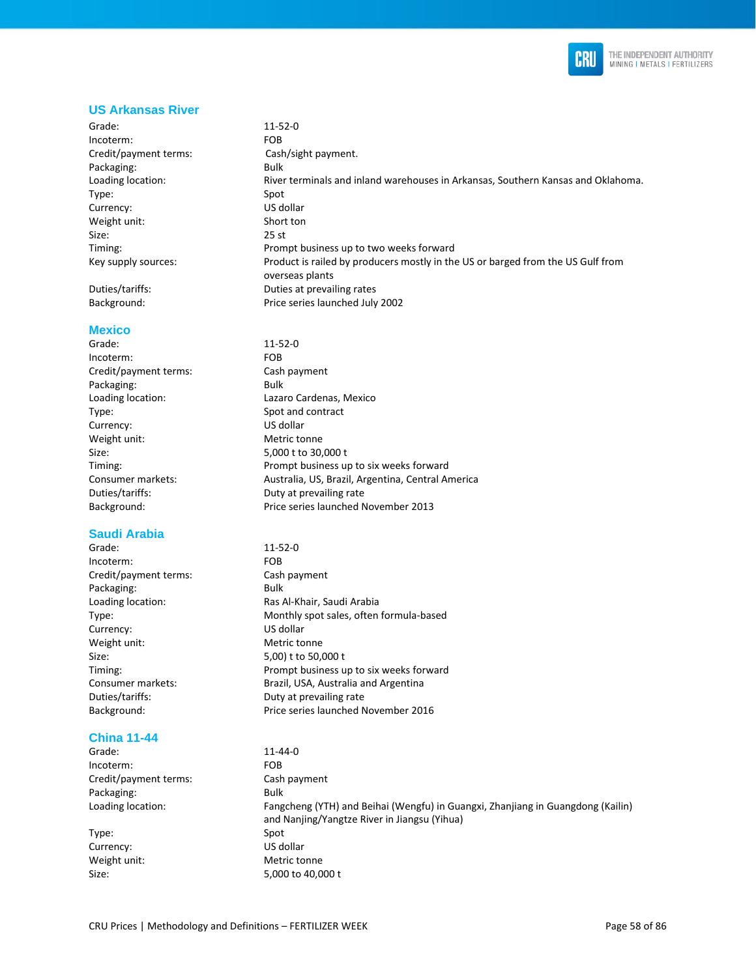

#### **US Arkansas River**

Grade: 11-52-0 Incoterm: FOB Credit/payment terms: Cash/sight payment. Packaging: Bulk Loading location: River terminals and inland warehouses in Arkansas, Southern Kansas and Oklahoma. Type: Spot Currency: US dollar Weight unit: Short ton Size: 25 st Timing: Prompt business up to two weeks forward Key supply sources: Product is railed by producers mostly in the US or barged from the US Gulf from overseas plants Duties/tariffs: Duties at prevailing rates

#### **Mexico**

Grade: 11-52-0 Incoterm: FOB Credit/payment terms: Cash payment Packaging: Bulk Type: Spot and contract Currency: US dollar Weight unit: Metric tonne Size: 5,000 t to 30,000 t

#### **Saudi Arabia**

Grade: 11-52-0 Incoterm: FOB Credit/payment terms: Cash payment Packaging: Bulk Currency: US dollar Weight unit: Metric tonne Size: 5,00) t to 50,000 t Duties/tariffs: Duty at prevailing rate

#### **China 11-44**

Grade: 11-44-0 Incoterm: FOB Credit/payment terms: Cash payment Packaging: Bulk

Type: Spot Currency: US dollar

- Background: Price series launched July 2002
- Loading location: Lazaro Cardenas, Mexico Timing: Prompt business up to six weeks forward Consumer markets: Australia, US, Brazil, Argentina, Central America Duties/tariffs: Duty at prevailing rate Background: Price series launched November 2013
- Loading location: Ras Al-Khair, Saudi Arabia Type: Monthly spot sales, often formula-based Timing: Prompt business up to six weeks forward Consumer markets: Brazil, USA, Australia and Argentina Background: Price series launched November 2016

Loading location: Fangcheng (YTH) and Beihai (Wengfu) in Guangxi, Zhanjiang in Guangdong (Kailin) and Nanjing/Yangtze River in Jiangsu (Yihua) Weight unit: Metric tonne Size: 5,000 to 40,000 t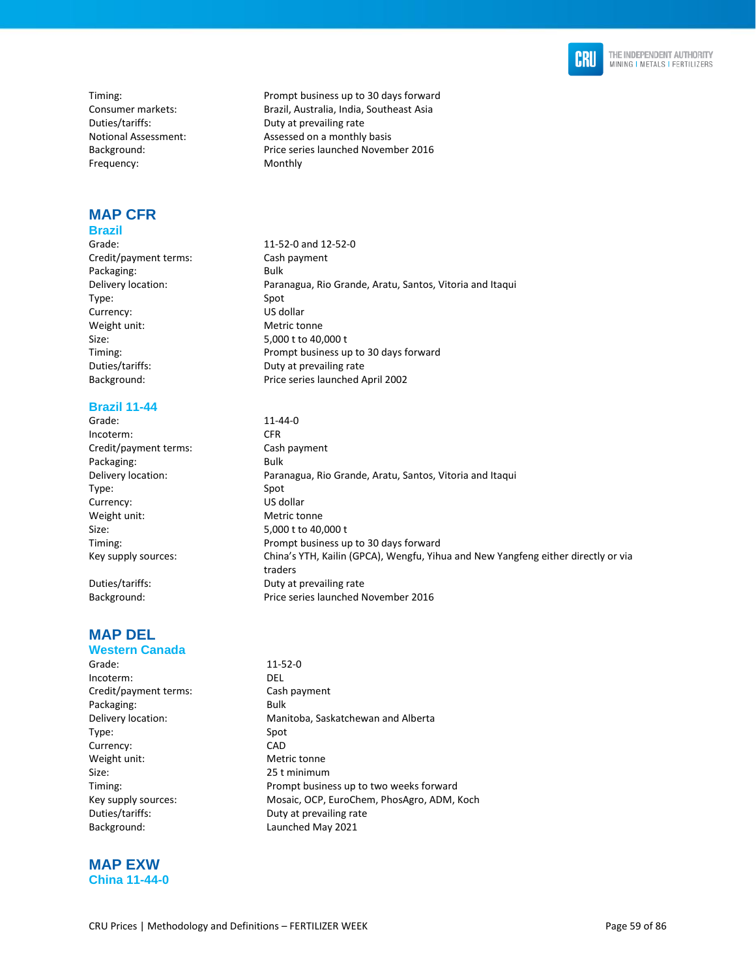

Duties/tariffs: Duty at prevailing rate Frequency: Monthly

#### **MAP CFR Brazil**

Grade: 11-52-0 and 12-52-0 Credit/payment terms: Cash payment Packaging: Bulk Type: Spot Currency: US dollar Weight unit: Metric tonne Size: 5,000 t to 40,000 t

#### **Brazil 11-44**

Grade: 11-44-0 Incoterm: CFR Credit/payment terms: Cash payment Packaging: Bulk Type: Spot Currency: US dollar Weight unit: Metric tonne Size: 5,000 t to 40,000 t

### **MAP DEL**

### **Western Canada**

Grade: 11-52-0 Incoterm: DEL Credit/payment terms: Cash payment Packaging: Bulk Type: Spot Currency: CAD Weight unit: Metric tonne Size: 25 t minimum Duties/tariffs: Duty at prevailing rate Background: Launched May 2021

**MAP EXW China 11-44-0** 

Timing: Timing: Timing: Prompt business up to 30 days forward Consumer markets: Brazil, Australia, India, Southeast Asia Notional Assessment: Assessed on a monthly basis Background: Price series launched November 2016

Delivery location: Paranagua, Rio Grande, Aratu, Santos, Vitoria and Itaqui Timing: Prompt business up to 30 days forward Duties/tariffs: Duty at prevailing rate Background: Price series launched April 2002

Delivery location: Paranagua, Rio Grande, Aratu, Santos, Vitoria and Itaqui Timing: Prompt business up to 30 days forward Key supply sources: China's YTH, Kailin (GPCA), Wengfu, Yihua and New Yangfeng either directly or via traders Duties/tariffs: Duty at prevailing rate Background: Price series launched November 2016

Delivery location: Manitoba, Saskatchewan and Alberta Timing: Prompt business up to two weeks forward Key supply sources: Mosaic, OCP, EuroChem, PhosAgro, ADM, Koch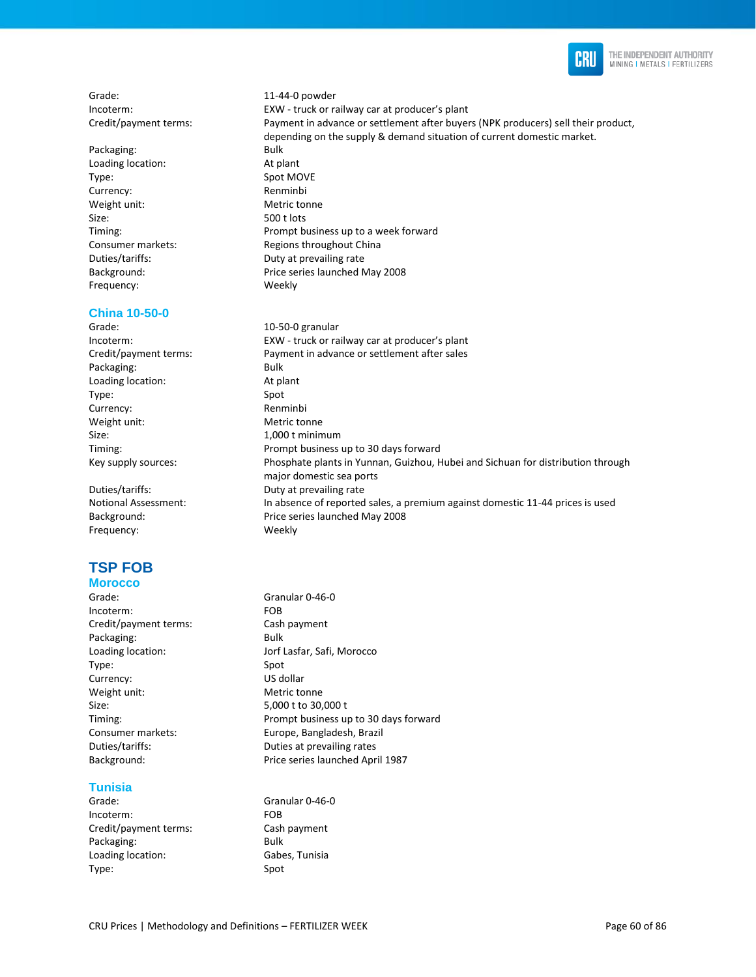

Grade: 11-44-0 powder

Packaging: Bulk Loading location: At plant Type: Spot MOVE Currency: Renminbi Weight unit: Metric tonne Size: 500 t lots Frequency: Weekly

#### **China 10-50-0**

Grade: 10-50-0 granular Packaging: Bulk Loading location: At plant Type: Spot Currency: Renminbi Weight unit: Metric tonne Size: 1,000 t minimum

Frequency: Weekly

# **TSP FOB**

#### **Morocco**

Grade: Granular 0-46-0 Incoterm: FOB Credit/payment terms: Cash payment Packaging: Bulk Type: Spot Currency: US dollar Weight unit: Metric tonne Size: 5,000 t to 30,000 t

#### **Tunisia**

Grade: Granular 0-46-0 Incoterm: FOB Credit/payment terms: Cash payment Packaging: Bulk Loading location: Gabes, Tunisia Type: Spot

Incoterm: EXW - truck or railway car at producer's plant Credit/payment terms: Payment in advance or settlement after buyers (NPK producers) sell their product, depending on the supply & demand situation of current domestic market. Timing: Prompt business up to a week forward Consumer markets: Regions throughout China Duties/tariffs: Duty at prevailing rate Background: Price series launched May 2008

Incoterm: EXW - truck or railway car at producer's plant Credit/payment terms: Payment in advance or settlement after sales Timing: Prompt business up to 30 days forward Key supply sources: Phosphate plants in Yunnan, Guizhou, Hubei and Sichuan for distribution through major domestic sea ports Duties/tariffs: Duty at prevailing rate Notional Assessment: In absence of reported sales, a premium against domestic 11-44 prices is used Background: Price series launched May 2008

Loading location: Jorf Lasfar, Safi, Morocco Timing: Prompt business up to 30 days forward Consumer markets: Europe, Bangladesh, Brazil Duties/tariffs: Duties at prevailing rates Background: Price series launched April 1987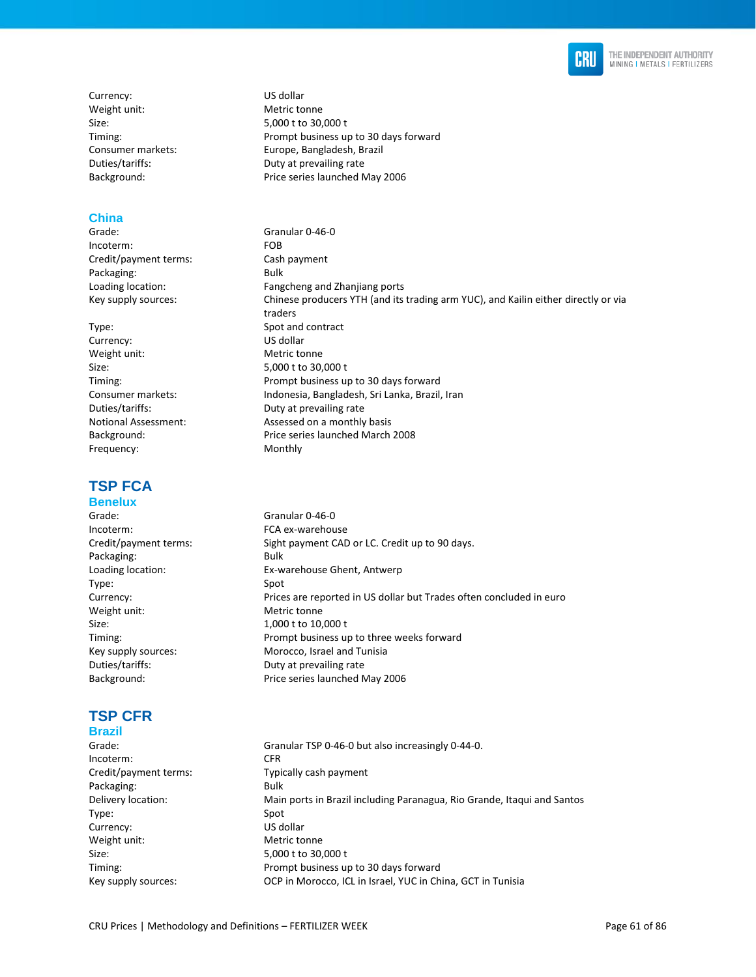

Currency: US dollar Weight unit: Metric tonne

#### **China**

Incoterm: FOB Credit/payment terms: Cash payment Packaging: Bulk

Currency: US dollar Weight unit: Metric tonne Size: 5,000 t to 30,000 t Frequency: Monthly

# **TSP FCA**

# **Benelux**

Incoterm: FCA ex-warehouse Packaging: Bulk Type: Spot Weight unit: Metric tonne Size: 1,000 t to 10,000 t

# **TSP CFR**

# **Brazil**

Grade: Granular TSP 0-46-0 but also increasingly 0-44-0. Incoterm: CFR Credit/payment terms: Typically cash payment Packaging: Bulk Delivery location: Main ports in Brazil including Paranagua, Rio Grande, Itaqui and Santos Type: Spot Currency: US dollar Weight unit: Metric tonne Size: 5,000 t to 30,000 t Timing: Prompt business up to 30 days forward Key supply sources: OCP in Morocco, ICL in Israel, YUC in China, GCT in Tunisia

- Size: 5,000 t to 30,000 t Timing: Prompt business up to 30 days forward Consumer markets: Europe, Bangladesh, Brazil Duties/tariffs: Duty at prevailing rate Background: Price series launched May 2006
- Grade: Granular 0-46-0 Loading location: Fangcheng and Zhanjiang ports Key supply sources: Chinese producers YTH (and its trading arm YUC), and Kailin either directly or via traders Type: Spot and contract Timing: Prompt business up to 30 days forward Consumer markets: Indonesia, Bangladesh, Sri Lanka, Brazil, Iran Duties/tariffs: Duty at prevailing rate Notional Assessment: Assessed on a monthly basis Background: Price series launched March 2008
- Grade: Granular 0-46-0 Credit/payment terms: Sight payment CAD or LC. Credit up to 90 days. Loading location: Ex-warehouse Ghent, Antwerp Currency: Prices are reported in US dollar but Trades often concluded in euro Timing: Prompt business up to three weeks forward Key supply sources: Morocco, Israel and Tunisia Duties/tariffs: Duty at prevailing rate Background: Price series launched May 2006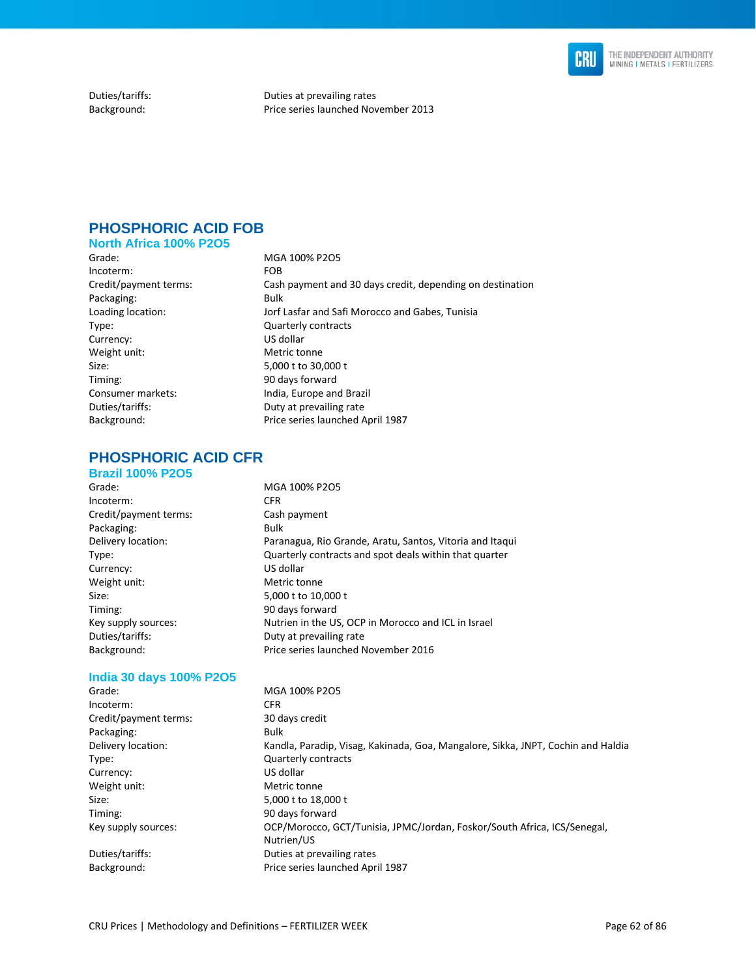

Duties/tariffs: Duties at prevailing rates Background: Price series launched November 2013

# **PHOSPHORIC ACID FOB**

### **North Africa 100% P2O5**

Incoterm: FOB Packaging: Bulk Type: Quarterly contracts Currency: US dollar<br>
Weight unit: Weight unit: Metric tonne Weight unit: Size: 5,000 t to 30,000 t Timing: 90 days forward Consumer markets: India, Europe and Brazil Duties/tariffs: Duty at prevailing rate

Grade: MGA 100% P2O5 Credit/payment terms: Cash payment and 30 days credit, depending on destination Loading location: Jorf Lasfar and Safi Morocco and Gabes, Tunisia Background: Price series launched April 1987

# **PHOSPHORIC ACID CFR**

#### **Brazil 100% P2O5**

Grade: MGA 100% P2O5 Incoterm: CFR Credit/payment terms: Cash payment Packaging: Bulk Delivery location: Paranagua, Rio Grande, Aratu, Santos, Vitoria and Itaqui Type: Quarterly contracts and spot deals within that quarter Currency: US dollar Weight unit: Metric tonne Size: 5,000 t to 10,000 t Timing: 90 days forward Key supply sources: Nutrien in the US, OCP in Morocco and ICL in Israel Duties/tariffs: Duty at prevailing rate Background: Price series launched November 2016

#### **India 30 days 100% P2O5**

| Grade:                | MGA 100% P2O5                                                                    |
|-----------------------|----------------------------------------------------------------------------------|
| Incoterm:             | CFR.                                                                             |
| Credit/payment terms: | 30 days credit                                                                   |
| Packaging:            | Bulk                                                                             |
| Delivery location:    | Kandla, Paradip, Visag, Kakinada, Goa, Mangalore, Sikka, JNPT, Cochin and Haldia |
| Type:                 | <b>Quarterly contracts</b>                                                       |
| Currency:             | US dollar                                                                        |
| Weight unit:          | Metric tonne                                                                     |
| Size:                 | 5,000 t to 18,000 t                                                              |
| Timing:               | 90 days forward                                                                  |
| Key supply sources:   | OCP/Morocco, GCT/Tunisia, JPMC/Jordan, Foskor/South Africa, ICS/Senegal,         |
|                       | Nutrien/US                                                                       |
| Duties/tariffs:       | Duties at prevailing rates                                                       |
| Background:           | Price series launched April 1987                                                 |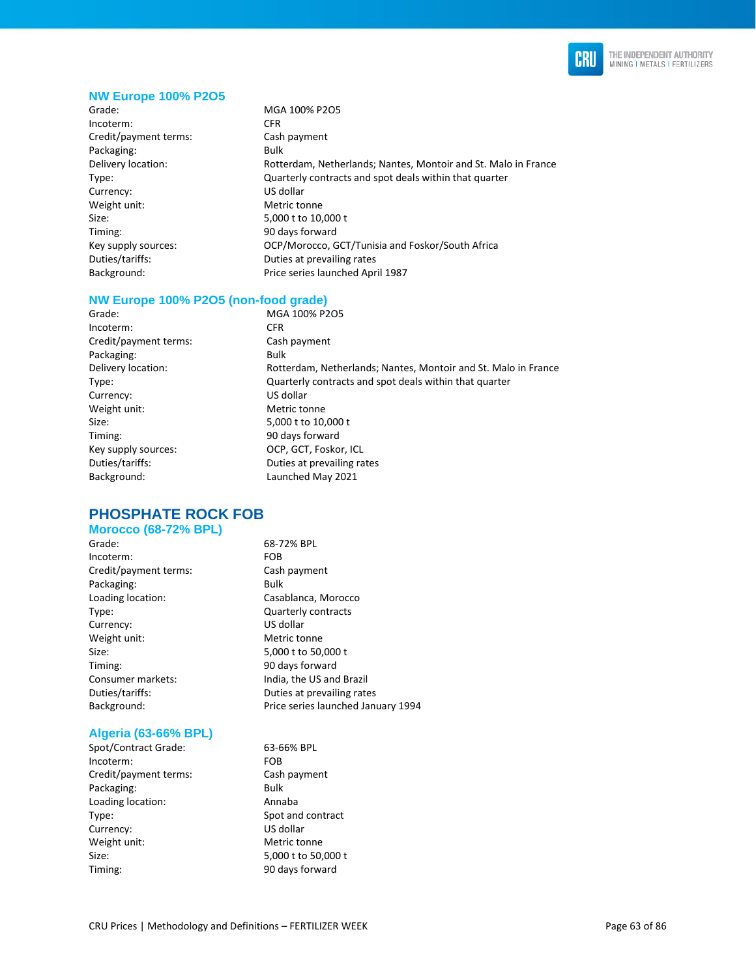

#### **NW Europe 100% P2O5**

Grade: MGA 100% P2O5 Incoterm: CFR Credit/payment terms: Cash payment Packaging: Bulk Currency: US dollar Weight unit: Metric tonne Size: 5,000 t to 10,000 t Timing: 90 days forward

Delivery location: Rotterdam, Netherlands; Nantes, Montoir and St. Malo in France Type: Quarterly contracts and spot deals within that quarter Key supply sources: OCP/Morocco, GCT/Tunisia and Foskor/South Africa Duties/tariffs: Duties at prevailing rates Background: Price series launched April 1987

#### **NW Europe 100% P2O5 (non-food grade)**

Grade: MGA 100% P2O5 Incoterm: CFR Credit/payment terms: Cash payment Packaging: Bulk Delivery location: Rotterdam, Netherlands; Nantes, Montoir and St. Malo in France Type: Quarterly contracts and spot deals within that quarter Currency: US dollar Weight unit: Metric tonne Size: 5,000 t to 10,000 t Timing: 90 days forward Key supply sources: OCP, GCT, Foskor, ICL Duties/tariffs: Duties at prevailing rates Background: Launched May 2021

**PHOSPHATE ROCK FOB Morocco (68-72% BPL)** 

Grade: 68-72% BPL Incoterm: FOB Credit/payment terms: Cash payment Packaging: Bulk Loading location: Casablanca, Morocco Type: Quarterly contracts Currency: US dollar Weight unit: Metric tonne Size: 5,000 t to 50,000 t Timing: 90 days forward Consumer markets: India, the US and Brazil

#### **Algeria (63-66% BPL)**

Spot/Contract Grade: 63-66% BPL Incoterm: FOB Credit/payment terms: Cash payment Packaging: Bulk Loading location: Annaba Type: Spot and contract Currency: US dollar Weight unit: Metric tonne Size: 5,000 t to 50,000 t Timing: 90 days forward

Duties/tariffs: Duties at prevailing rates Background: Price series launched January 1994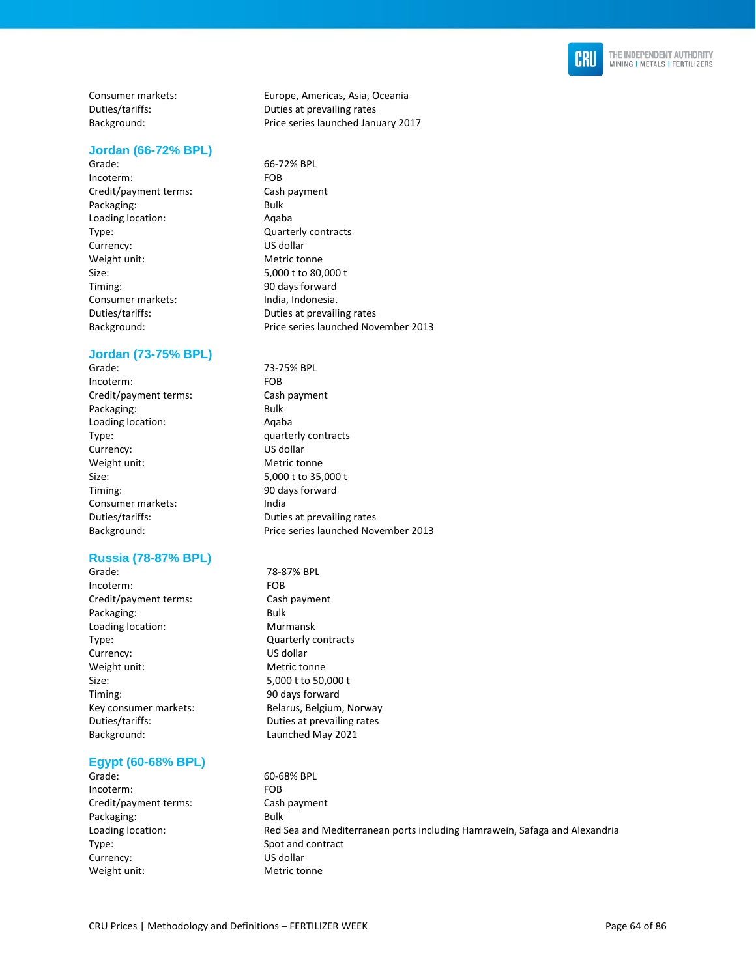

#### **Jordan (66-72% BPL)**

Grade: 66-72% BPL Incoterm: FOB Credit/payment terms: Cash payment Packaging: Bulk Loading location: Aqaba Type: Currency: Currency: Currency: Currency: Currency: Currency: Currency: Currency: Currency: Currency: Currency: Currency: Currency: Currency: Currency: Currency: Currency: Currency: Currency: Currency: Currency: Curren Currency: Weight unit: Metric tonne Size: 5,000 t to 80,000 t Timing: 90 days forward Consumer markets: India, Indonesia.

#### **Jordan (73-75% BPL)**

Grade: 73-75% BPL Incoterm: FOB Credit/payment terms: Cash payment Packaging: Bulk Loading location: Aqaba Type: quarterly contracts Currency: US dollar Weight unit: Metric tonne Size: 5,000 t to 35,000 t Timing: 90 days forward Consumer markets: India Duties/tariffs: Duties at prevailing rates

#### **Russia (78-87% BPL)**

Grade: 78-87% BPL Incoterm: FOB Credit/payment terms: Cash payment Packaging: Bulk Loading location: Murmansk Type: Quarterly contracts Currency: US dollar Weight unit: Metric tonne Size: 5,000 t to 50,000 t Timing: 90 days forward Key consumer markets: Belarus, Belgium, Norway Duties/tariffs: Duties at prevailing rates Background: Launched May 2021

### **Egypt (60-68% BPL)**

Grade: 60-68% BPL Incoterm: FOB Credit/payment terms: Cash payment Packaging: Bulk Loading location: Red Sea and Mediterranean ports including Hamrawein, Safaga and Alexandria Type: Spot and contract Currency: US dollar Weight unit: Metric tonne

Consumer markets: Europe, Americas, Asia, Oceania Duties/tariffs: Duties at prevailing rates Background: Price series launched January 2017

- Duties/tariffs: Duties at prevailing rates Background: Price series launched November 2013
- Background: Price series launched November 2013
	-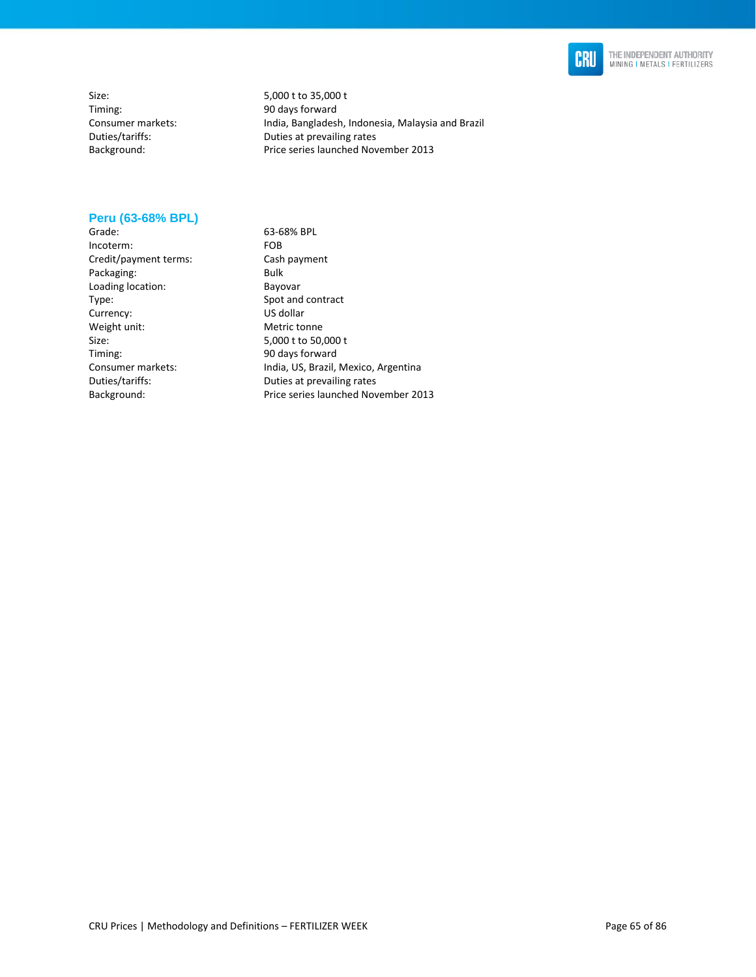

Size: 5,000 t to 35,000 t<br>Timing: 5,000 t 5,000 t 5,000 t 5,000 t 5,000 t 5,000 t 5,000 t 5,000 t 5,000 t 5,000 t 5,000 t 5,000 t 5,000 t 5,000 t 5,000 t 5,000 t 5,000 t 5,000 t 5,000 t 5,000 t 5,000 t 5,000 t 5,000 t 5,00 Timing: 30 days forward<br>Consumer markets: 30 days forward

India, Bangladesh, Indonesia, Malaysia and Brazil Duties/tariffs: Duties at prevailing rates Background: Price series launched November 2013

#### **Peru (63-68% BPL)**

Grade: 63-68% BPL<br>Incoterm: FOB Incoterm: Credit/payment terms: Cash payment Packaging: Bulk Loading location: Bayovar Type: Spot and contract Currency: US dollar<br>
Weight unit: Comparent Metric tonne Weight unit: Size: 5,000 t to 50,000 t<br>Timing: 5,000 t to 50,000 t<br>90 days forward

90 days forward Consumer markets: India, US, Brazil, Mexico, Argentina Duties/tariffs: Duties at prevailing rates Background: Price series launched November 2013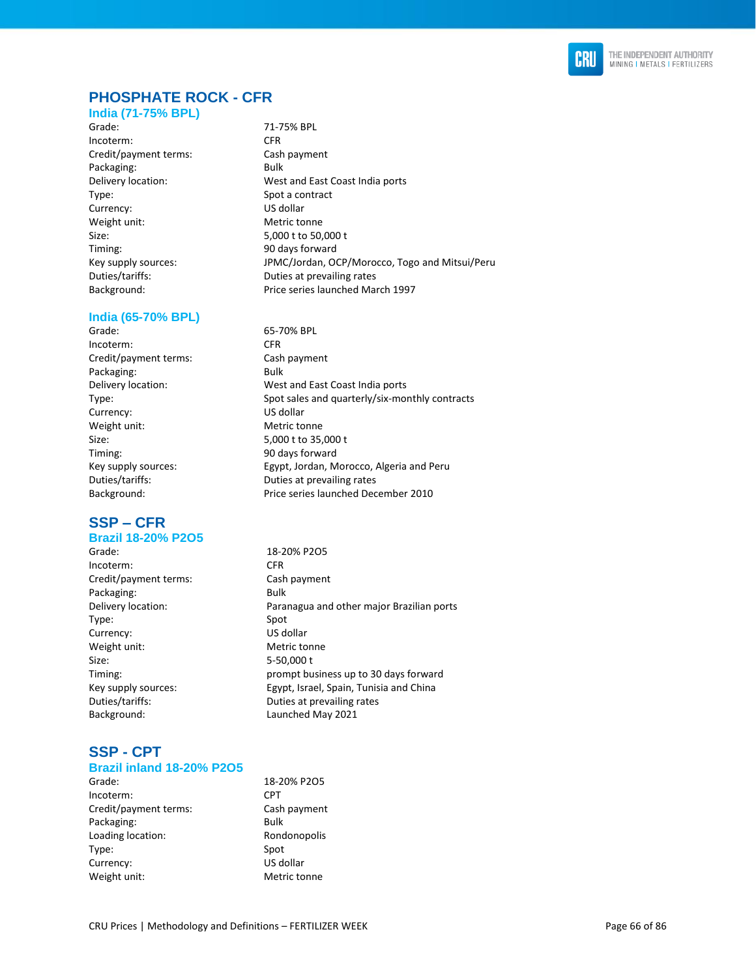

# **PHOSPHATE ROCK - CFR**

#### **India (71-75% BPL)**

Grade: 71-75% BPL Incoterm: CFR Credit/payment terms: Cash payment Packaging: Bulk Type: Spot a contract Currency: US dollar Weight unit: Metric tonne Size: 5,000 t to 50,000 t Timing: 90 days forward Background: Price series launched March 1997

#### **India (65-70% BPL)**

Grade: 65-70% BPL Incoterm: CFR Credit/payment terms: Cash payment Packaging: Bulk Currency: US dollar Weight unit: Metric tonne Size: 5,000 t to 35,000 t Timing: 90 days forward

# **SSP – CFR**

# **Brazil 18-20% P2O5**

- Grade: 18-20% P2O5 Incoterm: CFR Credit/payment terms: Cash payment Packaging: Bulk Type: Spot Currency: US dollar Weight unit: Metric tonne Size: 5-50,000 t Duties/tariffs: Duties at prevailing rates Background: Launched May 2021
- **SSP - CPT Brazil inland 18-20% P2O5**

| Grade:                | $18-2$          |
|-----------------------|-----------------|
| Incoterm:             | CPT.            |
| Credit/payment terms: | Cash            |
| Packaging:            | Bulk            |
| Loading location:     | Ron             |
| Type:                 | Spot            |
| Currency:             | US <sub>d</sub> |
| Weight unit:          | Met             |

Delivery location: West and East Coast India ports Key supply sources: JPMC/Jordan, OCP/Morocco, Togo and Mitsui/Peru Duties/tariffs: Duties at prevailing rates

Delivery location: West and East Coast India ports Type: Spot sales and quarterly/six-monthly contracts Key supply sources: Egypt, Jordan, Morocco, Algeria and Peru Duties/tariffs: Duties at prevailing rates Background: Price series launched December 2010

Delivery location: Paranagua and other major Brazilian ports Timing: prompt business up to 30 days forward Key supply sources: Egypt, Israel, Spain, Tunisia and China

> 18-20% P2O5 Cash payment Rondonopolis Spot US dollar Metric tonne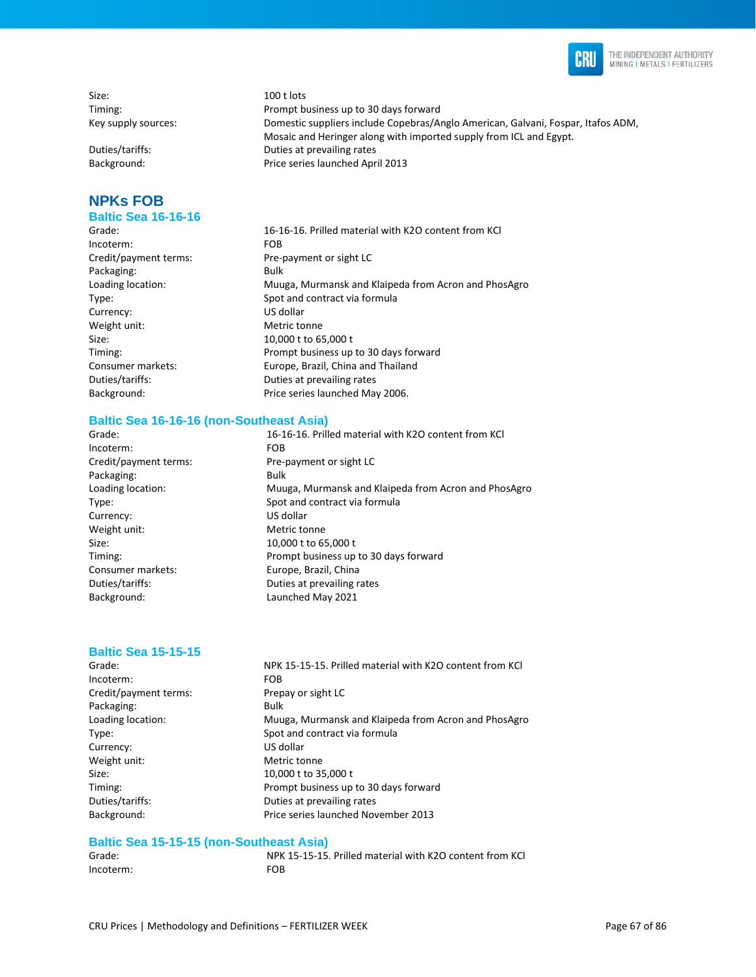

Size: 100 t lots Timing: Prompt business up to 30 days forward Key supply sources: Domestic suppliers include Copebras/Anglo American, Galvani, Fospar, Itafos ADM,

Duties/tariffs: Duties at prevailing rates Background: Price series launched April 2013

# **NPKs FOB**

## **Baltic Sea 16-16-16**

Grade: 16-16-16. Prilled material with K2O content from KCl Incoterm: FOB Credit/payment terms: Pre-payment or sight LC Packaging: Bulk Loading location: Muuga, Murmansk and Klaipeda from Acron and PhosAgro Type: Spot and contract via formula Currency: US dollar Weight unit: Metric tonne Size: 10,000 t to 65,000 t<br>Timing: 10,000 t 10 Frompt business up Prompt business up to 30 days forward Consumer markets: Europe, Brazil, China and Thailand Duties/tariffs: Duties at prevailing rates Background: Price series launched May 2006.

#### **Baltic Sea 16-16-16 (non-Southeast Asia)**

Incoterm: FOB Credit/payment terms: Pre-payment or sight LC Packaging: Bulk Currency: US dollar Weight unit: Metric tonne Size: 10,000 t to 65,000 t Consumer markets: Europe, Brazil, China Duties/tariffs: Duties at prevailing rates Background: Launched May 2021

Grade: 16-16-16. Prilled material with K2O content from KCl Loading location: Muuga, Murmansk and Klaipeda from Acron and PhosAgro Type: Spot and contract via formula Timing: Prompt business up to 30 days forward

Mosaic and Heringer along with imported supply from ICL and Egypt.

#### **Baltic Sea 15-15-15**

Grade: NPK 15-15-15. Prilled material with K2O content from KCl Incoterm: FOB Credit/payment terms: Prepay or sight LC Packaging: Bulk Loading location: Muuga, Murmansk and Klaipeda from Acron and PhosAgro Type: Spot and contract via formula Currency: US dollar Weight unit: Metric tonne Size: 10,000 t to 35,000 t Timing: Prompt business up to 30 days forward Duties/tariffs: Duties at prevailing rates<br>
Background: Price series launched Nov Price series launched November 2013

#### **Baltic Sea 15-15-15 (non-Southeast Asia)**

| Grade:    | <b>NPK</b> |
|-----------|------------|
| Incoterm: | <b>FOB</b> |

NPK 15-15-15. Prilled material with K2O content from KCl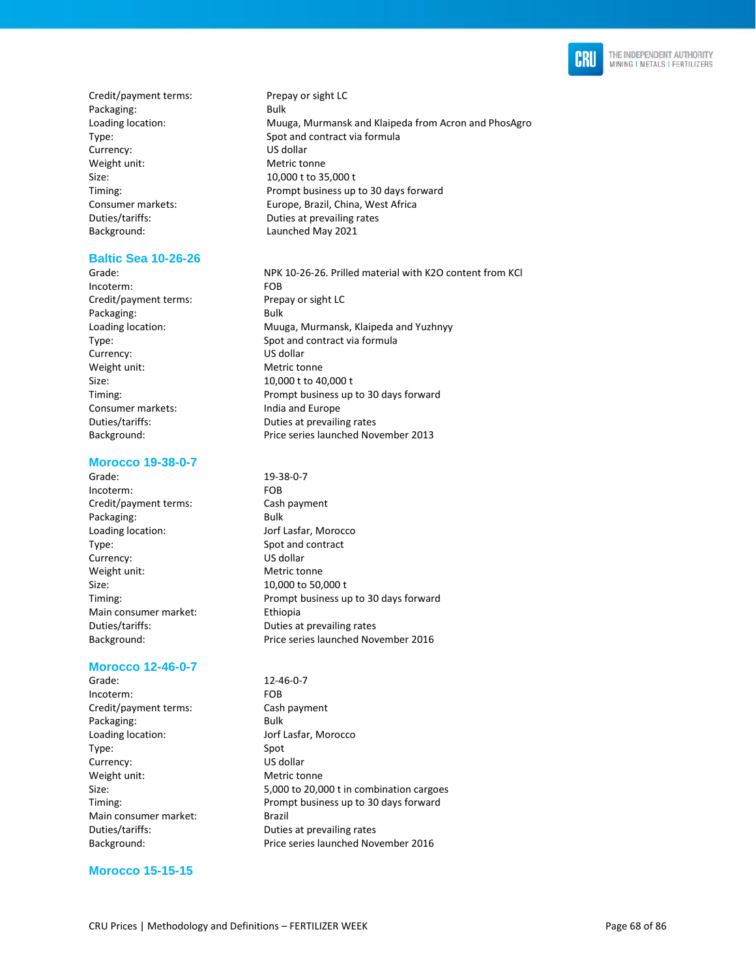

Credit/payment terms: Prepay or sight LC Packaging: Bulk Currency: US dollar Weight unit: Metric tonne Size: 10,000 t to 35,000 t Background: Launched May 2021

#### **Baltic Sea 10-26-26**

Incoterm: FOB Credit/payment terms: Prepay or sight LC Packaging: Bulk Currency: US dollar Weight unit: Metric tonne Size: 10,000 t to 40,000 t Consumer markets: India and Europe

#### **Morocco 19-38-0-7**

Grade: 19-38-0-7 Incoterm: FOB Credit/payment terms: Cash payment Packaging: Bulk Loading location: Jorf Lasfar, Morocco Type: Spot and contract Currency: US dollar Weight unit: Metric tonne Size: 10,000 to 50,000 t Main consumer market: Ethiopia

#### **Morocco 12-46-0-7**

Grade: 12-46-0-7 Incoterm: FOB Credit/payment terms: Cash payment Packaging: Bulk Loading location: Jorf Lasfar, Morocco Type: Spot Currency: US dollar Weight unit: Metric tonne Main consumer market: Brazil

Loading location: Muuga, Murmansk and Klaipeda from Acron and PhosAgro Type: Spot and contract via formula Timing: Prompt business up to 30 days forward Consumer markets: Europe, Brazil, China, West Africa Duties/tariffs: Duties at prevailing rates

Grade: NPK 10-26-26. Prilled material with K2O content from KCl Loading location: Muuga, Murmansk, Klaipeda and Yuzhnyy Type: Spot and contract via formula Timing: Prompt business up to 30 days forward Duties/tariffs: Duties at prevailing rates Background: Price series launched November 2013

Timing: Prompt business up to 30 days forward Duties/tariffs: Duties at prevailing rates Background: Price series launched November 2016

Size: 5,000 to 20,000 t in combination cargoes Timing: Prompt business up to 30 days forward Duties/tariffs: Duties at prevailing rates Background: Price series launched November 2016

### **Morocco 15-15-15**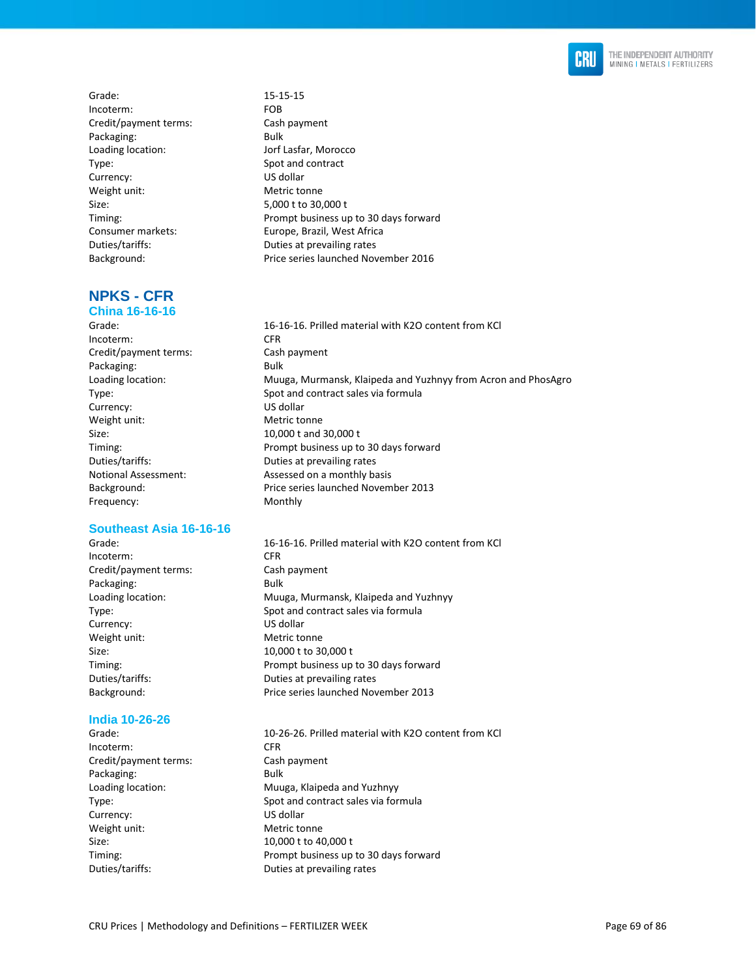

Grade: 15-15-15 Incoterm: FOB Credit/payment terms: Cash payment Packaging: Bulk Loading location: Jorf Lasfar, Morocco Type: Spot and contract Currency: US dollar Weight unit: Metric tonne Size: 5,000 t to 30,000 t

**NPKS - CFR China 16-16-16** 

Incoterm: CFR Credit/payment terms: Cash payment Packaging: Bulk Currency: US dollar Weight unit: Metric tonne Size: 10,000 t and 30,000 t Frequency: Monthly

#### **Southeast Asia 16-16-16**

Incoterm: CFR Credit/payment terms: Cash payment Packaging: Bulk Currency: US dollar Weight unit: Metric tonne Size: 10,000 t to 30,000 t

#### **India 10-26-26**

Incoterm: CFR Credit/payment terms: Cash payment Packaging: Bulk Currency: US dollar Weight unit: Metric tonne Size: 10,000 t to 40,000 t Duties/tariffs: Duties at prevailing rates

- Timing: Prompt business up to 30 days forward Consumer markets: Europe, Brazil, West Africa Duties/tariffs: Duties at prevailing rates Background: Price series launched November 2016
- Grade: 16-16-16. Prilled material with K2O content from KCl Loading location: Muuga, Murmansk, Klaipeda and Yuzhnyy from Acron and PhosAgro Type: Spot and contract sales via formula Timing: Prompt business up to 30 days forward Duties/tariffs: Duties at prevailing rates Notional Assessment: Assessed on a monthly basis Background: Price series launched November 2013
- Grade: 16-16-16. Prilled material with K2O content from KCl Loading location: Muuga, Murmansk, Klaipeda and Yuzhnyy Type: Spot and contract sales via formula Timing: Prompt business up to 30 days forward Duties/tariffs: Duties at prevailing rates Background: Price series launched November 2013
- Grade: 10-26-26. Prilled material with K2O content from KCl Loading location: Muuga, Klaipeda and Yuzhnyy Type: Spot and contract sales via formula Timing: Prompt business up to 30 days forward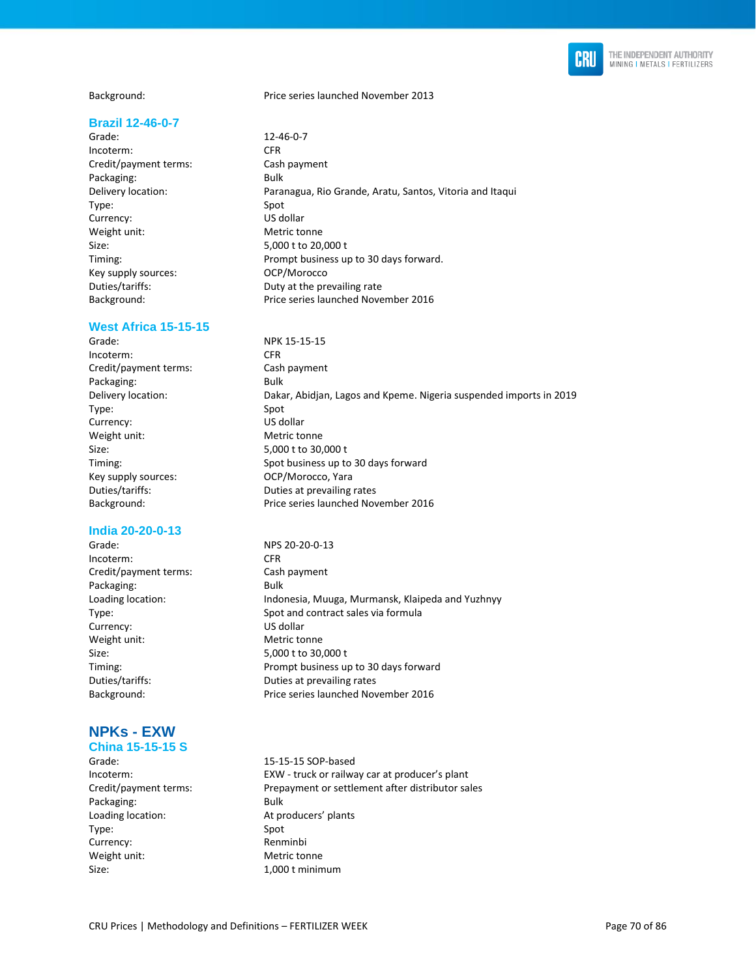

#### **Brazil 12-46-0-7**

Grade: 12-46-0-7 Incoterm: CFR Credit/payment terms: Cash payment Packaging: Bulk Type: Spot Currency: US dollar Weight unit: Metric tonne Size: 5,000 t to 20,000 t Key supply sources: OCP/Morocco

#### **West Africa 15-15-15**

Incoterm: CFR Credit/payment terms: Cash payment Packaging: Bulk Type: Spot Currency: US dollar Weight unit: Metric tonne Size: 5,000 t to 30,000 t Key supply sources: COCP/Morocco, Yara

#### **India 20-20-0-13**

Incoterm: CFR Credit/payment terms: Cash payment Packaging: Bulk Currency: US dollar Weight unit: Metric tonne Size: 5,000 t to 30,000 t

# **NPKs - EXW**

## **China 15-15-15 S**

Packaging: Bulk Loading location: At producers' plants Type: Spot Currency: Renminbi Weight unit: Metric tonne Size: 1,000 t minimum

Background: Price series launched November 2013

Delivery location: Paranagua, Rio Grande, Aratu, Santos, Vitoria and Itaqui Timing: Prompt business up to 30 days forward. Duties/tariffs: Duty at the prevailing rate Background: Price series launched November 2016

Grade: NPK 15-15-15 Delivery location: Dakar, Abidjan, Lagos and Kpeme. Nigeria suspended imports in 2019 Timing: Spot business up to 30 days forward Duties/tariffs: Duties at prevailing rates Background: Price series launched November 2016

Grade: NPS 20-20-0-13 Loading location: Indonesia, Muuga, Murmansk, Klaipeda and Yuzhnyy Type: Spot and contract sales via formula Timing: Prompt business up to 30 days forward Duties/tariffs: Duties at prevailing rates Background: Price series launched November 2016

Grade: 15-15-15 SOP-based Incoterm: EXW - truck or railway car at producer's plant Credit/payment terms: Prepayment or settlement after distributor sales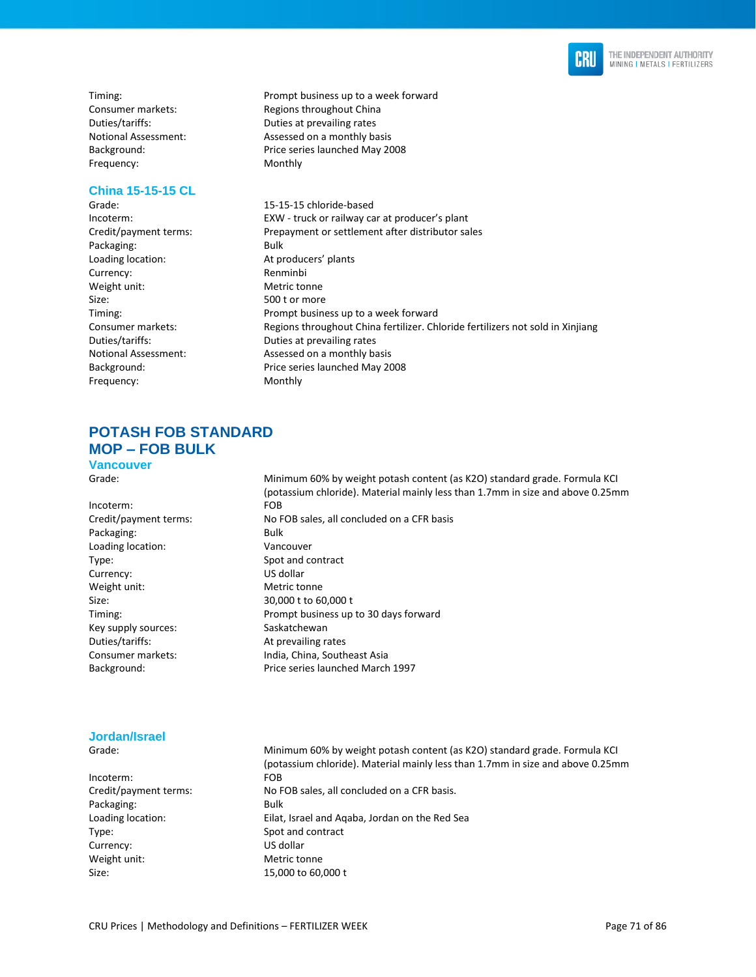

Frequency: Monthly

#### **China 15-15-15 CL**

Packaging: Bulk Loading location: At producers' plants Currency: Renminbi Weight unit: Metric tonne Size: 500 t or more Frequency: Monthly

Timing: Timing: Timing: Prompt business up to a week forward Consumer markets: Regions throughout China Duties/tariffs: Duties at prevailing rates Notional Assessment: Assessed on a monthly basis Background: Price series launched May 2008

Grade: Grade: 15-15-15 chloride-based Incoterm: EXW - truck or railway car at producer's plant<br>Credit/payment terms: Prepayment or settlement after distributor sa Prepayment or settlement after distributor sales Timing: Prompt business up to a week forward Consumer markets: Regions throughout China fertilizer. Chloride fertilizers not sold in Xinjiang Duties/tariffs: Duties at prevailing rates Notional Assessment: Assessed on a monthly basis Background: Price series launched May 2008

## **POTASH FOB STANDARD MOP – FOB BULK**

**Vancouver**

Grade: Minimum 60% by weight potash content (as K2O) standard grade. Formula KCI (potassium chloride). Material mainly less than 1.7mm in size and above 0.25mm Incoterm: FOB Credit/payment terms: No FOB sales, all concluded on a CFR basis Packaging: Bulk Loading location: Vancouver Type: Spot and contract Currency: US dollar Weight unit: Metric tonne Size: 30,000 t to 60,000 t Timing: Prompt business up to 30 days forward Key supply sources: Saskatchewan Duties/tariffs: At prevailing rates Consumer markets: India, China, Southeast Asia Background: Price series launched March 1997

#### **Jordan/Israel**

Incoterm: FOB Packaging: Bulk Type: Spot and contract Currency: US dollar Weight unit: Metric tonne Size: 15,000 to 60,000 t

Grade: Minimum 60% by weight potash content (as K2O) standard grade. Formula KCI (potassium chloride). Material mainly less than 1.7mm in size and above 0.25mm Credit/payment terms: No FOB sales, all concluded on a CFR basis. Loading location: Eilat, Israel and Aqaba, Jordan on the Red Sea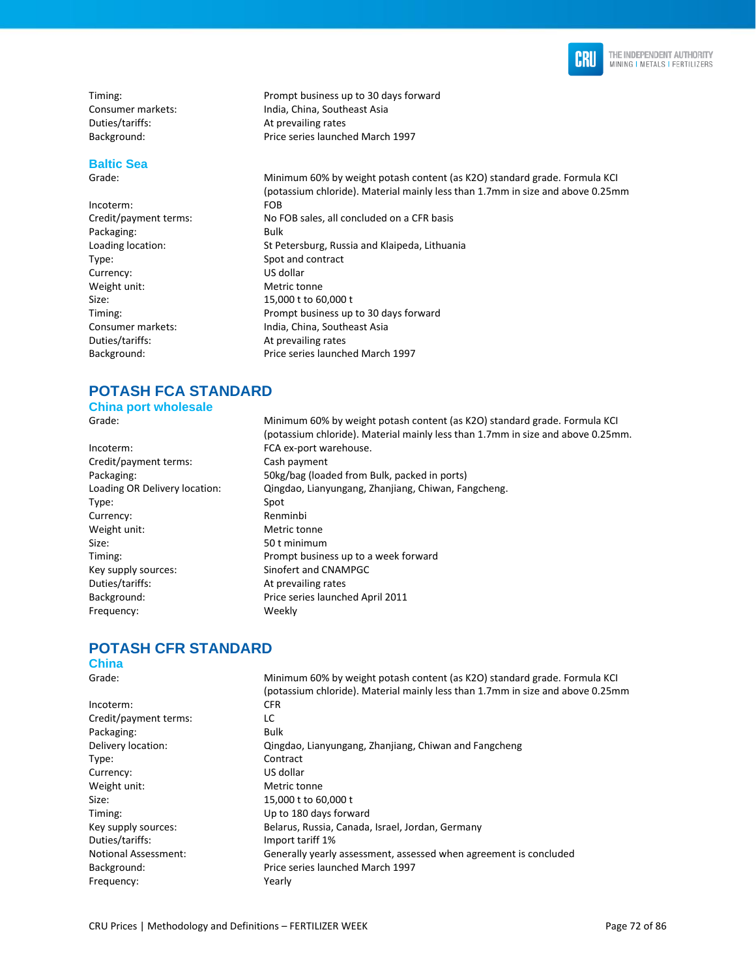

Duties/tariffs: At prevailing rates

# **Baltic Sea**

Incoterm: FOB Packaging: Bulk Type: Spot and contract Currency: US dollar Weight unit: Metric tonne Size: 15,000 t to 60,000 t Duties/tariffs: At prevailing rates

Timing: Timing: Timing: Prompt business up to 30 days forward Consumer markets: India, China, Southeast Asia Background: Price series launched March 1997

Grade: Minimum 60% by weight potash content (as K2O) standard grade. Formula KCI (potassium chloride). Material mainly less than 1.7mm in size and above 0.25mm Credit/payment terms: No FOB sales, all concluded on a CFR basis Loading location: St Petersburg, Russia and Klaipeda, Lithuania Timing: Prompt business up to 30 days forward Consumer markets: India, China, Southeast Asia Background: Price series launched March 1997

# **POTASH FCA STANDARD**

**China port wholesale**

Incoterm: FCA ex-port warehouse. Credit/payment terms: Cash payment Type: Spot Currency: Renminbi Weight unit: Metric tonne Size: 50 t minimum Duties/tariffs: At prevailing rates Frequency: Weekly

Grade: Minimum 60% by weight potash content (as K2O) standard grade. Formula KCI (potassium chloride). Material mainly less than 1.7mm in size and above 0.25mm. Packaging: 50kg/bag (loaded from Bulk, packed in ports) Loading OR Delivery location: Qingdao, Lianyungang, Zhanjiang, Chiwan, Fangcheng. Timing: Timing: Prompt business up to a week forward<br>
Rey supply sources: Sinofert and CNAMPGC Sinofert and CNAMPGC Background: Price series launched April 2011

# **POTASH CFR STANDARD**

#### **China**

Grade: Minimum 60% by weight potash content (as K2O) standard grade. Formula KCI (potassium chloride). Material mainly less than 1.7mm in size and above 0.25mm Incoterm: CFR Credit/payment terms: LC Packaging: Bulk Delivery location: Qingdao, Lianyungang, Zhanjiang, Chiwan and Fangcheng Type: Contract Currency: US dollar Weight unit: Metric tonne Size: 15,000 t to 60,000 t Timing: Up to 180 days forward Key supply sources: Belarus, Russia, Canada, Israel, Jordan, Germany Duties/tariffs: Import tariff 1% Notional Assessment: Generally yearly assessment, assessed when agreement is concluded Background: Price series launched March 1997 Frequency: Yearly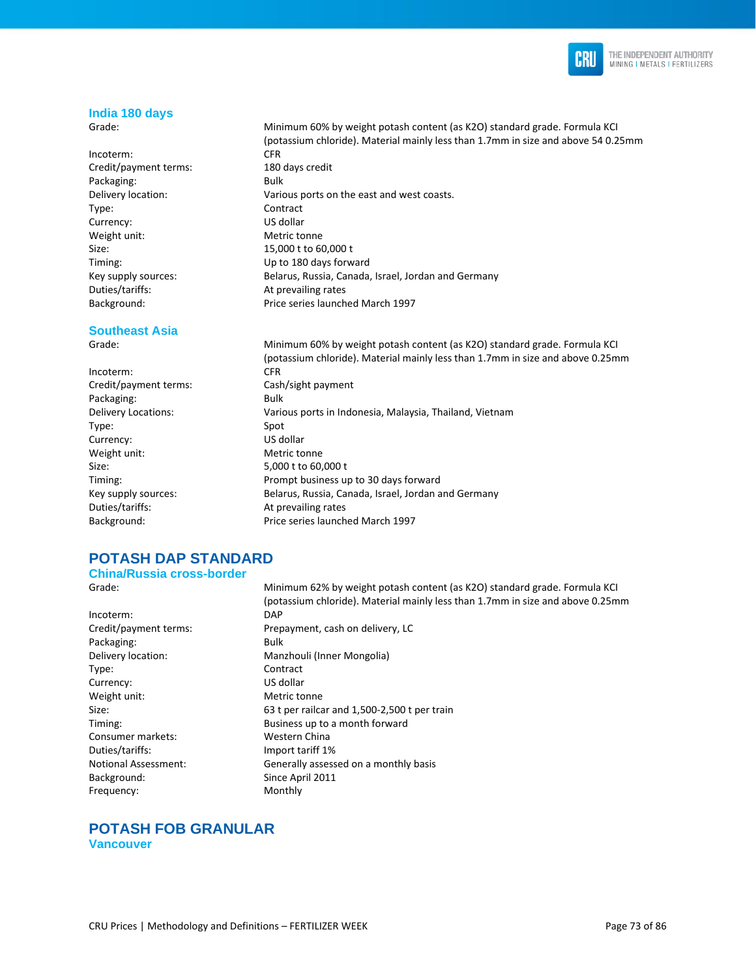

#### **India 180 days**

Grade: Minimum 60% by weight potash content (as K2O) standard grade. Formula KCI

Incoterm: CFR Credit/payment terms: 180 days credit Packaging: Bulk Delivery location: Various ports on the east and west coasts. Type: Contract Currency: US dollar Weight unit: Metric tonne Size: 15,000 t to 60,000 t Timing: Up to 180 days forward Key supply sources: Belarus, Russia, Canada, Israel, Jordan and Germany Duties/tariffs: At prevailing rates Background: Price series launched March 1997

#### **Southeast Asia**

Grade: Minimum 60% by weight potash content (as K2O) standard grade. Formula KCI (potassium chloride). Material mainly less than 1.7mm in size and above 0.25mm Incoterm: CFR Credit/payment terms: Cash/sight payment Packaging: Bulk Delivery Locations: Various ports in Indonesia, Malaysia, Thailand, Vietnam Type: Spot Currency: US dollar Weight unit: Metric tonne Size: 5,000 t to 60,000 t Timing: Prompt business up to 30 days forward Key supply sources: Belarus, Russia, Canada, Israel, Jordan and Germany Duties/tariffs: At prevailing rates Background: Price series launched March 1997

## **POTASH DAP STANDARD**

#### **China/Russia cross-border**

Incoterm: DAP Packaging: Bulk Delivery location: Manzhouli (Inner Mongolia) Type: Contract Currency: US dollar Weight unit: Metric tonne Consumer markets: Western China Duties/tariffs: Import tariff 1% Background: Since April 2011 Frequency: Monthly

Grade: Minimum 62% by weight potash content (as K2O) standard grade. Formula KCI (potassium chloride). Material mainly less than 1.7mm in size and above 0.25mm Credit/payment terms: Prepayment, cash on delivery, LC Size: 63 t per railcar and 1,500-2,500 t per train Timing: Business up to a month forward Notional Assessment: Generally assessed on a monthly basis

(potassium chloride). Material mainly less than 1.7mm in size and above 54 0.25mm

#### **POTASH FOB GRANULAR Vancouver**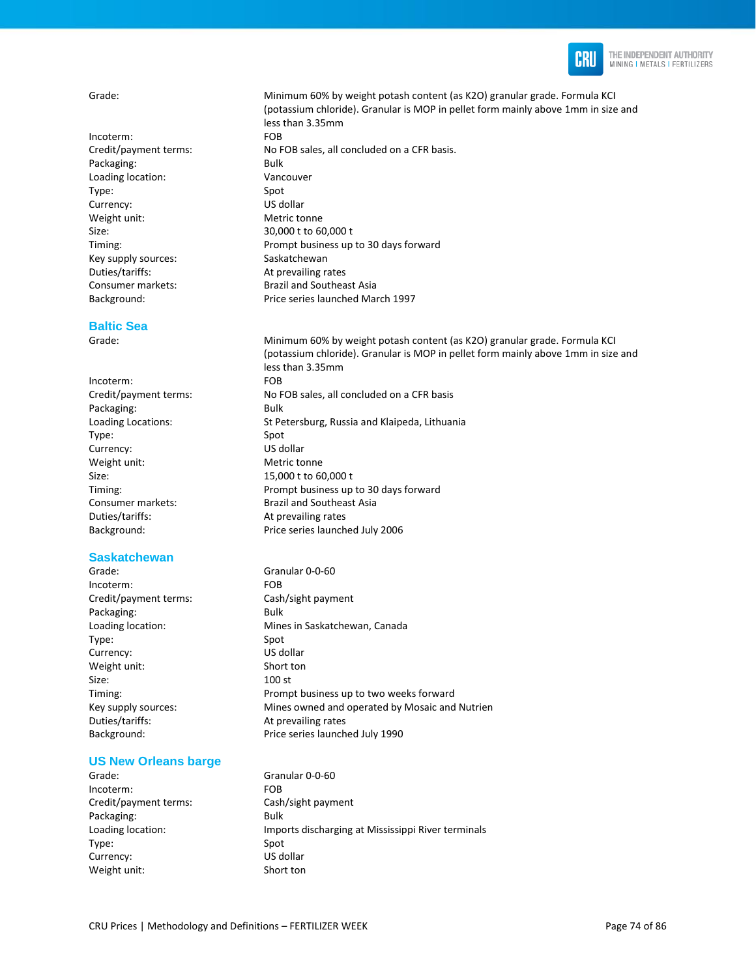

Incoterm: FOB Packaging: Bulk Loading location: Vancouver Type: Spot Currency: US dollar Weight unit: Metric tonne Size: 30,000 t to 60,000 t Key supply sources: Saskatchewan Duties/tariffs: At prevailing rates Background: Price series launched March 1997

#### **Baltic Sea**

Incoterm: FOB Packaging: Bulk Type: Spot Currency: US dollar Weight unit: Metric tonne Size: 15,000 t to 60,000 t Duties/tariffs: At prevailing rates

#### **Saskatchewan**

Grade: Granular 0-0-60 Incoterm: FOB Credit/payment terms: Cash/sight payment Packaging: Bulk Loading location: Mines in Saskatchewan, Canada Type: Spot Currency: US dollar Weight unit: Short ton Size: 100 st Timing: Prompt business up to two weeks forward Key supply sources: Mines owned and operated by Mosaic and Nutrien Duties/tariffs: At prevailing rates Background: Price series launched July 1990

#### **US New Orleans barge**

Grade: Granular 0-0-60 Incoterm: FOB Credit/payment terms: Cash/sight payment Packaging: Bulk Type: Spot Currency: US dollar Weight unit: Short ton

Grade: Minimum 60% by weight potash content (as K2O) granular grade. Formula KCI (potassium chloride). Granular is MOP in pellet form mainly above 1mm in size and less than 3.35mm Credit/payment terms: No FOB sales, all concluded on a CFR basis. Timing: Prompt business up to 30 days forward Consumer markets: Brazil and Southeast Asia

Grade: Minimum 60% by weight potash content (as K2O) granular grade. Formula KCI (potassium chloride). Granular is MOP in pellet form mainly above 1mm in size and less than 3.35mm Credit/payment terms: No FOB sales, all concluded on a CFR basis Loading Locations: St Petersburg, Russia and Klaipeda, Lithuania Timing: Prompt business up to 30 days forward Consumer markets: Brazil and Southeast Asia Background: Price series launched July 2006

Loading location: Imports discharging at Mississippi River terminals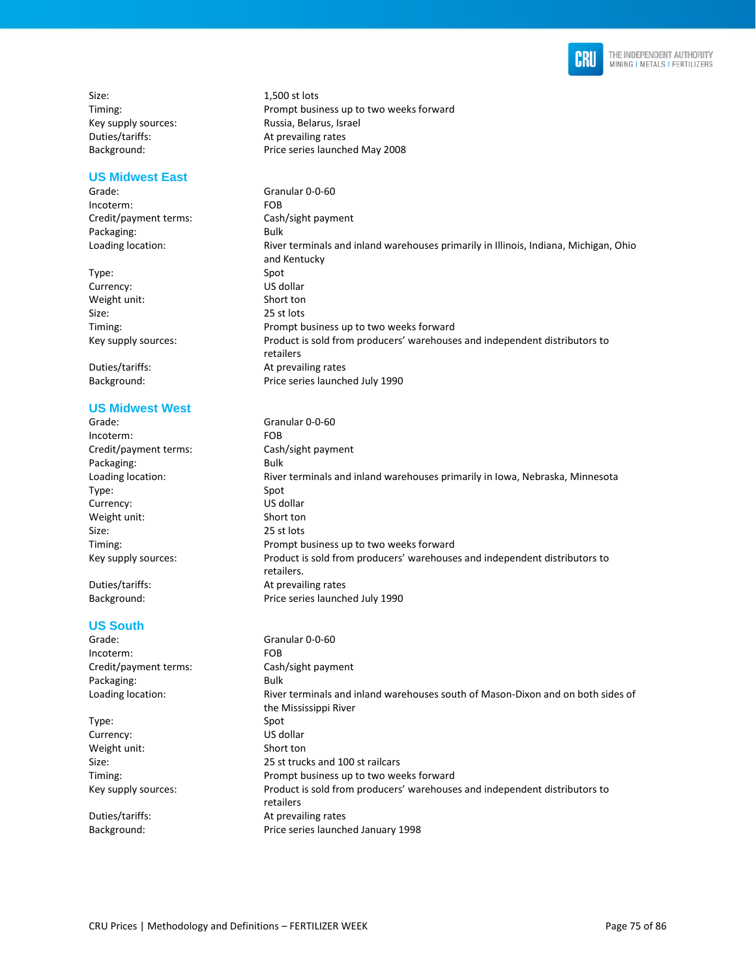

Size: 1,500 st lots Duties/tariffs: At prevailing rates

#### **US Midwest East**

Grade: Granular 0-0-60 Incoterm: FOB Credit/payment terms: Cash/sight payment Packaging: Bulk

Type: Spot Currency: US dollar Weight unit: Short ton Size: 25 st lots<br>Timing: 25 st lots

#### **US Midwest West**

Grade: Granular 0-0-60 Incoterm: FOB<br>
Credit/payment terms: Cash/sight payment Credit/payment terms: Packaging: Bulk Loading location: River terminals and inland warehouses primarily in Iowa, Nebraska, Minnesota Type: Spot Currency: US dollar Weight unit: Short ton Size: 25 st lots Timing: Prompt business up to two weeks forward Key supply sources: Product is sold from producers' warehouses and independent distributors to retailers. Duties/tariffs: At prevailing rates Background: Price series launched July 1990

#### **US South**

| Grade:                | Granular 0-0-60                                                                 |
|-----------------------|---------------------------------------------------------------------------------|
| Incoterm:             | FOB.                                                                            |
| Credit/payment terms: | Cash/sight payment                                                              |
| Packaging:            | Bulk                                                                            |
| Loading location:     | River terminals and inland warehouses south of Mason-Dixon and on both sides of |
|                       | the Mississippi River                                                           |
| Type:                 | Spot                                                                            |
| Currency:             | US dollar                                                                       |
| Weight unit:          | Short ton                                                                       |
| Size:                 | 25 st trucks and 100 st railcars                                                |
| Timing:               | Prompt business up to two weeks forward                                         |
| Key supply sources:   | Product is sold from producers' warehouses and independent distributors to      |
|                       | retailers                                                                       |
| Duties/tariffs:       | At prevailing rates                                                             |
| Background:           | Price series launched January 1998                                              |
|                       |                                                                                 |

Timing: Prompt business up to two weeks forward Key supply sources: Russia, Belarus, Israel Background: Price series launched May 2008

Loading location: River terminals and inland warehouses primarily in Illinois, Indiana, Michigan, Ohio and Kentucky Prompt business up to two weeks forward Key supply sources: Product is sold from producers' warehouses and independent distributors to retailers Duties/tariffs: At prevailing rates Background: Price series launched July 1990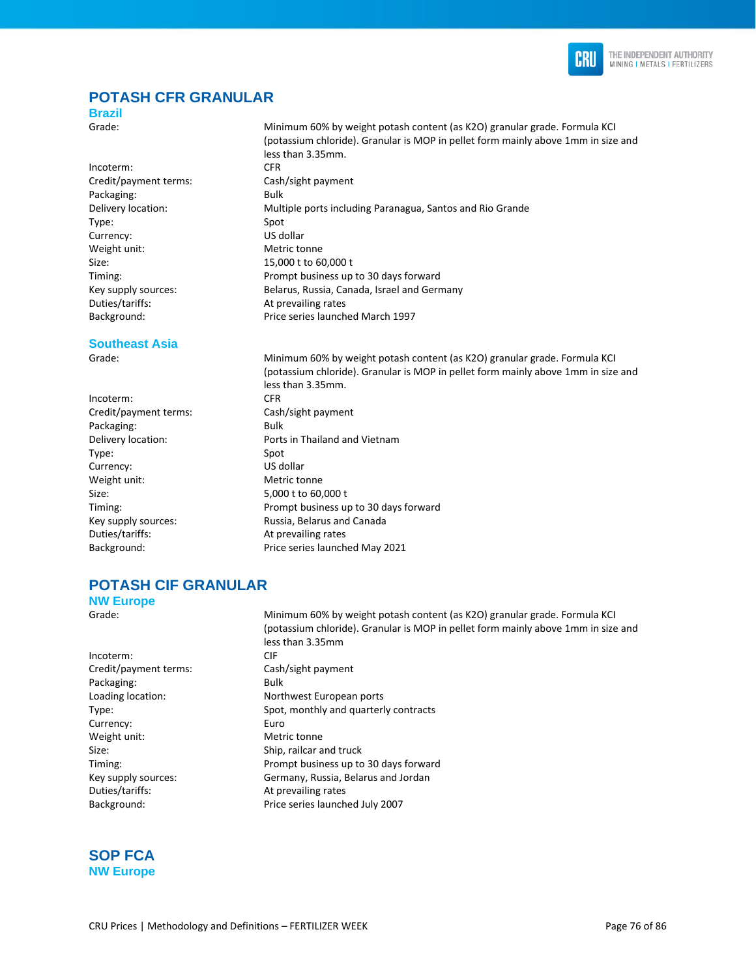

## **POTASH CFR GRANULAR**

less than 3.35mm.

#### **Brazil**

Grade: Minimum 60% by weight potash content (as K2O) granular grade. Formula KCI

Incoterm: CFR Credit/payment terms: Cash/sight payment Packaging: Bulk Delivery location: Multiple ports including Paranagua, Santos and Rio Grande Type: Spot Currency: US dollar Weight unit: Metric tonne Size: 15,000 t to 60,000 t Timing: Prompt business up to 30 days forward Key supply sources: Belarus, Russia, Canada, Israel and Germany Duties/tariffs: At prevailing rates Background: Price series launched March 1997

#### **Southeast Asia**

Grade: Minimum 60% by weight potash content (as K2O) granular grade. Formula KCI (potassium chloride). Granular is MOP in pellet form mainly above 1mm in size and less than 3.35mm. Incoterm: CFR Credit/payment terms: Cash/sight payment Packaging: Bulk Delivery location: Ports in Thailand and Vietnam Type: Spot Currency: US dollar Weight unit: Metric tonne Size: 5,000 t to 60,000 t Timing: Prompt business up to 30 days forward Key supply sources: Russia, Belarus and Canada Duties/tariffs: At prevailing rates Background: Price series launched May 2021

(potassium chloride). Granular is MOP in pellet form mainly above 1mm in size and

## **POTASH CIF GRANULAR**

|  | <b>NW Europe</b> |
|--|------------------|
|--|------------------|

Grade: Minimum 60% by weight potash content (as K2O) granular grade. Formula KCI

|                       | (potassium chloride). Granular is MOP in pellet form mainly above 1mm in size and |
|-----------------------|-----------------------------------------------------------------------------------|
|                       | less than 3.35mm                                                                  |
| Incoterm:             | CIF                                                                               |
| Credit/payment terms: | Cash/sight payment                                                                |
| Packaging:            | Bulk                                                                              |
| Loading location:     | Northwest European ports                                                          |
| Type:                 | Spot, monthly and quarterly contracts                                             |
| Currency:             | Euro                                                                              |
| Weight unit:          | Metric tonne                                                                      |
| Size:                 | Ship, railcar and truck                                                           |
| Timing:               | Prompt business up to 30 days forward                                             |
| Key supply sources:   | Germany, Russia, Belarus and Jordan                                               |
| Duties/tariffs:       | At prevailing rates                                                               |
| Background:           | Price series launched July 2007                                                   |

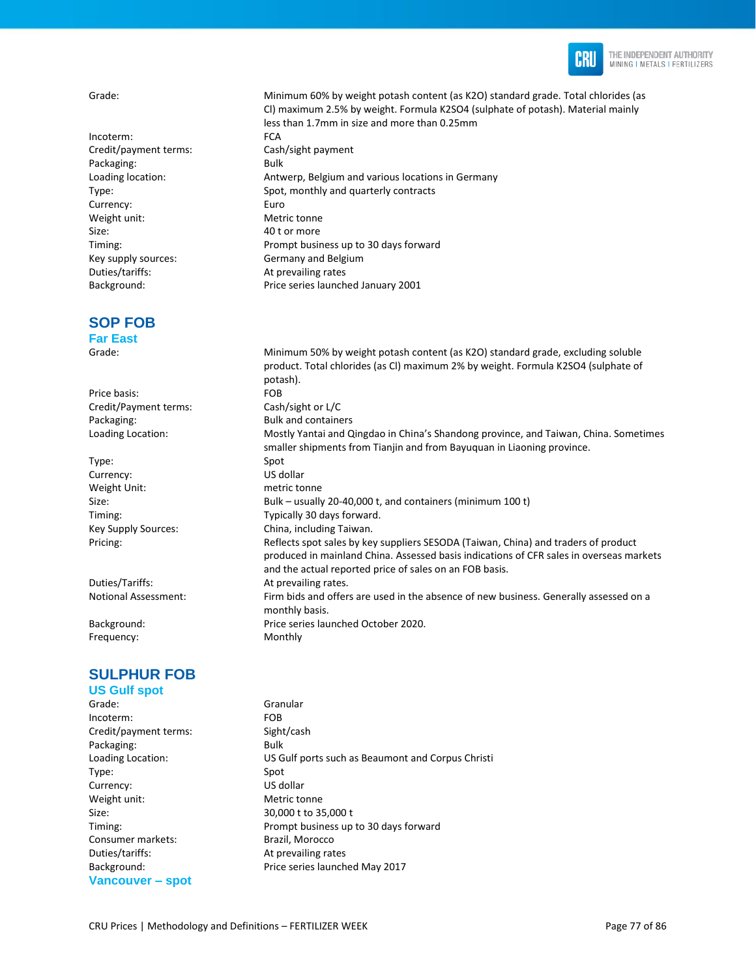

Incoterm: FCA Credit/payment terms: Cash/sight payment Packaging: Bulk Currency: Euro Weight unit: Metric tonne Size: 40 t or more Duties/tariffs: At prevailing rates Background: Price series launched January 2001

## **SOP FOB**

**Far East**

Price basis: FOB Credit/Payment terms: Cash/sight or L/C Packaging: Bulk and containers

Type: Spot Currency: US dollar Weight Unit: metric tonne

Duties/Tariffs: At prevailing rates.

Frequency: Monthly

## **SULPHUR FOB**

**US Gulf spot** 

Incoterm: FOB Credit/payment terms: Sight/cash Packaging: Bulk Type: Spot Currency: US dollar Weight unit: Metric tonne Size: 30,000 t to 35,000 t Consumer markets: Brazil, Morocco Duties/tariffs: At prevailing rates **Vancouver – spot** 

Grade: Minimum 60% by weight potash content (as K2O) standard grade. Total chlorides (as Cl) maximum 2.5% by weight. Formula K2SO4 (sulphate of potash). Material mainly less than 1.7mm in size and more than 0.25mm Loading location: Antwerp, Belgium and various locations in Germany Type: Spot, monthly and quarterly contracts Timing: Timing: Prompt business up to 30 days forward<br>
Rey supply sources: Rey Rey Germany and Belgium Germany and Belgium

Grade: Minimum 50% by weight potash content (as K2O) standard grade, excluding soluble product. Total chlorides (as Cl) maximum 2% by weight. Formula K2SO4 (sulphate of potash). Loading Location: Mostly Yantai and Qingdao in China's Shandong province, and Taiwan, China. Sometimes smaller shipments from Tianjin and from Bayuquan in Liaoning province. Size: Bulk – usually 20-40,000 t, and containers (minimum 100 t) Timing: Typically 30 days forward. Key Supply Sources: China, including Taiwan. Pricing: example of the Reflects spot sales by key suppliers SESODA (Taiwan, China) and traders of product produced in mainland China. Assessed basis indications of CFR sales in overseas markets and the actual reported price of sales on an FOB basis. Notional Assessment: Firm bids and offers are used in the absence of new business. Generally assessed on a monthly basis. Background: Price series launched October 2020.

Grade: Granular Loading Location: US Gulf ports such as Beaumont and Corpus Christi Timing: Prompt business up to 30 days forward Background: Price series launched May 2017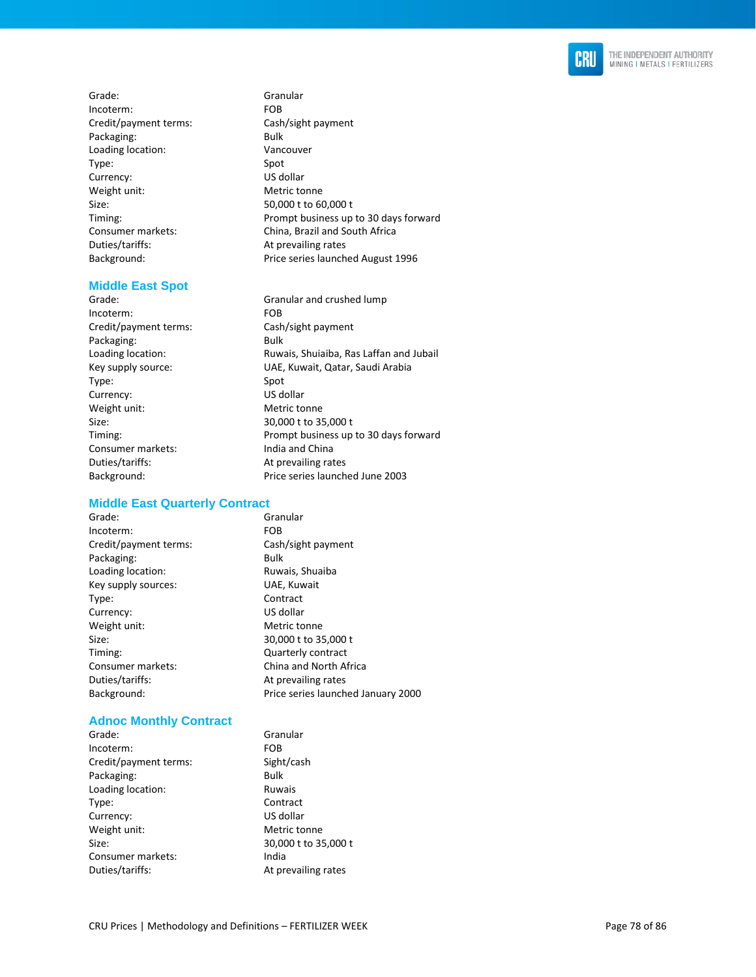

Grade: Granular Incoterm: FOB Credit/payment terms: Cash/sight payment Packaging: Bulk Loading location: Vancouver Type: Spot Currency: US dollar Weight unit: Metric tonne Size: 50,000 t to 60,000 t Timing: Prompt business up to 30 days forward Consumer markets: China, Brazil and South Africa Duties/tariffs: At prevailing rates Background: Price series launched August 1996

#### **Middle East Spot**

Grade: Granular and crushed lump Incoterm: FOB Credit/payment terms: Cash/sight payment Packaging: Bulk Loading location: Ruwais, Shuiaiba, Ras Laffan and Jubail Key supply source: UAE, Kuwait, Qatar, Saudi Arabia Type: Spot Currency: US dollar<br>
Weight unit: Weight unit: Metric tonne Weight unit: Size: 30,000 t to 35,000 t Timing: Prompt business up to 30 days forward Consumer markets: India and China Duties/tariffs: At prevailing rates Background: Price series launched June 2003

#### **Middle East Quarterly Contract**

Grade: Granular Incoterm: FOB Credit/payment terms: Cash/sight payment Packaging: Bulk Loading location: Ruwais, Shuaiba Key supply sources: UAE, Kuwait Type: Contract Currency: US dollar Weight unit: Metric tonne Size: 30,000 t to 35,000 t Timing: Quarterly contract Consumer markets: China and North Africa Duties/tariffs: At prevailing rates Background: Price series launched January 2000

## **Adnoc Monthly Contract**

| Grade:                | Granular             |
|-----------------------|----------------------|
| Incoterm:             | <b>FOB</b>           |
| Credit/payment terms: | Sight/cash           |
| Packaging:            | <b>Bulk</b>          |
| Loading location:     | Ruwais               |
| Type:                 | Contract             |
| Currency:             | US dollar            |
| Weight unit:          | Metric tonne         |
| Size:                 | 30,000 t to 35,000 t |
| Consumer markets:     | India                |
| Duties/tariffs:       | At prevailing rates  |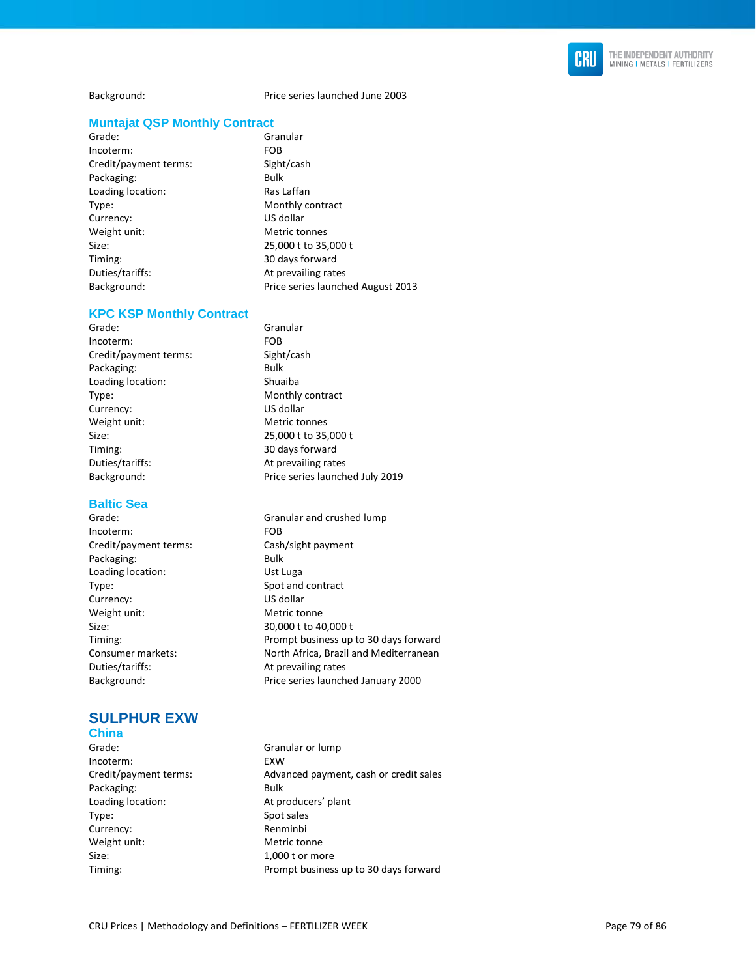

Background: Price series launched June 2003

#### **Muntajat QSP Monthly Contract**

Grade: Granular Incoterm: FOB Credit/payment terms: Sight/cash Packaging: Bulk Loading location: Ras Laffan Type: Monthly contract Currency: US dollar Weight unit: Metric tonnes Size: 25,000 t to 35,000 t Timing: 30 days forward Duties/tariffs: At prevailing rates

Background: Price series launched August 2013

#### **KPC KSP Monthly Contract**

Grade: Granular Incoterm: FOB Credit/payment terms: Sight/cash Packaging: Bulk Loading location: Shuaiba Type: Monthly contract Currency: US dollar Weight unit: Metric tonnes Size: 25,000 t to 35,000 t<br>Timing: 25,000 t 1 30 days forward Duties/tariffs: At prevailing rates Background: Price series launched July 2019

#### **Baltic Sea**

Grade: Granular and crushed lump Incoterm: FOB Credit/payment terms: Cash/sight payment Packaging: Bulk Loading location: Ust Luga Type: Spot and contract Currency: US dollar Weight unit: Metric tonne Size: 30,000 t to 40,000 t Timing: Prompt business up to 30 days forward Consumer markets: North Africa, Brazil and Mediterranean Duties/tariffs: At prevailing rates Background: Price series launched January 2000

## **SULPHUR EXW**

## **China**

- Incoterm: EXW Packaging: Bulk Loading location: At producers' plant Type: Spot sales Currency: Renminbi Weight unit: Metric tonne Size: 1,000 t or more
- 

30 days forward

Grade: Granular or lump Credit/payment terms: Advanced payment, cash or credit sales Timing: Prompt business up to 30 days forward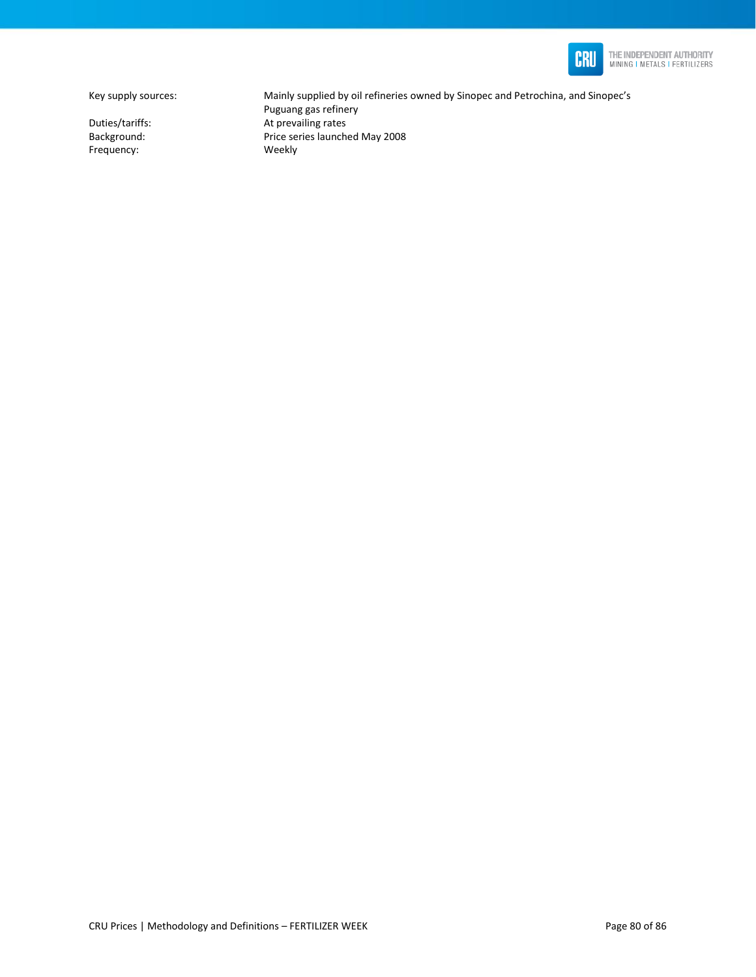

THE INDEPENDENT AUTHORITY<br>MINING I METALS I FERTILIZERS

Frequency:

Key supply sources: Mainly supplied by oil refineries owned by Sinopec and Petrochina, and Sinopec's Puguang gas refinery Duties/tariffs: <br>Background: <br>Background: <br>Price series launche Price series launched May 2008<br>Weekly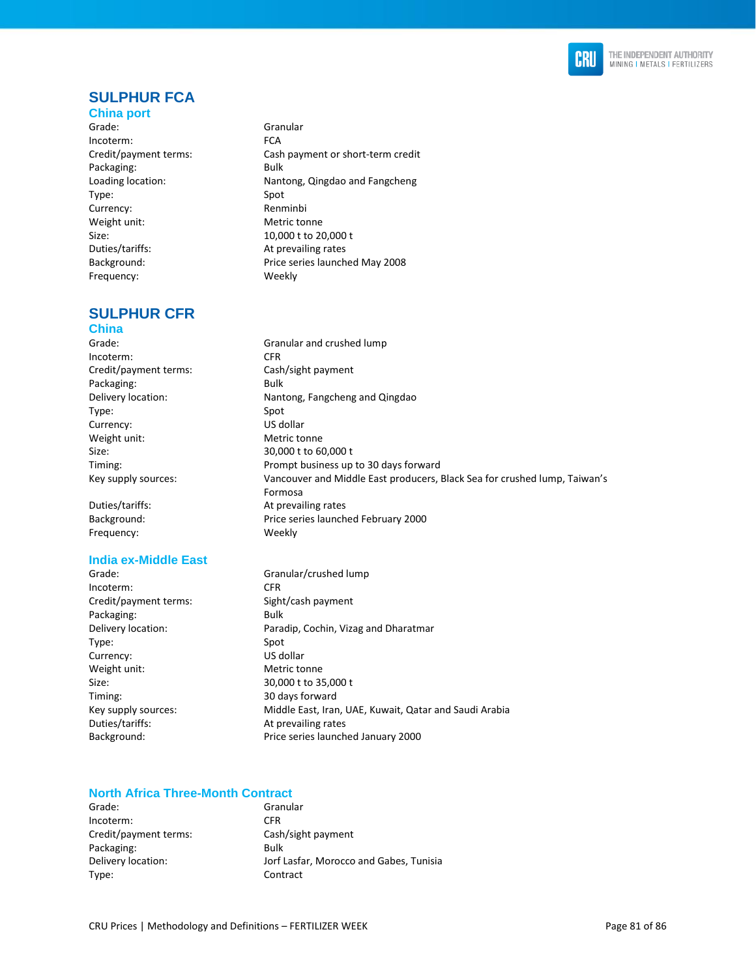

## **SULPHUR FCA**

**China port**  Grade: Granular Incoterm: FCA Credit/payment terms: Cash payment or short-term credit Packaging: Bulk Loading location: Nantong, Qingdao and Fangcheng Type: Spot Currency: Renminbi Weight unit: Metric tonne Size: 10,000 t to 20,000 t Duties/tariffs: At prevailing rates Background: Price series launched May 2008 Frequency: Weekly

#### **SULPHUR CFR China**

Grade: Granular and crushed lump Incoterm: CFR Credit/payment terms: Cash/sight payment Packaging: Bulk Delivery location: Nantong, Fangcheng and Qingdao Type: Spot Currency: US dollar Weight unit: Metric tonne Size: 30,000 t to 60,000 t Timing: Timing: Timing: Prompt business up to 30 days forward Key supply sources: Vancouver and Middle East producers, Black Sea for crushed lump, Taiwan's Formosa Duties/tariffs: At prevailing rates Background: Price series launched February 2000 Frequency: Weekly

#### **India ex-Middle East**

Grade: Granular/crushed lump Incoterm: CFR Credit/payment terms: Sight/cash payment Packaging: Bulk Delivery location: Paradip, Cochin, Vizag and Dharatmar Type: Spot Currency: US dollar Weight unit: Metric tonne Size: 30,000 t to 35,000 t Timing: 30 days forward Key supply sources: Middle East, Iran, UAE, Kuwait, Qatar and Saudi Arabia Duties/tariffs: At prevailing rates Background: Price series launched January 2000

### **North Africa Three-Month Contract**

| Grade:                | Granular                                |
|-----------------------|-----------------------------------------|
| Incoterm:             | <b>CFR</b>                              |
| Credit/payment terms: | Cash/sight payment                      |
| Packaging:            | Bulk                                    |
| Delivery location:    | Jorf Lasfar, Morocco and Gabes, Tunisia |
| Type:                 | Contract                                |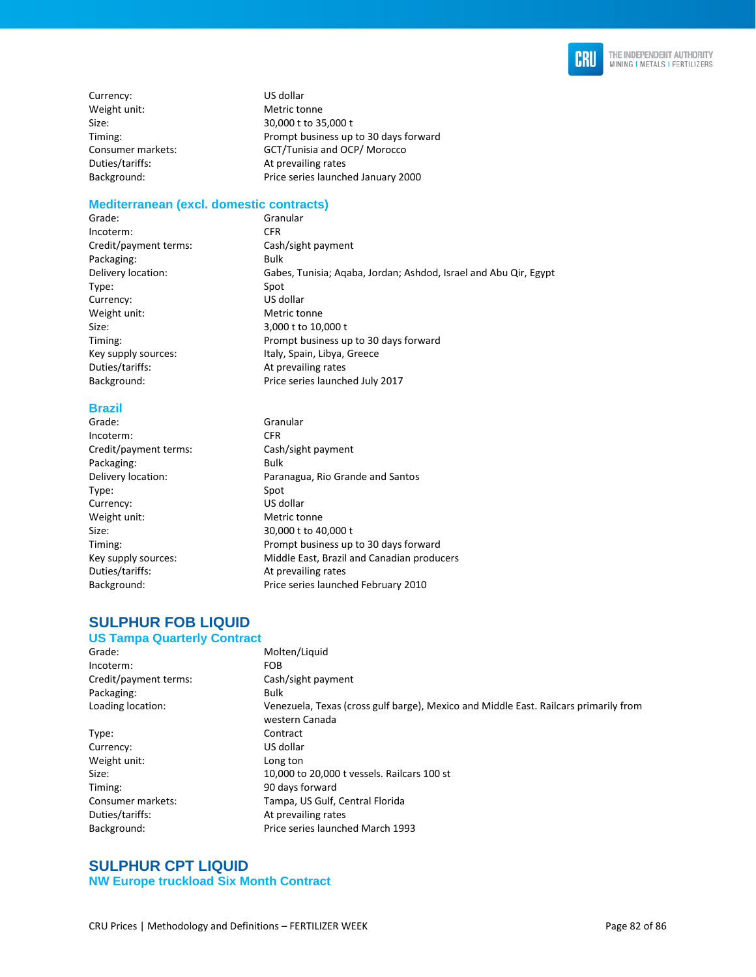

Currency: US dollar Weight unit: Metric tonne Duties/tariffs: At prevailing rates

Size: 30,000 t to 35,000 t Timing: Prompt business up to 30 days forward Consumer markets: GCT/Tunisia and OCP/ Morocco Background: Price series launched January 2000

#### **Mediterranean (excl. domestic contracts)**

Grade: Granular Incoterm: CFR Credit/payment terms: Cash/sight payment Packaging: Bulk Delivery location: Gabes, Tunisia; Aqaba, Jordan; Ashdod, Israel and Abu Qir, Egypt Type: Spot Currency: US dollar Weight unit: Metric tonne Size: 3,000 t to 10,000 t Timing: Prompt business up to 30 days forward Key supply sources: Italy, Spain, Libya, Greece Duties/tariffs: At prevailing rates Background: Price series launched July 2017

# **Brazil**

Granular Incoterm: CFR Credit/payment terms: Cash/sight payment Packaging: Bulk Delivery location: Paranagua, Rio Grande and Santos Type: Spot Currency: US dollar Weight unit: Metric tonne Size: 30,000 t to 40,000 t Timing: Prompt business up to 30 days forward Key supply sources: Middle East, Brazil and Canadian producers Duties/tariffs: At prevailing rates Background: Price series launched February 2010

#### **SULPHUR FOB LIQUID US Tampa Quarterly Contract**

| Grade:                | Molten/Liquid                                                                                          |
|-----------------------|--------------------------------------------------------------------------------------------------------|
| Incoterm:             | <b>FOB</b>                                                                                             |
| Credit/payment terms: | Cash/sight payment                                                                                     |
| Packaging:            | <b>Bulk</b>                                                                                            |
| Loading location:     | Venezuela, Texas (cross gulf barge), Mexico and Middle East. Railcars primarily from<br>western Canada |
| Type:                 | Contract                                                                                               |
| Currency:             | US dollar                                                                                              |
| Weight unit:          | Long ton                                                                                               |
| Size:                 | 10,000 to 20,000 t vessels. Railcars 100 st                                                            |
| Timing:               | 90 days forward                                                                                        |
| Consumer markets:     | Tampa, US Gulf, Central Florida                                                                        |
| Duties/tariffs:       | At prevailing rates                                                                                    |
| Background:           | Price series launched March 1993                                                                       |
|                       |                                                                                                        |

### **SULPHUR CPT LIQUID NW Europe truckload Six Month Contract**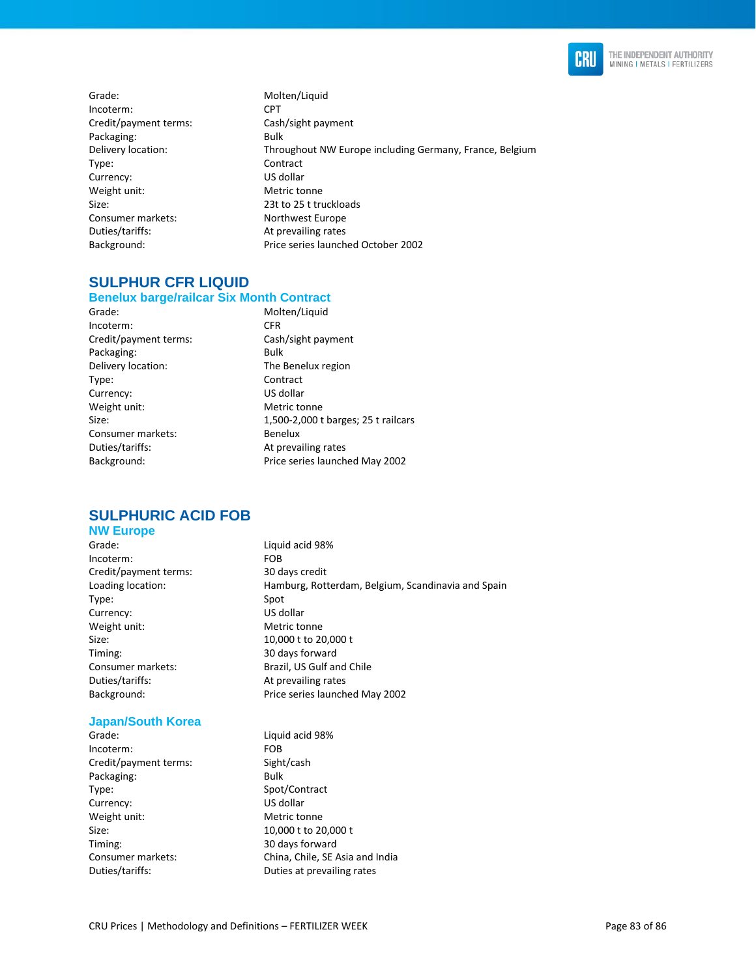

- Grade: Molten/Liquid Incoterm: CPT Credit/payment terms: Cash/sight payment Packaging: Bulk Type: Contract Currency: US dollar Weight unit: Metric tonne Size: 23t to 25 t truckloads Consumer markets: Northwest Europe Duties/tariffs: At prevailing rates
- Delivery location: Throughout NW Europe including Germany, France, Belgium Background: Price series launched October 2002

## **SULPHUR CFR LIQUID**

#### **Benelux barge/railcar Six Month Contract**

Grade: Molten/Liquid Incoterm: CFR Credit/payment terms: Cash/sight payment Packaging: Bulk Delivery location: The Benelux region Type: Contract Currency: US dollar Weight unit: Metric tonne Consumer markets: Benelux Duties/tariffs: At prevailing rates

Size: 1,500-2,000 t barges; 25 t railcars Background: Price series launched May 2002

## **SULPHURIC ACID FOB**

## **NW Europe**

Grade: Case Contract Liquid acid 98% Incoterm: FOB Credit/payment terms: 30 days credit Type: Spot Currency: US dollar Weight unit: Metric tonne Size: 10,000 t to 20,000 t Timing: 30 days forward Duties/tariffs: At prevailing rates

### **Japan/South Korea**

Grade: Case Contract Liquid acid 98% Incoterm: FOB Credit/payment terms: Sight/cash Packaging: Bulk Type: Spot/Contract Currency: US dollar Weight unit: Metric tonne Size: 10,000 t to 20,000 t Timing: 30 days forward Duties/tariffs: Duties at prevailing rates

Loading location: Hamburg, Rotterdam, Belgium, Scandinavia and Spain Consumer markets: Brazil, US Gulf and Chile Background: Price series launched May 2002

Consumer markets: China, Chile, SE Asia and India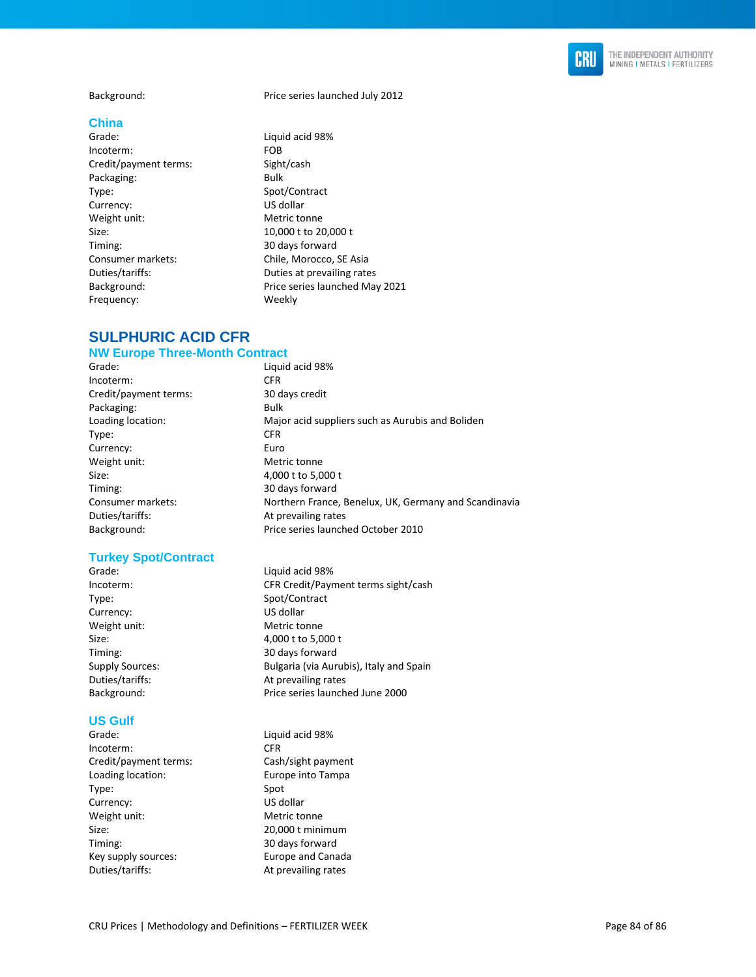

#### **China**

Grade: Case Contract Liquid acid 98% Incoterm: FOB Credit/payment terms: Sight/cash Packaging: Bulk Type: Spot/Contract Currency: US dollar Weight unit: Metric tonne Size: 10,000 t to 20,000 t Timing: 30 days forward Consumer markets: Chile, Morocco, SE Asia Frequency: Weekly

Background: Price series launched July 2012

Duties/tariffs: Duties at prevailing rates Background: Price series launched May 2021

## **SULPHURIC ACID CFR**

#### **NW Europe Three-Month Contract**

Grade: Case Contract Liquid acid 98% Incoterm: CFR Credit/payment terms: 30 days credit Packaging: Bulk Loading location: Major acid suppliers such as Aurubis and Boliden Type: CFR Currency: Euro Weight unit: Metric tonne Size: 4,000 t to 5,000 t Timing: 30 days forward Consumer markets: Northern France, Benelux, UK, Germany and Scandinavia Duties/tariffs: At prevailing rates Background: Price series launched October 2010

#### **Turkey Spot/Contract**

Grade: Case Contractor Contractor Contractor Contractor Contractor Contractor Contractor Contractor Contractor Contractor Contractor Contractor Contractor Contractor Contractor Contractor Contractor Contractor Contractor C Type: Spot/Contract Currency: US dollar Weight unit: Metric tonne

#### **US Gulf**

Incoterm: CFR Credit/payment terms: Cash/sight payment Loading location: Europe into Tampa Type: Spot Currency: US dollar Weight unit: Metric tonne Size: 20,000 t minimum Timing: 30 days forward Key supply sources: Europe and Canada Duties/tariffs: At prevailing rates

Incoterm: CFR Credit/Payment terms sight/cash Size: 4,000 t to 5,000 t 30 days forward Supply Sources: Bulgaria (via Aurubis), Italy and Spain Duties/tariffs: At prevailing rates Background: Price series launched June 2000

Grade: Case Contract Liquid acid 98%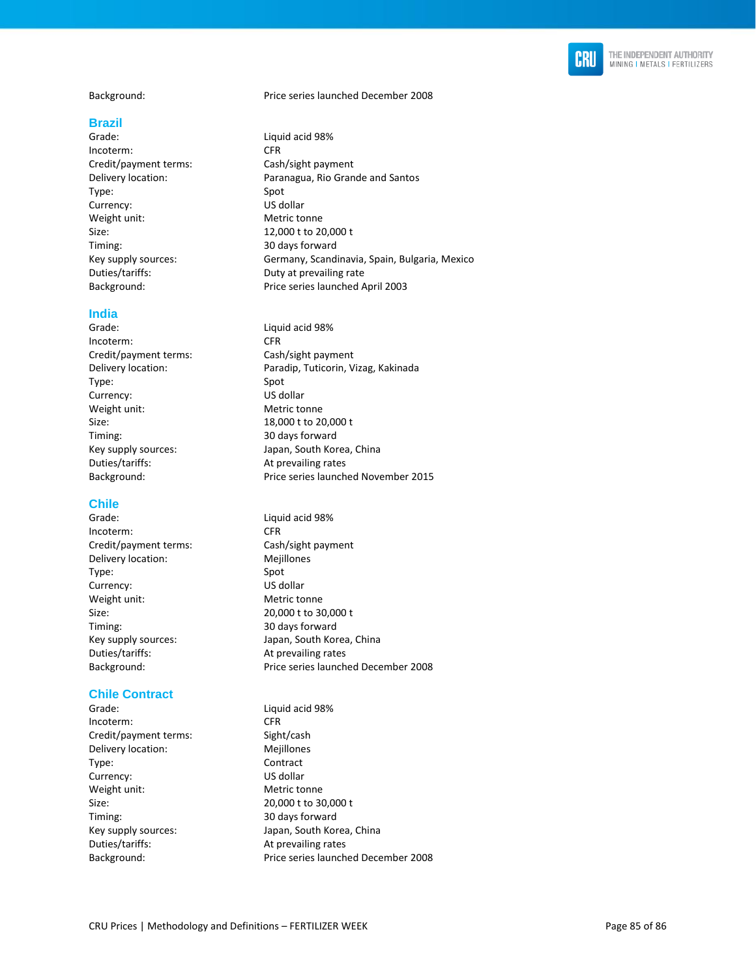

#### **Brazil**

Incoterm: CFR Credit/payment terms: Cash/sight payment Type: Spot Currency: US dollar Weight unit: Metric tonne Size: 12,000 t to 20,000 t Timing: 30 days forward<br>
Key supply sources: Germany, Scand Duties/tariffs: Duty at prevailing rate

#### **India**

Incoterm: CFR Credit/payment terms: Cash/sight payment Type: Spot Currency: US dollar Weight unit: Metric tonne Size: 18,000 t to 20,000 t Timing: 30 days forward Duties/tariffs: At prevailing rates

#### **Chile**

Grade: Case Contract Liquid acid 98% Incoterm: CFR Credit/payment terms: Cash/sight payment Delivery location: Mejillones Type: Spot Currency: US dollar Weight unit: Metric tonne Size: 20,000 t to 30,000 t<br>Timing: 20 days forward Duties/tariffs: At prevailing rates

#### **Chile Contract**

Grade: Case Contract Liquid acid 98% Incoterm: CFR Credit/payment terms: Sight/cash Delivery location: Mejillones Type: Contract Currency: US dollar Weight unit: Metric tonne Size: 20,000 t to 30,000 t Timing: 30 days forward Duties/tariffs: At prevailing rates

Background: Price series launched December 2008

- Grade: Case Contract Liquid acid 98% Delivery location: Paranagua, Rio Grande and Santos Germany, Scandinavia, Spain, Bulgaria, Mexico Background: Price series launched April 2003
- Grade: Case Contract Liquid acid 98% Delivery location: Paradip, Tuticorin, Vizag, Kakinada Key supply sources: Japan, South Korea, China Background: Price series launched November 2015
- 30 days forward Key supply sources: Japan, South Korea, China Background: Price series launched December 2008
- Key supply sources: Japan, South Korea, China Background: Price series launched December 2008